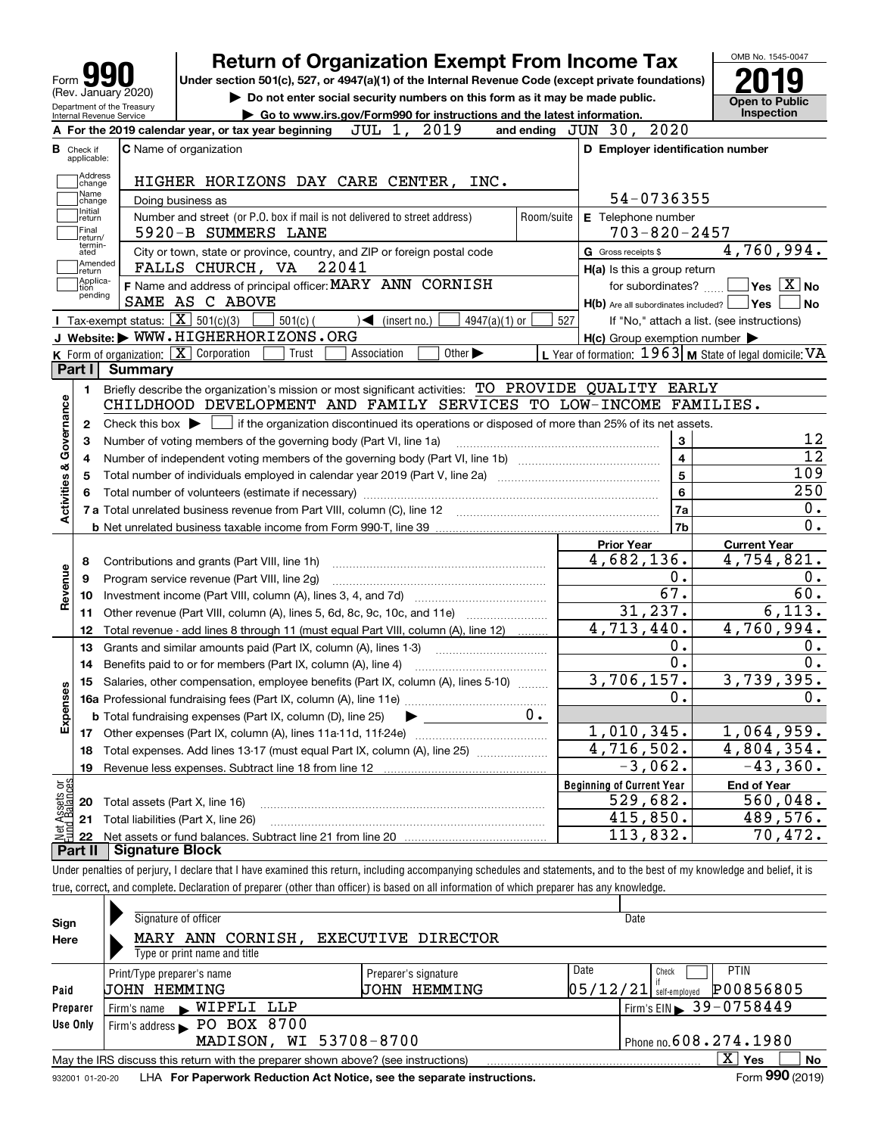|                                                        |         | <b>Return of Organization Exempt From Income Tax</b>                                                                                                |            |                                                           | OMB No. 1545-0047                        |
|--------------------------------------------------------|---------|-----------------------------------------------------------------------------------------------------------------------------------------------------|------------|-----------------------------------------------------------|------------------------------------------|
| Form                                                   |         | Under section 501(c), 527, or 4947(a)(1) of the Internal Revenue Code (except private foundations)                                                  |            |                                                           |                                          |
| (Rev. January 2020)                                    |         | Do not enter social security numbers on this form as it may be made public.                                                                         |            |                                                           | <b>Open to Public</b>                    |
| Department of the Treasury<br>Internal Revenue Service |         | Go to www.irs.gov/Form990 for instructions and the latest information.                                                                              |            |                                                           | Inspection                               |
|                                                        |         | 2019<br>JUL 1,<br>A For the 2019 calendar year, or tax year beginning                                                                               |            | and ending JUN 30, 2020                                   |                                          |
| <b>B</b> Check if                                      |         | <b>C</b> Name of organization                                                                                                                       |            | D Employer identification number                          |                                          |
| applicable:                                            |         |                                                                                                                                                     |            |                                                           |                                          |
| Address<br>change                                      |         | HIGHER HORIZONS DAY CARE CENTER, INC.                                                                                                               |            |                                                           |                                          |
| Name<br>change                                         |         | Doing business as                                                                                                                                   |            | 54-0736355                                                |                                          |
| Initial<br>return                                      |         | Number and street (or P.O. box if mail is not delivered to street address)                                                                          | Room/suite | E Telephone number                                        |                                          |
| Final<br>return/                                       |         | 5920-B SUMMERS LANE                                                                                                                                 |            | $703 - 820 - 2457$                                        |                                          |
| termin-<br>ated                                        |         | City or town, state or province, country, and ZIP or foreign postal code                                                                            |            | G Gross receipts \$                                       | 4,760,994.                               |
| Amended<br>return                                      |         | 22041<br>FALLS CHURCH, VA                                                                                                                           |            | H(a) Is this a group return                               |                                          |
| Applica-<br>tion                                       |         | F Name and address of principal officer: MARY ANN CORNISH                                                                                           |            | for subordinates?                                         | $\blacksquare$ Yes $\boxed{\text{X}}$ No |
| pending                                                |         | SAME AS C ABOVE                                                                                                                                     |            | $H(b)$ Are all subordinates included? $\Box$ Yes          | No                                       |
|                                                        |         | Tax-exempt status: $\boxed{\mathbf{X}}$ 501(c)(3)<br>$501(c)$ (<br>$\sqrt{\bullet}$ (insert no.)<br>$4947(a)(1)$ or                                 | 527        | If "No," attach a list. (see instructions)                |                                          |
|                                                        |         | J Website: WWW.HIGHERHORIZONS.ORG                                                                                                                   |            | $H(c)$ Group exemption number $\blacktriangleright$       |                                          |
|                                                        |         | <b>K</b> Form of organization: $\boxed{\mathbf{X}}$ Corporation<br>Trust<br>Association<br>Other $\blacktriangleright$                              |            | L Year of formation: $1963$ M State of legal domicile: VA |                                          |
| Part I                                                 | Summary |                                                                                                                                                     |            |                                                           |                                          |
| 1.                                                     |         | Briefly describe the organization's mission or most significant activities: TO PROVIDE QUALITY EARLY                                                |            |                                                           |                                          |
|                                                        |         | CHILDHOOD DEVELOPMENT AND FAMILY SERVICES TO LOW-INCOME FAMILIES.                                                                                   |            |                                                           |                                          |
| 2                                                      |         | Check this box $\blacktriangleright$ $\blacksquare$ if the organization discontinued its operations or disposed of more than 25% of its net assets. |            |                                                           |                                          |
|                                                        |         |                                                                                                                                                     |            | 3                                                         | 12                                       |
| з                                                      |         | Number of voting members of the governing body (Part VI, line 1a)                                                                                   |            | $\overline{\mathbf{4}}$                                   | $\overline{12}$                          |
| 4                                                      |         |                                                                                                                                                     |            | 5                                                         | 109                                      |
| 5                                                      |         | Total number of individuals employed in calendar year 2019 (Part V, line 2a) manufacture controller to intervent                                    |            |                                                           | 250                                      |
|                                                        |         |                                                                                                                                                     |            | 6                                                         |                                          |
| Activities & Governance                                |         |                                                                                                                                                     |            | 7a                                                        | 0.<br>0.                                 |
|                                                        |         |                                                                                                                                                     |            | 7 <sub>b</sub>                                            |                                          |
|                                                        |         |                                                                                                                                                     |            | <b>Prior Year</b>                                         | <b>Current Year</b>                      |
| 8<br>Revenue                                           |         | Contributions and grants (Part VIII, line 1h)                                                                                                       |            | 4,682,136.                                                | 4,754,821.                               |
| 9                                                      |         | Program service revenue (Part VIII, line 2g)                                                                                                        |            | 0.                                                        | 0.                                       |
| 10                                                     |         |                                                                                                                                                     |            | 67.                                                       | 60.                                      |
| 11                                                     |         | Other revenue (Part VIII, column (A), lines 5, 6d, 8c, 9c, 10c, and 11e)                                                                            |            | 31, 237.                                                  | 6,113.                                   |
| 12                                                     |         | Total revenue - add lines 8 through 11 (must equal Part VIII, column (A), line 12)                                                                  |            | 4,713,440.                                                | 4,760,994.                               |
| 13                                                     |         | Grants and similar amounts paid (Part IX, column (A), lines 1-3)                                                                                    |            | 0.                                                        | 0.                                       |
| 14                                                     |         | Benefits paid to or for members (Part IX, column (A), line 4)                                                                                       |            | $\overline{0}$ .                                          | 0.                                       |
| n                                                      |         | 15 Salaries, other compensation, employee benefits (Part IX, column (A), lines 5-10)                                                                |            | 3,706,157.                                                | 3,739,395.                               |
| ق<br>Expens                                            |         |                                                                                                                                                     |            | $\mathbf 0$ .                                             | $\mathbf 0$ .                            |
|                                                        |         | <b>b</b> Total fundraising expenses (Part IX, column (D), line 25)                                                                                  | $0$ .      |                                                           |                                          |
| 17                                                     |         | Other expenses (Part IX, column (A), lines 11a-11d, 11f-24e)                                                                                        |            | 1,010,345.                                                | 1,064,959.                               |
| 18                                                     |         | Total expenses. Add lines 13-17 (must equal Part IX, column (A), line 25)                                                                           |            | 4,716,502.                                                | 4,804,354.                               |
| 19                                                     |         | Revenue less expenses. Subtract line 18 from line 12                                                                                                |            | $-3,062.$                                                 | $-43,360.$                               |
|                                                        |         |                                                                                                                                                     |            |                                                           |                                          |
|                                                        |         |                                                                                                                                                     |            | <b>Beginning of Current Year</b>                          | <b>End of Year</b>                       |
| 20                                                     |         | Total assets (Part X, line 16)                                                                                                                      |            | 529,682.                                                  |                                          |
| 21                                                     |         |                                                                                                                                                     |            |                                                           | 560,048.<br>489,576.                     |
| Net Assets or<br>Eund Balances<br>22                   |         | Total liabilities (Part X, line 26)                                                                                                                 |            | 415,850.<br>113,832.                                      | 70,472.                                  |

true, correct, and complete. Declaration of preparer (other than officer) is based on all information of which preparer has any knowledge.

| Sign            | Signature of officer                                                              |                                                |                   | Date                                               |
|-----------------|-----------------------------------------------------------------------------------|------------------------------------------------|-------------------|----------------------------------------------------|
| Here            | MARY ANN CORNISH,<br>Type or print name and title                                 | EXECUTIVE DIRECTOR                             |                   |                                                    |
| Paid            | Print/Type preparer's name<br>UOHN HEMMING                                        | Preparer's signature<br>HEMMING<br><b>JOHN</b> | Date<br> 05/12/21 | <b>PTIN</b><br>Check<br>P00856805<br>self-emploved |
| Preparer        | Firm's name WIPFLI LLP                                                            |                                                |                   | $1$ Firm's EIN $\triangleright$ 39 - 0758449       |
| Use Only        | Firm's address PO BOX 8700                                                        |                                                |                   |                                                    |
|                 | MADISON, WI 53708-8700                                                            | Phone no. 608.274.1980                         |                   |                                                    |
|                 | May the IRS discuss this return with the preparer shown above? (see instructions) |                                                |                   | $\mathbf{X}$<br><b>No</b><br>Yes                   |
| 932001 01-20-20 | LHA For Paperwork Reduction Act Notice, see the separate instructions.            |                                                |                   | Form 990 (2019)                                    |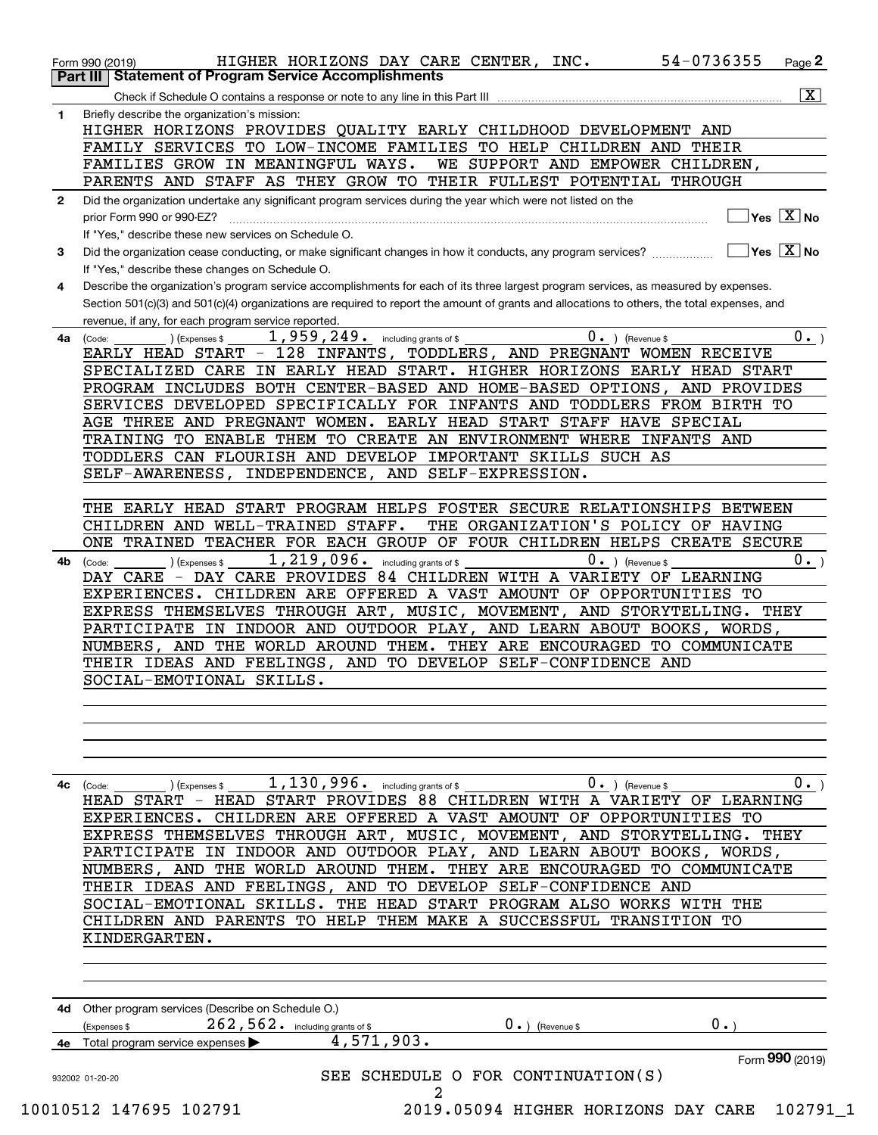| 1            | $\overline{\mathbf{x}}$<br>Check if Schedule O contains a response or note to any line in this Part III<br>Briefly describe the organization's mission: |
|--------------|---------------------------------------------------------------------------------------------------------------------------------------------------------|
|              | HIGHER HORIZONS PROVIDES QUALITY EARLY CHILDHOOD DEVELOPMENT AND                                                                                        |
|              | FAMILY SERVICES TO LOW-INCOME FAMILIES TO HELP CHILDREN AND THEIR                                                                                       |
|              | FAMILIES GROW IN MEANINGFUL WAYS.<br>WE SUPPORT AND EMPOWER CHILDREN,                                                                                   |
|              | PARENTS AND STAFF AS THEY GROW TO THEIR FULLEST POTENTIAL THROUGH                                                                                       |
| $\mathbf{2}$ | Did the organization undertake any significant program services during the year which were not listed on the                                            |
|              | $\sqrt{}$ Yes $\sqrt{X}$ No<br>prior Form 990 or 990-EZ?                                                                                                |
|              | If "Yes," describe these new services on Schedule O.                                                                                                    |
| 3            | $\sqrt{}$ Yes $\sqrt{}$ X $\sqrt{}$ No<br>Did the organization cease conducting, or make significant changes in how it conducts, any program services?  |
|              | If "Yes," describe these changes on Schedule O.                                                                                                         |
| 4            | Describe the organization's program service accomplishments for each of its three largest program services, as measured by expenses.                    |
|              | Section 501(c)(3) and 501(c)(4) organizations are required to report the amount of grants and allocations to others, the total expenses, and            |
|              | revenue, if any, for each program service reported.                                                                                                     |
| 4a           | 1,959,249. including grants of \$<br>$0 \cdot$ <sub>-</sub> )<br>$0 \cdot$ ) (Revenue \$<br>(Code:<br>(Expenses \$                                      |
|              | EARLY HEAD START - 128 INFANTS, TODDLERS, AND PREGNANT WOMEN RECEIVE                                                                                    |
|              | SPECIALIZED CARE IN EARLY HEAD START. HIGHER HORIZONS EARLY HEAD START                                                                                  |
|              | PROGRAM INCLUDES BOTH CENTER-BASED AND HOME-BASED OPTIONS, AND PROVIDES                                                                                 |
|              | SERVICES DEVELOPED SPECIFICALLY FOR INFANTS AND TODDLERS FROM BIRTH TO                                                                                  |
|              | AGE THREE AND PREGNANT WOMEN. EARLY HEAD START STAFF HAVE SPECIAL                                                                                       |
|              | TRAINING TO ENABLE THEM TO CREATE AN ENVIRONMENT WHERE INFANTS AND                                                                                      |
|              | TODDLERS CAN FLOURISH AND DEVELOP IMPORTANT SKILLS SUCH AS                                                                                              |
|              | SELF-AWARENESS, INDEPENDENCE, AND SELF-EXPRESSION.                                                                                                      |
|              |                                                                                                                                                         |
|              | THE EARLY HEAD START PROGRAM HELPS FOSTER SECURE RELATIONSHIPS BETWEEN                                                                                  |
|              | CHILDREN AND WELL-TRAINED STAFF.<br>THE ORGANIZATION'S POLICY OF HAVING                                                                                 |
|              | ONE TRAINED TEACHER FOR EACH GROUP OF FOUR CHILDREN HELPS CREATE SECURE                                                                                 |
| 4b           | 1, 219, 096. including grants of \$<br>$0.$ (Revenue \$<br>$0 \cdot$ <sub>-</sub> )<br>) (Expenses \$<br>(Code:                                         |
|              | DAY CARE PROVIDES 84 CHILDREN WITH A VARIETY OF LEARNING<br>DAY CARE                                                                                    |
|              | EXPERIENCES. CHILDREN ARE OFFERED A VAST AMOUNT OF OPPORTUNITIES TO                                                                                     |
|              | EXPRESS THEMSELVES THROUGH ART, MUSIC, MOVEMENT, AND STORYTELLING. THEY                                                                                 |
|              | PARTICIPATE IN INDOOR AND OUTDOOR PLAY, AND LEARN ABOUT BOOKS, WORDS,                                                                                   |
|              | NUMBERS, AND THE WORLD AROUND THEM. THEY ARE ENCOURAGED TO COMMUNICATE                                                                                  |
|              | THEIR IDEAS AND FEELINGS, AND TO DEVELOP SELF-CONFIDENCE AND                                                                                            |
|              | SOCIAL-EMOTIONAL SKILLS.                                                                                                                                |
|              |                                                                                                                                                         |
|              |                                                                                                                                                         |
|              |                                                                                                                                                         |
|              |                                                                                                                                                         |
|              |                                                                                                                                                         |
| 4с           | 1, 130, 996. including grants of \$<br>$0.$ ) (Revenue \$<br>0.<br>) (Expenses \$<br>(Code:                                                             |
|              | HEAD START - HEAD START PROVIDES 88 CHILDREN WITH A VARIETY OF LEARNING                                                                                 |
|              | CHILDREN ARE OFFERED A VAST AMOUNT OF OPPORTUNITIES TO<br>EXPERIENCES.                                                                                  |
|              | EXPRESS THEMSELVES THROUGH ART, MUSIC, MOVEMENT, AND STORYTELLING. THEY                                                                                 |
|              | PARTICIPATE IN INDOOR AND OUTDOOR PLAY, AND LEARN ABOUT BOOKS, WORDS,                                                                                   |
|              | NUMBERS, AND THE WORLD AROUND THEM. THEY ARE ENCOURAGED TO COMMUNICATE                                                                                  |
|              | THEIR IDEAS AND FEELINGS, AND TO DEVELOP SELF-CONFIDENCE AND                                                                                            |
|              | SOCIAL-EMOTIONAL SKILLS.<br>THE HEAD START PROGRAM ALSO WORKS WITH THE                                                                                  |
|              | CHILDREN AND PARENTS TO HELP THEM MAKE A SUCCESSFUL TRANSITION TO                                                                                       |
|              | KINDERGARTEN.                                                                                                                                           |
|              |                                                                                                                                                         |
|              |                                                                                                                                                         |
|              |                                                                                                                                                         |
|              |                                                                                                                                                         |
|              |                                                                                                                                                         |
|              | 4d Other program services (Describe on Schedule O.)<br>0.<br>(Expenses \$                                                                               |
|              | 262, 562. including grants of \$<br>$0 \cdot$ ) (Revenue \$<br>4,571,903.                                                                               |
|              | 4e Total program service expenses<br>Form 990 (2019)                                                                                                    |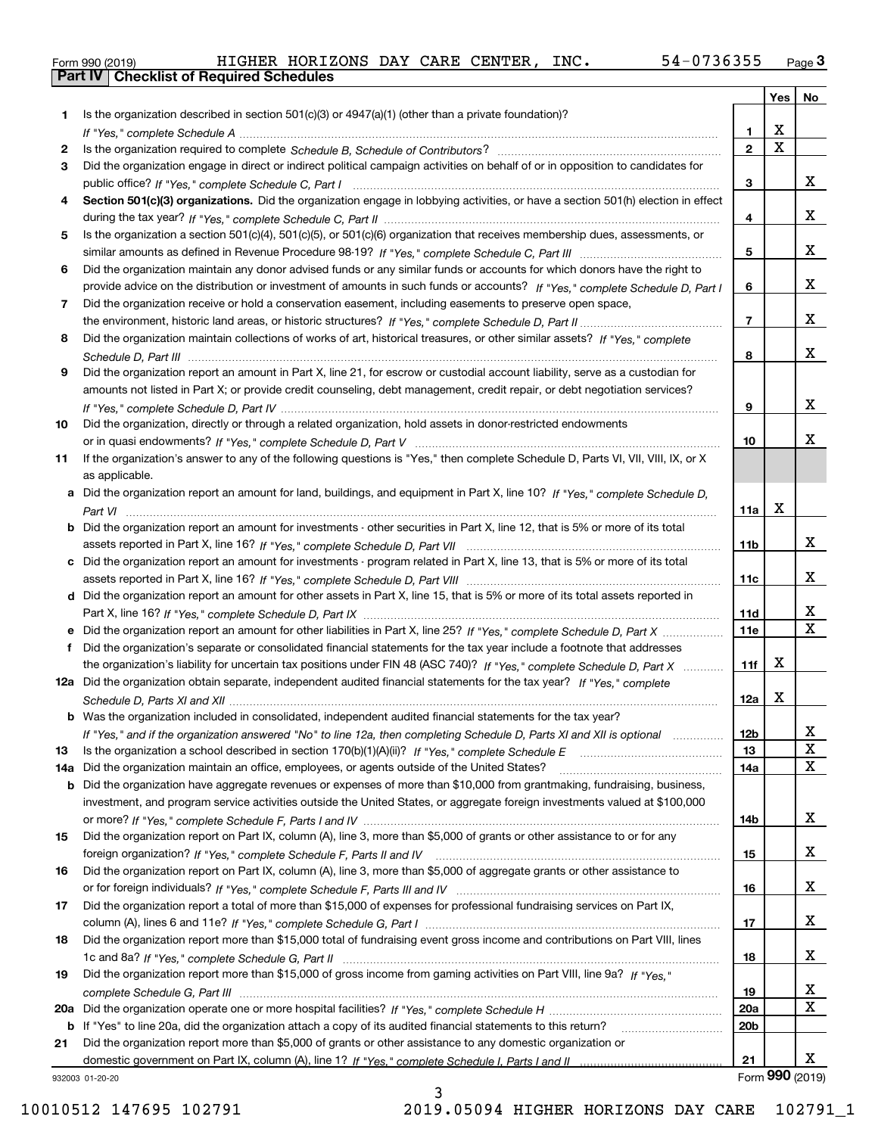|  | Form 990 (2019) |  |
|--|-----------------|--|

| Is the organization described in section $501(c)(3)$ or $4947(a)(1)$ (other than a private foundation)?<br>1<br>X<br>1.<br>$\overline{\mathbf{x}}$<br>$\overline{2}$<br>2<br>Did the organization engage in direct or indirect political campaign activities on behalf of or in opposition to candidates for<br>3<br>x<br>3<br>Section 501(c)(3) organizations. Did the organization engage in lobbying activities, or have a section 501(h) election in effect<br>4<br>x<br>4<br>Is the organization a section 501(c)(4), 501(c)(5), or 501(c)(6) organization that receives membership dues, assessments, or<br>5.<br>x<br>5<br>Did the organization maintain any donor advised funds or any similar funds or accounts for which donors have the right to<br>6<br>x<br>provide advice on the distribution or investment of amounts in such funds or accounts? If "Yes," complete Schedule D, Part I<br>6<br>Did the organization receive or hold a conservation easement, including easements to preserve open space,<br>7<br>x<br>$\overline{7}$<br>Did the organization maintain collections of works of art, historical treasures, or other similar assets? If "Yes," complete<br>8<br>x<br>8<br>Did the organization report an amount in Part X, line 21, for escrow or custodial account liability, serve as a custodian for<br>9<br>amounts not listed in Part X; or provide credit counseling, debt management, credit repair, or debt negotiation services?<br>x<br>9<br>Did the organization, directly or through a related organization, hold assets in donor-restricted endowments<br>10<br>x.<br>10<br>If the organization's answer to any of the following questions is "Yes," then complete Schedule D, Parts VI, VII, VIII, IX, or X<br>11<br>as applicable.<br>Did the organization report an amount for land, buildings, and equipment in Part X, line 10? If "Yes," complete Schedule D,<br>a<br>Χ<br>11a<br>Did the organization report an amount for investments - other securities in Part X, line 12, that is 5% or more of its total<br>b<br>x<br>11 <sub>b</sub><br>Did the organization report an amount for investments - program related in Part X, line 13, that is 5% or more of its total<br>c<br>X.<br>11c<br>d Did the organization report an amount for other assets in Part X, line 15, that is 5% or more of its total assets reported in<br>x<br>11d<br>$\mathbf{x}$<br>11e<br>Did the organization report an amount for other liabilities in Part X, line 25? If "Yes," complete Schedule D, Part X<br>е<br>Did the organization's separate or consolidated financial statements for the tax year include a footnote that addresses<br>f<br>Χ<br>the organization's liability for uncertain tax positions under FIN 48 (ASC 740)? If "Yes," complete Schedule D, Part X<br>11f<br>12a Did the organization obtain separate, independent audited financial statements for the tax year? If "Yes," complete<br>X<br>12a<br><b>b</b> Was the organization included in consolidated, independent audited financial statements for the tax year?<br>If "Yes," and if the organization answered "No" to line 12a, then completing Schedule D, Parts XI and XII is optional<br>12b<br>ᅀ<br>X<br>13<br>13<br>х<br>Did the organization maintain an office, employees, or agents outside of the United States?<br>14a<br>14a<br>Did the organization have aggregate revenues or expenses of more than \$10,000 from grantmaking, fundraising, business,<br>b<br>investment, and program service activities outside the United States, or aggregate foreign investments valued at \$100,000<br>x<br>14b<br>Did the organization report on Part IX, column (A), line 3, more than \$5,000 of grants or other assistance to or for any<br>15<br>x<br>15<br>Did the organization report on Part IX, column (A), line 3, more than \$5,000 of aggregate grants or other assistance to<br>16<br>x<br>16<br>Did the organization report a total of more than \$15,000 of expenses for professional fundraising services on Part IX,<br>17<br>x<br>17<br>Did the organization report more than \$15,000 total of fundraising event gross income and contributions on Part VIII, lines<br>18<br>x<br>18<br>Did the organization report more than \$15,000 of gross income from gaming activities on Part VIII, line 9a? If "Yes."<br>19<br>x<br>19<br>х<br>20a<br>20a<br>20 <sub>b</sub><br>If "Yes" to line 20a, did the organization attach a copy of its audited financial statements to this return?<br>b<br>Did the organization report more than \$5,000 of grants or other assistance to any domestic organization or<br>21<br>x<br>21<br>932003 01-20-20 |  | Yes | No |
|---------------------------------------------------------------------------------------------------------------------------------------------------------------------------------------------------------------------------------------------------------------------------------------------------------------------------------------------------------------------------------------------------------------------------------------------------------------------------------------------------------------------------------------------------------------------------------------------------------------------------------------------------------------------------------------------------------------------------------------------------------------------------------------------------------------------------------------------------------------------------------------------------------------------------------------------------------------------------------------------------------------------------------------------------------------------------------------------------------------------------------------------------------------------------------------------------------------------------------------------------------------------------------------------------------------------------------------------------------------------------------------------------------------------------------------------------------------------------------------------------------------------------------------------------------------------------------------------------------------------------------------------------------------------------------------------------------------------------------------------------------------------------------------------------------------------------------------------------------------------------------------------------------------------------------------------------------------------------------------------------------------------------------------------------------------------------------------------------------------------------------------------------------------------------------------------------------------------------------------------------------------------------------------------------------------------------------------------------------------------------------------------------------------------------------------------------------------------------------------------------------------------------------------------------------------------------------------------------------------------------------------------------------------------------------------------------------------------------------------------------------------------------------------------------------------------------------------------------------------------------------------------------------------------------------------------------------------------------------------------------------------------------------------------------------------------------------------------------------------------------------------------------------------------------------------------------------------------------------------------------------------------------------------------------------------------------------------------------------------------------------------------------------------------------------------------------------------------------------------------------------------------------------------------------------------------------------------------------------------------------------------------------------------------------------------------------------------------------------------------------------------------------------------------------------------------------------------------------------------------------------------------------------------------------------------------------------------------------------------------------------------------------------------------------------------------------------------------------------------------------------------------------------------------------------------------------------------------------------------------------------------------------------------------------------------------------------------------------------------------------------------------------------------------------------------------------------------------------------------------------------------------------------------------------------------------------------------------------------------------------------------------------------------------------------------|--|-----|----|
|                                                                                                                                                                                                                                                                                                                                                                                                                                                                                                                                                                                                                                                                                                                                                                                                                                                                                                                                                                                                                                                                                                                                                                                                                                                                                                                                                                                                                                                                                                                                                                                                                                                                                                                                                                                                                                                                                                                                                                                                                                                                                                                                                                                                                                                                                                                                                                                                                                                                                                                                                                                                                                                                                                                                                                                                                                                                                                                                                                                                                                                                                                                                                                                                                                                                                                                                                                                                                                                                                                                                                                                                                                                                                                                                                                                                                                                                                                                                                                                                                                                                                                                                                                                                                                                                                                                                                                                                                                                                                                                                                                                                                                                                                       |  |     |    |
|                                                                                                                                                                                                                                                                                                                                                                                                                                                                                                                                                                                                                                                                                                                                                                                                                                                                                                                                                                                                                                                                                                                                                                                                                                                                                                                                                                                                                                                                                                                                                                                                                                                                                                                                                                                                                                                                                                                                                                                                                                                                                                                                                                                                                                                                                                                                                                                                                                                                                                                                                                                                                                                                                                                                                                                                                                                                                                                                                                                                                                                                                                                                                                                                                                                                                                                                                                                                                                                                                                                                                                                                                                                                                                                                                                                                                                                                                                                                                                                                                                                                                                                                                                                                                                                                                                                                                                                                                                                                                                                                                                                                                                                                                       |  |     |    |
|                                                                                                                                                                                                                                                                                                                                                                                                                                                                                                                                                                                                                                                                                                                                                                                                                                                                                                                                                                                                                                                                                                                                                                                                                                                                                                                                                                                                                                                                                                                                                                                                                                                                                                                                                                                                                                                                                                                                                                                                                                                                                                                                                                                                                                                                                                                                                                                                                                                                                                                                                                                                                                                                                                                                                                                                                                                                                                                                                                                                                                                                                                                                                                                                                                                                                                                                                                                                                                                                                                                                                                                                                                                                                                                                                                                                                                                                                                                                                                                                                                                                                                                                                                                                                                                                                                                                                                                                                                                                                                                                                                                                                                                                                       |  |     |    |
|                                                                                                                                                                                                                                                                                                                                                                                                                                                                                                                                                                                                                                                                                                                                                                                                                                                                                                                                                                                                                                                                                                                                                                                                                                                                                                                                                                                                                                                                                                                                                                                                                                                                                                                                                                                                                                                                                                                                                                                                                                                                                                                                                                                                                                                                                                                                                                                                                                                                                                                                                                                                                                                                                                                                                                                                                                                                                                                                                                                                                                                                                                                                                                                                                                                                                                                                                                                                                                                                                                                                                                                                                                                                                                                                                                                                                                                                                                                                                                                                                                                                                                                                                                                                                                                                                                                                                                                                                                                                                                                                                                                                                                                                                       |  |     |    |
|                                                                                                                                                                                                                                                                                                                                                                                                                                                                                                                                                                                                                                                                                                                                                                                                                                                                                                                                                                                                                                                                                                                                                                                                                                                                                                                                                                                                                                                                                                                                                                                                                                                                                                                                                                                                                                                                                                                                                                                                                                                                                                                                                                                                                                                                                                                                                                                                                                                                                                                                                                                                                                                                                                                                                                                                                                                                                                                                                                                                                                                                                                                                                                                                                                                                                                                                                                                                                                                                                                                                                                                                                                                                                                                                                                                                                                                                                                                                                                                                                                                                                                                                                                                                                                                                                                                                                                                                                                                                                                                                                                                                                                                                                       |  |     |    |
|                                                                                                                                                                                                                                                                                                                                                                                                                                                                                                                                                                                                                                                                                                                                                                                                                                                                                                                                                                                                                                                                                                                                                                                                                                                                                                                                                                                                                                                                                                                                                                                                                                                                                                                                                                                                                                                                                                                                                                                                                                                                                                                                                                                                                                                                                                                                                                                                                                                                                                                                                                                                                                                                                                                                                                                                                                                                                                                                                                                                                                                                                                                                                                                                                                                                                                                                                                                                                                                                                                                                                                                                                                                                                                                                                                                                                                                                                                                                                                                                                                                                                                                                                                                                                                                                                                                                                                                                                                                                                                                                                                                                                                                                                       |  |     |    |
|                                                                                                                                                                                                                                                                                                                                                                                                                                                                                                                                                                                                                                                                                                                                                                                                                                                                                                                                                                                                                                                                                                                                                                                                                                                                                                                                                                                                                                                                                                                                                                                                                                                                                                                                                                                                                                                                                                                                                                                                                                                                                                                                                                                                                                                                                                                                                                                                                                                                                                                                                                                                                                                                                                                                                                                                                                                                                                                                                                                                                                                                                                                                                                                                                                                                                                                                                                                                                                                                                                                                                                                                                                                                                                                                                                                                                                                                                                                                                                                                                                                                                                                                                                                                                                                                                                                                                                                                                                                                                                                                                                                                                                                                                       |  |     |    |
|                                                                                                                                                                                                                                                                                                                                                                                                                                                                                                                                                                                                                                                                                                                                                                                                                                                                                                                                                                                                                                                                                                                                                                                                                                                                                                                                                                                                                                                                                                                                                                                                                                                                                                                                                                                                                                                                                                                                                                                                                                                                                                                                                                                                                                                                                                                                                                                                                                                                                                                                                                                                                                                                                                                                                                                                                                                                                                                                                                                                                                                                                                                                                                                                                                                                                                                                                                                                                                                                                                                                                                                                                                                                                                                                                                                                                                                                                                                                                                                                                                                                                                                                                                                                                                                                                                                                                                                                                                                                                                                                                                                                                                                                                       |  |     |    |
|                                                                                                                                                                                                                                                                                                                                                                                                                                                                                                                                                                                                                                                                                                                                                                                                                                                                                                                                                                                                                                                                                                                                                                                                                                                                                                                                                                                                                                                                                                                                                                                                                                                                                                                                                                                                                                                                                                                                                                                                                                                                                                                                                                                                                                                                                                                                                                                                                                                                                                                                                                                                                                                                                                                                                                                                                                                                                                                                                                                                                                                                                                                                                                                                                                                                                                                                                                                                                                                                                                                                                                                                                                                                                                                                                                                                                                                                                                                                                                                                                                                                                                                                                                                                                                                                                                                                                                                                                                                                                                                                                                                                                                                                                       |  |     |    |
|                                                                                                                                                                                                                                                                                                                                                                                                                                                                                                                                                                                                                                                                                                                                                                                                                                                                                                                                                                                                                                                                                                                                                                                                                                                                                                                                                                                                                                                                                                                                                                                                                                                                                                                                                                                                                                                                                                                                                                                                                                                                                                                                                                                                                                                                                                                                                                                                                                                                                                                                                                                                                                                                                                                                                                                                                                                                                                                                                                                                                                                                                                                                                                                                                                                                                                                                                                                                                                                                                                                                                                                                                                                                                                                                                                                                                                                                                                                                                                                                                                                                                                                                                                                                                                                                                                                                                                                                                                                                                                                                                                                                                                                                                       |  |     |    |
|                                                                                                                                                                                                                                                                                                                                                                                                                                                                                                                                                                                                                                                                                                                                                                                                                                                                                                                                                                                                                                                                                                                                                                                                                                                                                                                                                                                                                                                                                                                                                                                                                                                                                                                                                                                                                                                                                                                                                                                                                                                                                                                                                                                                                                                                                                                                                                                                                                                                                                                                                                                                                                                                                                                                                                                                                                                                                                                                                                                                                                                                                                                                                                                                                                                                                                                                                                                                                                                                                                                                                                                                                                                                                                                                                                                                                                                                                                                                                                                                                                                                                                                                                                                                                                                                                                                                                                                                                                                                                                                                                                                                                                                                                       |  |     |    |
|                                                                                                                                                                                                                                                                                                                                                                                                                                                                                                                                                                                                                                                                                                                                                                                                                                                                                                                                                                                                                                                                                                                                                                                                                                                                                                                                                                                                                                                                                                                                                                                                                                                                                                                                                                                                                                                                                                                                                                                                                                                                                                                                                                                                                                                                                                                                                                                                                                                                                                                                                                                                                                                                                                                                                                                                                                                                                                                                                                                                                                                                                                                                                                                                                                                                                                                                                                                                                                                                                                                                                                                                                                                                                                                                                                                                                                                                                                                                                                                                                                                                                                                                                                                                                                                                                                                                                                                                                                                                                                                                                                                                                                                                                       |  |     |    |
|                                                                                                                                                                                                                                                                                                                                                                                                                                                                                                                                                                                                                                                                                                                                                                                                                                                                                                                                                                                                                                                                                                                                                                                                                                                                                                                                                                                                                                                                                                                                                                                                                                                                                                                                                                                                                                                                                                                                                                                                                                                                                                                                                                                                                                                                                                                                                                                                                                                                                                                                                                                                                                                                                                                                                                                                                                                                                                                                                                                                                                                                                                                                                                                                                                                                                                                                                                                                                                                                                                                                                                                                                                                                                                                                                                                                                                                                                                                                                                                                                                                                                                                                                                                                                                                                                                                                                                                                                                                                                                                                                                                                                                                                                       |  |     |    |
|                                                                                                                                                                                                                                                                                                                                                                                                                                                                                                                                                                                                                                                                                                                                                                                                                                                                                                                                                                                                                                                                                                                                                                                                                                                                                                                                                                                                                                                                                                                                                                                                                                                                                                                                                                                                                                                                                                                                                                                                                                                                                                                                                                                                                                                                                                                                                                                                                                                                                                                                                                                                                                                                                                                                                                                                                                                                                                                                                                                                                                                                                                                                                                                                                                                                                                                                                                                                                                                                                                                                                                                                                                                                                                                                                                                                                                                                                                                                                                                                                                                                                                                                                                                                                                                                                                                                                                                                                                                                                                                                                                                                                                                                                       |  |     |    |
|                                                                                                                                                                                                                                                                                                                                                                                                                                                                                                                                                                                                                                                                                                                                                                                                                                                                                                                                                                                                                                                                                                                                                                                                                                                                                                                                                                                                                                                                                                                                                                                                                                                                                                                                                                                                                                                                                                                                                                                                                                                                                                                                                                                                                                                                                                                                                                                                                                                                                                                                                                                                                                                                                                                                                                                                                                                                                                                                                                                                                                                                                                                                                                                                                                                                                                                                                                                                                                                                                                                                                                                                                                                                                                                                                                                                                                                                                                                                                                                                                                                                                                                                                                                                                                                                                                                                                                                                                                                                                                                                                                                                                                                                                       |  |     |    |
|                                                                                                                                                                                                                                                                                                                                                                                                                                                                                                                                                                                                                                                                                                                                                                                                                                                                                                                                                                                                                                                                                                                                                                                                                                                                                                                                                                                                                                                                                                                                                                                                                                                                                                                                                                                                                                                                                                                                                                                                                                                                                                                                                                                                                                                                                                                                                                                                                                                                                                                                                                                                                                                                                                                                                                                                                                                                                                                                                                                                                                                                                                                                                                                                                                                                                                                                                                                                                                                                                                                                                                                                                                                                                                                                                                                                                                                                                                                                                                                                                                                                                                                                                                                                                                                                                                                                                                                                                                                                                                                                                                                                                                                                                       |  |     |    |
|                                                                                                                                                                                                                                                                                                                                                                                                                                                                                                                                                                                                                                                                                                                                                                                                                                                                                                                                                                                                                                                                                                                                                                                                                                                                                                                                                                                                                                                                                                                                                                                                                                                                                                                                                                                                                                                                                                                                                                                                                                                                                                                                                                                                                                                                                                                                                                                                                                                                                                                                                                                                                                                                                                                                                                                                                                                                                                                                                                                                                                                                                                                                                                                                                                                                                                                                                                                                                                                                                                                                                                                                                                                                                                                                                                                                                                                                                                                                                                                                                                                                                                                                                                                                                                                                                                                                                                                                                                                                                                                                                                                                                                                                                       |  |     |    |
|                                                                                                                                                                                                                                                                                                                                                                                                                                                                                                                                                                                                                                                                                                                                                                                                                                                                                                                                                                                                                                                                                                                                                                                                                                                                                                                                                                                                                                                                                                                                                                                                                                                                                                                                                                                                                                                                                                                                                                                                                                                                                                                                                                                                                                                                                                                                                                                                                                                                                                                                                                                                                                                                                                                                                                                                                                                                                                                                                                                                                                                                                                                                                                                                                                                                                                                                                                                                                                                                                                                                                                                                                                                                                                                                                                                                                                                                                                                                                                                                                                                                                                                                                                                                                                                                                                                                                                                                                                                                                                                                                                                                                                                                                       |  |     |    |
|                                                                                                                                                                                                                                                                                                                                                                                                                                                                                                                                                                                                                                                                                                                                                                                                                                                                                                                                                                                                                                                                                                                                                                                                                                                                                                                                                                                                                                                                                                                                                                                                                                                                                                                                                                                                                                                                                                                                                                                                                                                                                                                                                                                                                                                                                                                                                                                                                                                                                                                                                                                                                                                                                                                                                                                                                                                                                                                                                                                                                                                                                                                                                                                                                                                                                                                                                                                                                                                                                                                                                                                                                                                                                                                                                                                                                                                                                                                                                                                                                                                                                                                                                                                                                                                                                                                                                                                                                                                                                                                                                                                                                                                                                       |  |     |    |
|                                                                                                                                                                                                                                                                                                                                                                                                                                                                                                                                                                                                                                                                                                                                                                                                                                                                                                                                                                                                                                                                                                                                                                                                                                                                                                                                                                                                                                                                                                                                                                                                                                                                                                                                                                                                                                                                                                                                                                                                                                                                                                                                                                                                                                                                                                                                                                                                                                                                                                                                                                                                                                                                                                                                                                                                                                                                                                                                                                                                                                                                                                                                                                                                                                                                                                                                                                                                                                                                                                                                                                                                                                                                                                                                                                                                                                                                                                                                                                                                                                                                                                                                                                                                                                                                                                                                                                                                                                                                                                                                                                                                                                                                                       |  |     |    |
|                                                                                                                                                                                                                                                                                                                                                                                                                                                                                                                                                                                                                                                                                                                                                                                                                                                                                                                                                                                                                                                                                                                                                                                                                                                                                                                                                                                                                                                                                                                                                                                                                                                                                                                                                                                                                                                                                                                                                                                                                                                                                                                                                                                                                                                                                                                                                                                                                                                                                                                                                                                                                                                                                                                                                                                                                                                                                                                                                                                                                                                                                                                                                                                                                                                                                                                                                                                                                                                                                                                                                                                                                                                                                                                                                                                                                                                                                                                                                                                                                                                                                                                                                                                                                                                                                                                                                                                                                                                                                                                                                                                                                                                                                       |  |     |    |
|                                                                                                                                                                                                                                                                                                                                                                                                                                                                                                                                                                                                                                                                                                                                                                                                                                                                                                                                                                                                                                                                                                                                                                                                                                                                                                                                                                                                                                                                                                                                                                                                                                                                                                                                                                                                                                                                                                                                                                                                                                                                                                                                                                                                                                                                                                                                                                                                                                                                                                                                                                                                                                                                                                                                                                                                                                                                                                                                                                                                                                                                                                                                                                                                                                                                                                                                                                                                                                                                                                                                                                                                                                                                                                                                                                                                                                                                                                                                                                                                                                                                                                                                                                                                                                                                                                                                                                                                                                                                                                                                                                                                                                                                                       |  |     |    |
|                                                                                                                                                                                                                                                                                                                                                                                                                                                                                                                                                                                                                                                                                                                                                                                                                                                                                                                                                                                                                                                                                                                                                                                                                                                                                                                                                                                                                                                                                                                                                                                                                                                                                                                                                                                                                                                                                                                                                                                                                                                                                                                                                                                                                                                                                                                                                                                                                                                                                                                                                                                                                                                                                                                                                                                                                                                                                                                                                                                                                                                                                                                                                                                                                                                                                                                                                                                                                                                                                                                                                                                                                                                                                                                                                                                                                                                                                                                                                                                                                                                                                                                                                                                                                                                                                                                                                                                                                                                                                                                                                                                                                                                                                       |  |     |    |
|                                                                                                                                                                                                                                                                                                                                                                                                                                                                                                                                                                                                                                                                                                                                                                                                                                                                                                                                                                                                                                                                                                                                                                                                                                                                                                                                                                                                                                                                                                                                                                                                                                                                                                                                                                                                                                                                                                                                                                                                                                                                                                                                                                                                                                                                                                                                                                                                                                                                                                                                                                                                                                                                                                                                                                                                                                                                                                                                                                                                                                                                                                                                                                                                                                                                                                                                                                                                                                                                                                                                                                                                                                                                                                                                                                                                                                                                                                                                                                                                                                                                                                                                                                                                                                                                                                                                                                                                                                                                                                                                                                                                                                                                                       |  |     |    |
|                                                                                                                                                                                                                                                                                                                                                                                                                                                                                                                                                                                                                                                                                                                                                                                                                                                                                                                                                                                                                                                                                                                                                                                                                                                                                                                                                                                                                                                                                                                                                                                                                                                                                                                                                                                                                                                                                                                                                                                                                                                                                                                                                                                                                                                                                                                                                                                                                                                                                                                                                                                                                                                                                                                                                                                                                                                                                                                                                                                                                                                                                                                                                                                                                                                                                                                                                                                                                                                                                                                                                                                                                                                                                                                                                                                                                                                                                                                                                                                                                                                                                                                                                                                                                                                                                                                                                                                                                                                                                                                                                                                                                                                                                       |  |     |    |
|                                                                                                                                                                                                                                                                                                                                                                                                                                                                                                                                                                                                                                                                                                                                                                                                                                                                                                                                                                                                                                                                                                                                                                                                                                                                                                                                                                                                                                                                                                                                                                                                                                                                                                                                                                                                                                                                                                                                                                                                                                                                                                                                                                                                                                                                                                                                                                                                                                                                                                                                                                                                                                                                                                                                                                                                                                                                                                                                                                                                                                                                                                                                                                                                                                                                                                                                                                                                                                                                                                                                                                                                                                                                                                                                                                                                                                                                                                                                                                                                                                                                                                                                                                                                                                                                                                                                                                                                                                                                                                                                                                                                                                                                                       |  |     |    |
|                                                                                                                                                                                                                                                                                                                                                                                                                                                                                                                                                                                                                                                                                                                                                                                                                                                                                                                                                                                                                                                                                                                                                                                                                                                                                                                                                                                                                                                                                                                                                                                                                                                                                                                                                                                                                                                                                                                                                                                                                                                                                                                                                                                                                                                                                                                                                                                                                                                                                                                                                                                                                                                                                                                                                                                                                                                                                                                                                                                                                                                                                                                                                                                                                                                                                                                                                                                                                                                                                                                                                                                                                                                                                                                                                                                                                                                                                                                                                                                                                                                                                                                                                                                                                                                                                                                                                                                                                                                                                                                                                                                                                                                                                       |  |     |    |
|                                                                                                                                                                                                                                                                                                                                                                                                                                                                                                                                                                                                                                                                                                                                                                                                                                                                                                                                                                                                                                                                                                                                                                                                                                                                                                                                                                                                                                                                                                                                                                                                                                                                                                                                                                                                                                                                                                                                                                                                                                                                                                                                                                                                                                                                                                                                                                                                                                                                                                                                                                                                                                                                                                                                                                                                                                                                                                                                                                                                                                                                                                                                                                                                                                                                                                                                                                                                                                                                                                                                                                                                                                                                                                                                                                                                                                                                                                                                                                                                                                                                                                                                                                                                                                                                                                                                                                                                                                                                                                                                                                                                                                                                                       |  |     |    |
|                                                                                                                                                                                                                                                                                                                                                                                                                                                                                                                                                                                                                                                                                                                                                                                                                                                                                                                                                                                                                                                                                                                                                                                                                                                                                                                                                                                                                                                                                                                                                                                                                                                                                                                                                                                                                                                                                                                                                                                                                                                                                                                                                                                                                                                                                                                                                                                                                                                                                                                                                                                                                                                                                                                                                                                                                                                                                                                                                                                                                                                                                                                                                                                                                                                                                                                                                                                                                                                                                                                                                                                                                                                                                                                                                                                                                                                                                                                                                                                                                                                                                                                                                                                                                                                                                                                                                                                                                                                                                                                                                                                                                                                                                       |  |     |    |
|                                                                                                                                                                                                                                                                                                                                                                                                                                                                                                                                                                                                                                                                                                                                                                                                                                                                                                                                                                                                                                                                                                                                                                                                                                                                                                                                                                                                                                                                                                                                                                                                                                                                                                                                                                                                                                                                                                                                                                                                                                                                                                                                                                                                                                                                                                                                                                                                                                                                                                                                                                                                                                                                                                                                                                                                                                                                                                                                                                                                                                                                                                                                                                                                                                                                                                                                                                                                                                                                                                                                                                                                                                                                                                                                                                                                                                                                                                                                                                                                                                                                                                                                                                                                                                                                                                                                                                                                                                                                                                                                                                                                                                                                                       |  |     |    |
|                                                                                                                                                                                                                                                                                                                                                                                                                                                                                                                                                                                                                                                                                                                                                                                                                                                                                                                                                                                                                                                                                                                                                                                                                                                                                                                                                                                                                                                                                                                                                                                                                                                                                                                                                                                                                                                                                                                                                                                                                                                                                                                                                                                                                                                                                                                                                                                                                                                                                                                                                                                                                                                                                                                                                                                                                                                                                                                                                                                                                                                                                                                                                                                                                                                                                                                                                                                                                                                                                                                                                                                                                                                                                                                                                                                                                                                                                                                                                                                                                                                                                                                                                                                                                                                                                                                                                                                                                                                                                                                                                                                                                                                                                       |  |     |    |
|                                                                                                                                                                                                                                                                                                                                                                                                                                                                                                                                                                                                                                                                                                                                                                                                                                                                                                                                                                                                                                                                                                                                                                                                                                                                                                                                                                                                                                                                                                                                                                                                                                                                                                                                                                                                                                                                                                                                                                                                                                                                                                                                                                                                                                                                                                                                                                                                                                                                                                                                                                                                                                                                                                                                                                                                                                                                                                                                                                                                                                                                                                                                                                                                                                                                                                                                                                                                                                                                                                                                                                                                                                                                                                                                                                                                                                                                                                                                                                                                                                                                                                                                                                                                                                                                                                                                                                                                                                                                                                                                                                                                                                                                                       |  |     |    |
|                                                                                                                                                                                                                                                                                                                                                                                                                                                                                                                                                                                                                                                                                                                                                                                                                                                                                                                                                                                                                                                                                                                                                                                                                                                                                                                                                                                                                                                                                                                                                                                                                                                                                                                                                                                                                                                                                                                                                                                                                                                                                                                                                                                                                                                                                                                                                                                                                                                                                                                                                                                                                                                                                                                                                                                                                                                                                                                                                                                                                                                                                                                                                                                                                                                                                                                                                                                                                                                                                                                                                                                                                                                                                                                                                                                                                                                                                                                                                                                                                                                                                                                                                                                                                                                                                                                                                                                                                                                                                                                                                                                                                                                                                       |  |     |    |
|                                                                                                                                                                                                                                                                                                                                                                                                                                                                                                                                                                                                                                                                                                                                                                                                                                                                                                                                                                                                                                                                                                                                                                                                                                                                                                                                                                                                                                                                                                                                                                                                                                                                                                                                                                                                                                                                                                                                                                                                                                                                                                                                                                                                                                                                                                                                                                                                                                                                                                                                                                                                                                                                                                                                                                                                                                                                                                                                                                                                                                                                                                                                                                                                                                                                                                                                                                                                                                                                                                                                                                                                                                                                                                                                                                                                                                                                                                                                                                                                                                                                                                                                                                                                                                                                                                                                                                                                                                                                                                                                                                                                                                                                                       |  |     |    |
|                                                                                                                                                                                                                                                                                                                                                                                                                                                                                                                                                                                                                                                                                                                                                                                                                                                                                                                                                                                                                                                                                                                                                                                                                                                                                                                                                                                                                                                                                                                                                                                                                                                                                                                                                                                                                                                                                                                                                                                                                                                                                                                                                                                                                                                                                                                                                                                                                                                                                                                                                                                                                                                                                                                                                                                                                                                                                                                                                                                                                                                                                                                                                                                                                                                                                                                                                                                                                                                                                                                                                                                                                                                                                                                                                                                                                                                                                                                                                                                                                                                                                                                                                                                                                                                                                                                                                                                                                                                                                                                                                                                                                                                                                       |  |     |    |
|                                                                                                                                                                                                                                                                                                                                                                                                                                                                                                                                                                                                                                                                                                                                                                                                                                                                                                                                                                                                                                                                                                                                                                                                                                                                                                                                                                                                                                                                                                                                                                                                                                                                                                                                                                                                                                                                                                                                                                                                                                                                                                                                                                                                                                                                                                                                                                                                                                                                                                                                                                                                                                                                                                                                                                                                                                                                                                                                                                                                                                                                                                                                                                                                                                                                                                                                                                                                                                                                                                                                                                                                                                                                                                                                                                                                                                                                                                                                                                                                                                                                                                                                                                                                                                                                                                                                                                                                                                                                                                                                                                                                                                                                                       |  |     |    |
|                                                                                                                                                                                                                                                                                                                                                                                                                                                                                                                                                                                                                                                                                                                                                                                                                                                                                                                                                                                                                                                                                                                                                                                                                                                                                                                                                                                                                                                                                                                                                                                                                                                                                                                                                                                                                                                                                                                                                                                                                                                                                                                                                                                                                                                                                                                                                                                                                                                                                                                                                                                                                                                                                                                                                                                                                                                                                                                                                                                                                                                                                                                                                                                                                                                                                                                                                                                                                                                                                                                                                                                                                                                                                                                                                                                                                                                                                                                                                                                                                                                                                                                                                                                                                                                                                                                                                                                                                                                                                                                                                                                                                                                                                       |  |     |    |
|                                                                                                                                                                                                                                                                                                                                                                                                                                                                                                                                                                                                                                                                                                                                                                                                                                                                                                                                                                                                                                                                                                                                                                                                                                                                                                                                                                                                                                                                                                                                                                                                                                                                                                                                                                                                                                                                                                                                                                                                                                                                                                                                                                                                                                                                                                                                                                                                                                                                                                                                                                                                                                                                                                                                                                                                                                                                                                                                                                                                                                                                                                                                                                                                                                                                                                                                                                                                                                                                                                                                                                                                                                                                                                                                                                                                                                                                                                                                                                                                                                                                                                                                                                                                                                                                                                                                                                                                                                                                                                                                                                                                                                                                                       |  |     |    |
|                                                                                                                                                                                                                                                                                                                                                                                                                                                                                                                                                                                                                                                                                                                                                                                                                                                                                                                                                                                                                                                                                                                                                                                                                                                                                                                                                                                                                                                                                                                                                                                                                                                                                                                                                                                                                                                                                                                                                                                                                                                                                                                                                                                                                                                                                                                                                                                                                                                                                                                                                                                                                                                                                                                                                                                                                                                                                                                                                                                                                                                                                                                                                                                                                                                                                                                                                                                                                                                                                                                                                                                                                                                                                                                                                                                                                                                                                                                                                                                                                                                                                                                                                                                                                                                                                                                                                                                                                                                                                                                                                                                                                                                                                       |  |     |    |
|                                                                                                                                                                                                                                                                                                                                                                                                                                                                                                                                                                                                                                                                                                                                                                                                                                                                                                                                                                                                                                                                                                                                                                                                                                                                                                                                                                                                                                                                                                                                                                                                                                                                                                                                                                                                                                                                                                                                                                                                                                                                                                                                                                                                                                                                                                                                                                                                                                                                                                                                                                                                                                                                                                                                                                                                                                                                                                                                                                                                                                                                                                                                                                                                                                                                                                                                                                                                                                                                                                                                                                                                                                                                                                                                                                                                                                                                                                                                                                                                                                                                                                                                                                                                                                                                                                                                                                                                                                                                                                                                                                                                                                                                                       |  |     |    |
|                                                                                                                                                                                                                                                                                                                                                                                                                                                                                                                                                                                                                                                                                                                                                                                                                                                                                                                                                                                                                                                                                                                                                                                                                                                                                                                                                                                                                                                                                                                                                                                                                                                                                                                                                                                                                                                                                                                                                                                                                                                                                                                                                                                                                                                                                                                                                                                                                                                                                                                                                                                                                                                                                                                                                                                                                                                                                                                                                                                                                                                                                                                                                                                                                                                                                                                                                                                                                                                                                                                                                                                                                                                                                                                                                                                                                                                                                                                                                                                                                                                                                                                                                                                                                                                                                                                                                                                                                                                                                                                                                                                                                                                                                       |  |     |    |
|                                                                                                                                                                                                                                                                                                                                                                                                                                                                                                                                                                                                                                                                                                                                                                                                                                                                                                                                                                                                                                                                                                                                                                                                                                                                                                                                                                                                                                                                                                                                                                                                                                                                                                                                                                                                                                                                                                                                                                                                                                                                                                                                                                                                                                                                                                                                                                                                                                                                                                                                                                                                                                                                                                                                                                                                                                                                                                                                                                                                                                                                                                                                                                                                                                                                                                                                                                                                                                                                                                                                                                                                                                                                                                                                                                                                                                                                                                                                                                                                                                                                                                                                                                                                                                                                                                                                                                                                                                                                                                                                                                                                                                                                                       |  |     |    |
|                                                                                                                                                                                                                                                                                                                                                                                                                                                                                                                                                                                                                                                                                                                                                                                                                                                                                                                                                                                                                                                                                                                                                                                                                                                                                                                                                                                                                                                                                                                                                                                                                                                                                                                                                                                                                                                                                                                                                                                                                                                                                                                                                                                                                                                                                                                                                                                                                                                                                                                                                                                                                                                                                                                                                                                                                                                                                                                                                                                                                                                                                                                                                                                                                                                                                                                                                                                                                                                                                                                                                                                                                                                                                                                                                                                                                                                                                                                                                                                                                                                                                                                                                                                                                                                                                                                                                                                                                                                                                                                                                                                                                                                                                       |  |     |    |
|                                                                                                                                                                                                                                                                                                                                                                                                                                                                                                                                                                                                                                                                                                                                                                                                                                                                                                                                                                                                                                                                                                                                                                                                                                                                                                                                                                                                                                                                                                                                                                                                                                                                                                                                                                                                                                                                                                                                                                                                                                                                                                                                                                                                                                                                                                                                                                                                                                                                                                                                                                                                                                                                                                                                                                                                                                                                                                                                                                                                                                                                                                                                                                                                                                                                                                                                                                                                                                                                                                                                                                                                                                                                                                                                                                                                                                                                                                                                                                                                                                                                                                                                                                                                                                                                                                                                                                                                                                                                                                                                                                                                                                                                                       |  |     |    |
|                                                                                                                                                                                                                                                                                                                                                                                                                                                                                                                                                                                                                                                                                                                                                                                                                                                                                                                                                                                                                                                                                                                                                                                                                                                                                                                                                                                                                                                                                                                                                                                                                                                                                                                                                                                                                                                                                                                                                                                                                                                                                                                                                                                                                                                                                                                                                                                                                                                                                                                                                                                                                                                                                                                                                                                                                                                                                                                                                                                                                                                                                                                                                                                                                                                                                                                                                                                                                                                                                                                                                                                                                                                                                                                                                                                                                                                                                                                                                                                                                                                                                                                                                                                                                                                                                                                                                                                                                                                                                                                                                                                                                                                                                       |  |     |    |
|                                                                                                                                                                                                                                                                                                                                                                                                                                                                                                                                                                                                                                                                                                                                                                                                                                                                                                                                                                                                                                                                                                                                                                                                                                                                                                                                                                                                                                                                                                                                                                                                                                                                                                                                                                                                                                                                                                                                                                                                                                                                                                                                                                                                                                                                                                                                                                                                                                                                                                                                                                                                                                                                                                                                                                                                                                                                                                                                                                                                                                                                                                                                                                                                                                                                                                                                                                                                                                                                                                                                                                                                                                                                                                                                                                                                                                                                                                                                                                                                                                                                                                                                                                                                                                                                                                                                                                                                                                                                                                                                                                                                                                                                                       |  |     |    |
|                                                                                                                                                                                                                                                                                                                                                                                                                                                                                                                                                                                                                                                                                                                                                                                                                                                                                                                                                                                                                                                                                                                                                                                                                                                                                                                                                                                                                                                                                                                                                                                                                                                                                                                                                                                                                                                                                                                                                                                                                                                                                                                                                                                                                                                                                                                                                                                                                                                                                                                                                                                                                                                                                                                                                                                                                                                                                                                                                                                                                                                                                                                                                                                                                                                                                                                                                                                                                                                                                                                                                                                                                                                                                                                                                                                                                                                                                                                                                                                                                                                                                                                                                                                                                                                                                                                                                                                                                                                                                                                                                                                                                                                                                       |  |     |    |
|                                                                                                                                                                                                                                                                                                                                                                                                                                                                                                                                                                                                                                                                                                                                                                                                                                                                                                                                                                                                                                                                                                                                                                                                                                                                                                                                                                                                                                                                                                                                                                                                                                                                                                                                                                                                                                                                                                                                                                                                                                                                                                                                                                                                                                                                                                                                                                                                                                                                                                                                                                                                                                                                                                                                                                                                                                                                                                                                                                                                                                                                                                                                                                                                                                                                                                                                                                                                                                                                                                                                                                                                                                                                                                                                                                                                                                                                                                                                                                                                                                                                                                                                                                                                                                                                                                                                                                                                                                                                                                                                                                                                                                                                                       |  |     |    |
|                                                                                                                                                                                                                                                                                                                                                                                                                                                                                                                                                                                                                                                                                                                                                                                                                                                                                                                                                                                                                                                                                                                                                                                                                                                                                                                                                                                                                                                                                                                                                                                                                                                                                                                                                                                                                                                                                                                                                                                                                                                                                                                                                                                                                                                                                                                                                                                                                                                                                                                                                                                                                                                                                                                                                                                                                                                                                                                                                                                                                                                                                                                                                                                                                                                                                                                                                                                                                                                                                                                                                                                                                                                                                                                                                                                                                                                                                                                                                                                                                                                                                                                                                                                                                                                                                                                                                                                                                                                                                                                                                                                                                                                                                       |  |     |    |
|                                                                                                                                                                                                                                                                                                                                                                                                                                                                                                                                                                                                                                                                                                                                                                                                                                                                                                                                                                                                                                                                                                                                                                                                                                                                                                                                                                                                                                                                                                                                                                                                                                                                                                                                                                                                                                                                                                                                                                                                                                                                                                                                                                                                                                                                                                                                                                                                                                                                                                                                                                                                                                                                                                                                                                                                                                                                                                                                                                                                                                                                                                                                                                                                                                                                                                                                                                                                                                                                                                                                                                                                                                                                                                                                                                                                                                                                                                                                                                                                                                                                                                                                                                                                                                                                                                                                                                                                                                                                                                                                                                                                                                                                                       |  |     |    |
|                                                                                                                                                                                                                                                                                                                                                                                                                                                                                                                                                                                                                                                                                                                                                                                                                                                                                                                                                                                                                                                                                                                                                                                                                                                                                                                                                                                                                                                                                                                                                                                                                                                                                                                                                                                                                                                                                                                                                                                                                                                                                                                                                                                                                                                                                                                                                                                                                                                                                                                                                                                                                                                                                                                                                                                                                                                                                                                                                                                                                                                                                                                                                                                                                                                                                                                                                                                                                                                                                                                                                                                                                                                                                                                                                                                                                                                                                                                                                                                                                                                                                                                                                                                                                                                                                                                                                                                                                                                                                                                                                                                                                                                                                       |  |     |    |
|                                                                                                                                                                                                                                                                                                                                                                                                                                                                                                                                                                                                                                                                                                                                                                                                                                                                                                                                                                                                                                                                                                                                                                                                                                                                                                                                                                                                                                                                                                                                                                                                                                                                                                                                                                                                                                                                                                                                                                                                                                                                                                                                                                                                                                                                                                                                                                                                                                                                                                                                                                                                                                                                                                                                                                                                                                                                                                                                                                                                                                                                                                                                                                                                                                                                                                                                                                                                                                                                                                                                                                                                                                                                                                                                                                                                                                                                                                                                                                                                                                                                                                                                                                                                                                                                                                                                                                                                                                                                                                                                                                                                                                                                                       |  |     |    |
| Form 990 (2019)                                                                                                                                                                                                                                                                                                                                                                                                                                                                                                                                                                                                                                                                                                                                                                                                                                                                                                                                                                                                                                                                                                                                                                                                                                                                                                                                                                                                                                                                                                                                                                                                                                                                                                                                                                                                                                                                                                                                                                                                                                                                                                                                                                                                                                                                                                                                                                                                                                                                                                                                                                                                                                                                                                                                                                                                                                                                                                                                                                                                                                                                                                                                                                                                                                                                                                                                                                                                                                                                                                                                                                                                                                                                                                                                                                                                                                                                                                                                                                                                                                                                                                                                                                                                                                                                                                                                                                                                                                                                                                                                                                                                                                                                       |  |     |    |
|                                                                                                                                                                                                                                                                                                                                                                                                                                                                                                                                                                                                                                                                                                                                                                                                                                                                                                                                                                                                                                                                                                                                                                                                                                                                                                                                                                                                                                                                                                                                                                                                                                                                                                                                                                                                                                                                                                                                                                                                                                                                                                                                                                                                                                                                                                                                                                                                                                                                                                                                                                                                                                                                                                                                                                                                                                                                                                                                                                                                                                                                                                                                                                                                                                                                                                                                                                                                                                                                                                                                                                                                                                                                                                                                                                                                                                                                                                                                                                                                                                                                                                                                                                                                                                                                                                                                                                                                                                                                                                                                                                                                                                                                                       |  |     |    |
|                                                                                                                                                                                                                                                                                                                                                                                                                                                                                                                                                                                                                                                                                                                                                                                                                                                                                                                                                                                                                                                                                                                                                                                                                                                                                                                                                                                                                                                                                                                                                                                                                                                                                                                                                                                                                                                                                                                                                                                                                                                                                                                                                                                                                                                                                                                                                                                                                                                                                                                                                                                                                                                                                                                                                                                                                                                                                                                                                                                                                                                                                                                                                                                                                                                                                                                                                                                                                                                                                                                                                                                                                                                                                                                                                                                                                                                                                                                                                                                                                                                                                                                                                                                                                                                                                                                                                                                                                                                                                                                                                                                                                                                                                       |  |     |    |

932003 01-20-20

3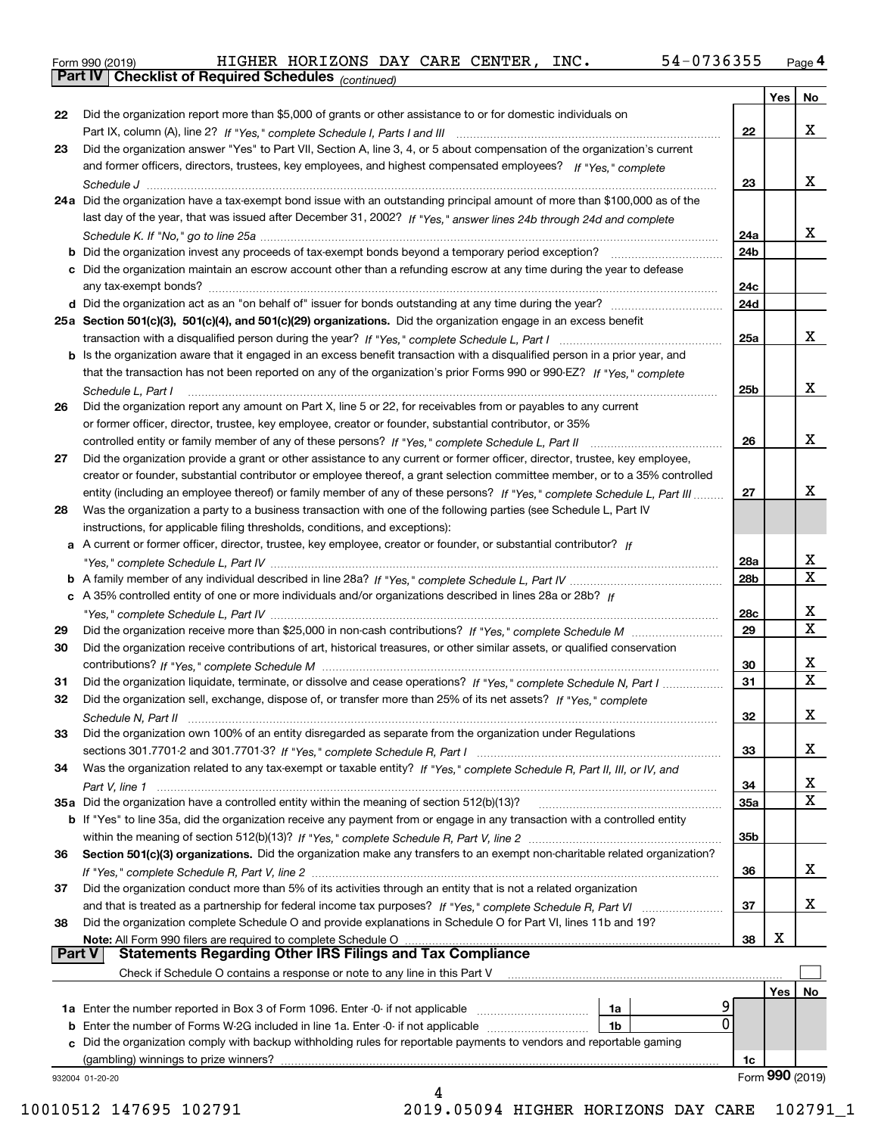|  | Form 990 (2019) |
|--|-----------------|
|  |                 |

*(continued)*

|               |                                                                                                                                    |                 | Yes | No              |
|---------------|------------------------------------------------------------------------------------------------------------------------------------|-----------------|-----|-----------------|
| 22            | Did the organization report more than \$5,000 of grants or other assistance to or for domestic individuals on                      |                 |     |                 |
|               |                                                                                                                                    | 22              |     | x               |
| 23            | Did the organization answer "Yes" to Part VII, Section A, line 3, 4, or 5 about compensation of the organization's current         |                 |     |                 |
|               | and former officers, directors, trustees, key employees, and highest compensated employees? If "Yes," complete                     |                 |     |                 |
|               |                                                                                                                                    | 23              |     | x               |
|               | 24a Did the organization have a tax-exempt bond issue with an outstanding principal amount of more than \$100,000 as of the        |                 |     |                 |
|               | last day of the year, that was issued after December 31, 2002? If "Yes," answer lines 24b through 24d and complete                 |                 |     |                 |
|               |                                                                                                                                    | 24a             |     | x               |
|               | <b>b</b> Did the organization invest any proceeds of tax-exempt bonds beyond a temporary period exception?                         | 24b             |     |                 |
|               | c Did the organization maintain an escrow account other than a refunding escrow at any time during the year to defease             |                 |     |                 |
|               |                                                                                                                                    | 24c             |     |                 |
|               |                                                                                                                                    | 24d             |     |                 |
|               | 25a Section 501(c)(3), 501(c)(4), and 501(c)(29) organizations. Did the organization engage in an excess benefit                   |                 |     |                 |
|               |                                                                                                                                    | 25a             |     | x               |
|               | b Is the organization aware that it engaged in an excess benefit transaction with a disqualified person in a prior year, and       |                 |     |                 |
|               | that the transaction has not been reported on any of the organization's prior Forms 990 or 990-EZ? If "Yes," complete              |                 |     |                 |
|               | Schedule L. Part I                                                                                                                 | 25b             |     | x               |
| 26            | Did the organization report any amount on Part X, line 5 or 22, for receivables from or payables to any current                    |                 |     |                 |
|               | or former officer, director, trustee, key employee, creator or founder, substantial contributor, or 35%                            |                 |     |                 |
|               |                                                                                                                                    | 26              |     | x               |
| 27            | Did the organization provide a grant or other assistance to any current or former officer, director, trustee, key employee,        |                 |     |                 |
|               | creator or founder, substantial contributor or employee thereof, a grant selection committee member, or to a 35% controlled        |                 |     |                 |
|               | entity (including an employee thereof) or family member of any of these persons? If "Yes," complete Schedule L, Part III           | 27              |     | x               |
| 28            | Was the organization a party to a business transaction with one of the following parties (see Schedule L, Part IV                  |                 |     |                 |
|               | instructions, for applicable filing thresholds, conditions, and exceptions):                                                       |                 |     |                 |
|               | a A current or former officer, director, trustee, key employee, creator or founder, or substantial contributor? If                 |                 |     |                 |
|               |                                                                                                                                    | 28a             |     | x               |
|               |                                                                                                                                    | 28 <sub>b</sub> |     | X               |
|               | c A 35% controlled entity of one or more individuals and/or organizations described in lines 28a or 28b? If                        |                 |     |                 |
|               |                                                                                                                                    | 28c             |     | x               |
| 29            |                                                                                                                                    | 29              |     | X               |
| 30            | Did the organization receive contributions of art, historical treasures, or other similar assets, or qualified conservation        |                 |     |                 |
|               |                                                                                                                                    | 30              |     | x               |
| 31            | Did the organization liquidate, terminate, or dissolve and cease operations? If "Yes," complete Schedule N, Part I                 | 31              |     | х               |
| 32            | Did the organization sell, exchange, dispose of, or transfer more than 25% of its net assets? If "Yes," complete                   |                 |     |                 |
|               |                                                                                                                                    | 32              |     | x               |
| 33            | Did the organization own 100% of an entity disregarded as separate from the organization under Regulations                         |                 |     |                 |
|               |                                                                                                                                    | 33              |     | x               |
| 34            | Was the organization related to any tax-exempt or taxable entity? If "Yes," complete Schedule R, Part II, III, or IV, and          |                 |     |                 |
|               |                                                                                                                                    | 34              |     | x               |
|               | 35a Did the organization have a controlled entity within the meaning of section 512(b)(13)?                                        | <b>35a</b>      |     | X               |
|               | <b>b</b> If "Yes" to line 35a, did the organization receive any payment from or engage in any transaction with a controlled entity |                 |     |                 |
|               |                                                                                                                                    | 35b             |     |                 |
| 36            | Section 501(c)(3) organizations. Did the organization make any transfers to an exempt non-charitable related organization?         |                 |     |                 |
|               |                                                                                                                                    | 36              |     | x               |
| 37            | Did the organization conduct more than 5% of its activities through an entity that is not a related organization                   |                 |     |                 |
|               | and that is treated as a partnership for federal income tax purposes? If "Yes," complete Schedule R, Part VI                       | 37              |     | x               |
| 38            | Did the organization complete Schedule O and provide explanations in Schedule O for Part VI, lines 11b and 19?                     |                 |     |                 |
|               | Note: All Form 990 filers are required to complete Schedule O                                                                      | 38              | х   |                 |
| <b>Part V</b> | <b>Statements Regarding Other IRS Filings and Tax Compliance</b>                                                                   |                 |     |                 |
|               | Check if Schedule O contains a response or note to any line in this Part V                                                         |                 |     |                 |
|               |                                                                                                                                    |                 | Yes | No              |
|               | 1a                                                                                                                                 |                 |     |                 |
|               | 0<br><b>b</b> Enter the number of Forms W-2G included in line 1a. Enter -0- if not applicable<br>1b                                |                 |     |                 |
|               | c Did the organization comply with backup withholding rules for reportable payments to vendors and reportable gaming               |                 |     |                 |
|               | (gambling) winnings to prize winners?                                                                                              | 1c              |     |                 |
|               | 932004 01-20-20                                                                                                                    |                 |     | Form 990 (2019) |
|               |                                                                                                                                    |                 |     |                 |

10010512 147695 102791 2019.05094 HIGHER HORIZONS DAY CARE 102791\_1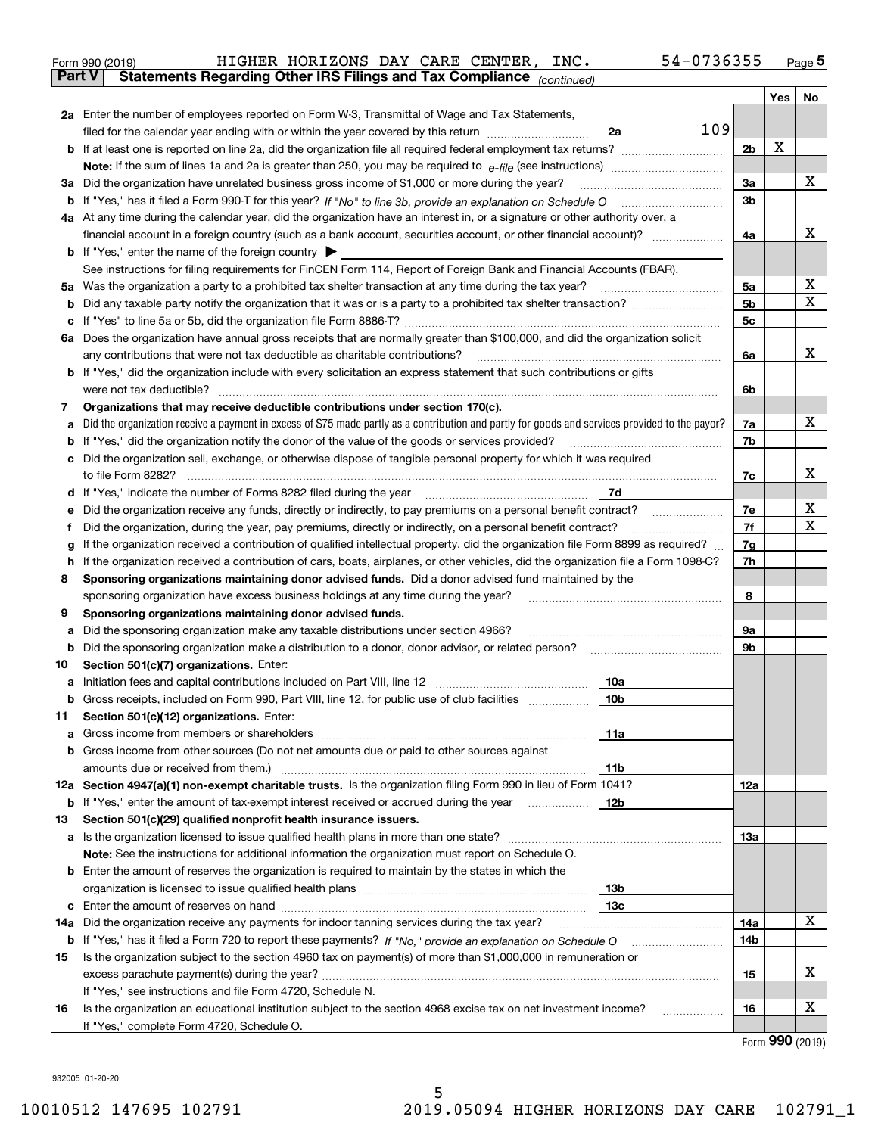|     | Form 990 (2019)                                                                | HIGHER HORIZONS DAY CARE CENTER, INC.                                                                                                                                                                                                   | 54-0736355      |                |     | $_{\text{Page}}$ 5 |
|-----|--------------------------------------------------------------------------------|-----------------------------------------------------------------------------------------------------------------------------------------------------------------------------------------------------------------------------------------|-----------------|----------------|-----|--------------------|
|     | <b>Part V</b>                                                                  | Statements Regarding Other IRS Filings and Tax Compliance (continued)                                                                                                                                                                   |                 |                |     |                    |
|     |                                                                                |                                                                                                                                                                                                                                         |                 |                | Yes | No                 |
|     |                                                                                | 2a Enter the number of employees reported on Form W-3, Transmittal of Wage and Tax Statements,                                                                                                                                          |                 |                |     |                    |
|     |                                                                                | filed for the calendar year ending with or within the year covered by this return <i>manumumumum</i>                                                                                                                                    | 109<br>2a       |                |     |                    |
|     |                                                                                |                                                                                                                                                                                                                                         |                 | 2b             | X   |                    |
|     |                                                                                |                                                                                                                                                                                                                                         |                 |                |     |                    |
|     |                                                                                | 3a Did the organization have unrelated business gross income of \$1,000 or more during the year?                                                                                                                                        |                 | 3a             |     | х                  |
|     |                                                                                |                                                                                                                                                                                                                                         |                 | 3b             |     |                    |
|     |                                                                                | 4a At any time during the calendar year, did the organization have an interest in, or a signature or other authority over, a                                                                                                            |                 |                |     |                    |
|     |                                                                                |                                                                                                                                                                                                                                         |                 | 4a             |     | х                  |
|     | <b>b</b> If "Yes," enter the name of the foreign country $\blacktriangleright$ |                                                                                                                                                                                                                                         |                 |                |     |                    |
|     |                                                                                | See instructions for filing requirements for FinCEN Form 114, Report of Foreign Bank and Financial Accounts (FBAR).                                                                                                                     |                 |                |     |                    |
|     |                                                                                | 5a Was the organization a party to a prohibited tax shelter transaction at any time during the tax year?                                                                                                                                |                 | 5а             |     | х                  |
|     |                                                                                |                                                                                                                                                                                                                                         |                 | 5 <sub>b</sub> |     | X                  |
| b   |                                                                                |                                                                                                                                                                                                                                         |                 |                |     |                    |
| c   |                                                                                |                                                                                                                                                                                                                                         |                 | 5c             |     |                    |
|     |                                                                                | 6a Does the organization have annual gross receipts that are normally greater than \$100,000, and did the organization solicit                                                                                                          |                 |                |     |                    |
|     |                                                                                | any contributions that were not tax deductible as charitable contributions?                                                                                                                                                             |                 | 6a             |     | x                  |
|     |                                                                                | <b>b</b> If "Yes," did the organization include with every solicitation an express statement that such contributions or gifts                                                                                                           |                 |                |     |                    |
|     |                                                                                |                                                                                                                                                                                                                                         |                 | 6b             |     |                    |
| 7   |                                                                                | Organizations that may receive deductible contributions under section 170(c).                                                                                                                                                           |                 |                |     |                    |
| а   |                                                                                | Did the organization receive a payment in excess of \$75 made partly as a contribution and partly for goods and services provided to the payor?                                                                                         |                 | 7a             |     | х                  |
| b   |                                                                                | If "Yes," did the organization notify the donor of the value of the goods or services provided?                                                                                                                                         |                 | 7b             |     |                    |
| с   |                                                                                | Did the organization sell, exchange, or otherwise dispose of tangible personal property for which it was required                                                                                                                       |                 |                |     |                    |
|     |                                                                                |                                                                                                                                                                                                                                         |                 | 7c             |     | х                  |
|     |                                                                                | d If "Yes," indicate the number of Forms 8282 filed during the year manufactured in the second of the second structure of Forms 8282 filed during the year manufactured in the Second Structure of the Second Structure of the          | 7d              |                |     |                    |
| е   |                                                                                | Did the organization receive any funds, directly or indirectly, to pay premiums on a personal benefit contract?                                                                                                                         |                 | 7e             |     | х                  |
| f   |                                                                                | Did the organization, during the year, pay premiums, directly or indirectly, on a personal benefit contract?                                                                                                                            |                 | 7f             |     | х                  |
| g   |                                                                                | If the organization received a contribution of qualified intellectual property, did the organization file Form 8899 as required?                                                                                                        |                 | 7g             |     |                    |
| h.  |                                                                                | If the organization received a contribution of cars, boats, airplanes, or other vehicles, did the organization file a Form 1098-C?                                                                                                      |                 | 7h             |     |                    |
| 8   |                                                                                | Sponsoring organizations maintaining donor advised funds. Did a donor advised fund maintained by the                                                                                                                                    |                 |                |     |                    |
|     |                                                                                | sponsoring organization have excess business holdings at any time during the year?                                                                                                                                                      |                 | 8              |     |                    |
| 9   | Sponsoring organizations maintaining donor advised funds.                      |                                                                                                                                                                                                                                         |                 |                |     |                    |
| а   |                                                                                | Did the sponsoring organization make any taxable distributions under section 4966?                                                                                                                                                      |                 | 9а             |     |                    |
| b   |                                                                                | Did the sponsoring organization make a distribution to a donor, donor advisor, or related person?                                                                                                                                       |                 | 9b             |     |                    |
| 10  | Section 501(c)(7) organizations. Enter:                                        |                                                                                                                                                                                                                                         |                 |                |     |                    |
|     |                                                                                |                                                                                                                                                                                                                                         | 10a             |                |     |                    |
|     |                                                                                | Gross receipts, included on Form 990, Part VIII, line 12, for public use of club facilities                                                                                                                                             | 10 <sub>b</sub> |                |     |                    |
| 11  | Section 501(c)(12) organizations. Enter:                                       |                                                                                                                                                                                                                                         |                 |                |     |                    |
|     | Gross income from members or shareholders                                      |                                                                                                                                                                                                                                         | 11a             |                |     |                    |
| а   |                                                                                | Gross income from other sources (Do not net amounts due or paid to other sources against                                                                                                                                                |                 |                |     |                    |
| b   |                                                                                |                                                                                                                                                                                                                                         |                 |                |     |                    |
|     |                                                                                |                                                                                                                                                                                                                                         | 11b             |                |     |                    |
|     |                                                                                | 12a Section 4947(a)(1) non-exempt charitable trusts. Is the organization filing Form 990 in lieu of Form 1041?                                                                                                                          |                 | 12a            |     |                    |
|     |                                                                                | <b>b</b> If "Yes," enter the amount of tax-exempt interest received or accrued during the year <i>manument</i> of the set of the set of the set of the set of the set of the set of the set of the set of the set of the set of the set | 12b             |                |     |                    |
| 13  |                                                                                | Section 501(c)(29) qualified nonprofit health insurance issuers.                                                                                                                                                                        |                 |                |     |                    |
|     |                                                                                | a Is the organization licensed to issue qualified health plans in more than one state?                                                                                                                                                  |                 | 13a            |     |                    |
|     |                                                                                | Note: See the instructions for additional information the organization must report on Schedule O.                                                                                                                                       |                 |                |     |                    |
| b   |                                                                                | Enter the amount of reserves the organization is required to maintain by the states in which the                                                                                                                                        |                 |                |     |                    |
|     |                                                                                |                                                                                                                                                                                                                                         | 13 <sub>b</sub> |                |     |                    |
| c   |                                                                                |                                                                                                                                                                                                                                         | 13c             |                |     |                    |
| 14a |                                                                                | Did the organization receive any payments for indoor tanning services during the tax year?                                                                                                                                              |                 | 14a            |     | X                  |
|     |                                                                                | <b>b</b> If "Yes," has it filed a Form 720 to report these payments? If "No," provide an explanation on Schedule O                                                                                                                      |                 | 14b            |     |                    |
| 15  |                                                                                | Is the organization subject to the section 4960 tax on payment(s) of more than \$1,000,000 in remuneration or                                                                                                                           |                 |                |     |                    |
|     | excess parachute payment(s) during the year?                                   |                                                                                                                                                                                                                                         |                 | 15             |     | x                  |
|     | If "Yes," see instructions and file Form 4720, Schedule N.                     |                                                                                                                                                                                                                                         |                 |                |     |                    |
| 16  |                                                                                | Is the organization an educational institution subject to the section 4968 excise tax on net investment income?                                                                                                                         |                 | 16             |     | х                  |
|     | If "Yes," complete Form 4720, Schedule O.                                      |                                                                                                                                                                                                                                         |                 |                |     |                    |
|     |                                                                                |                                                                                                                                                                                                                                         |                 |                |     | Form 990 (2019)    |

932005 01-20-20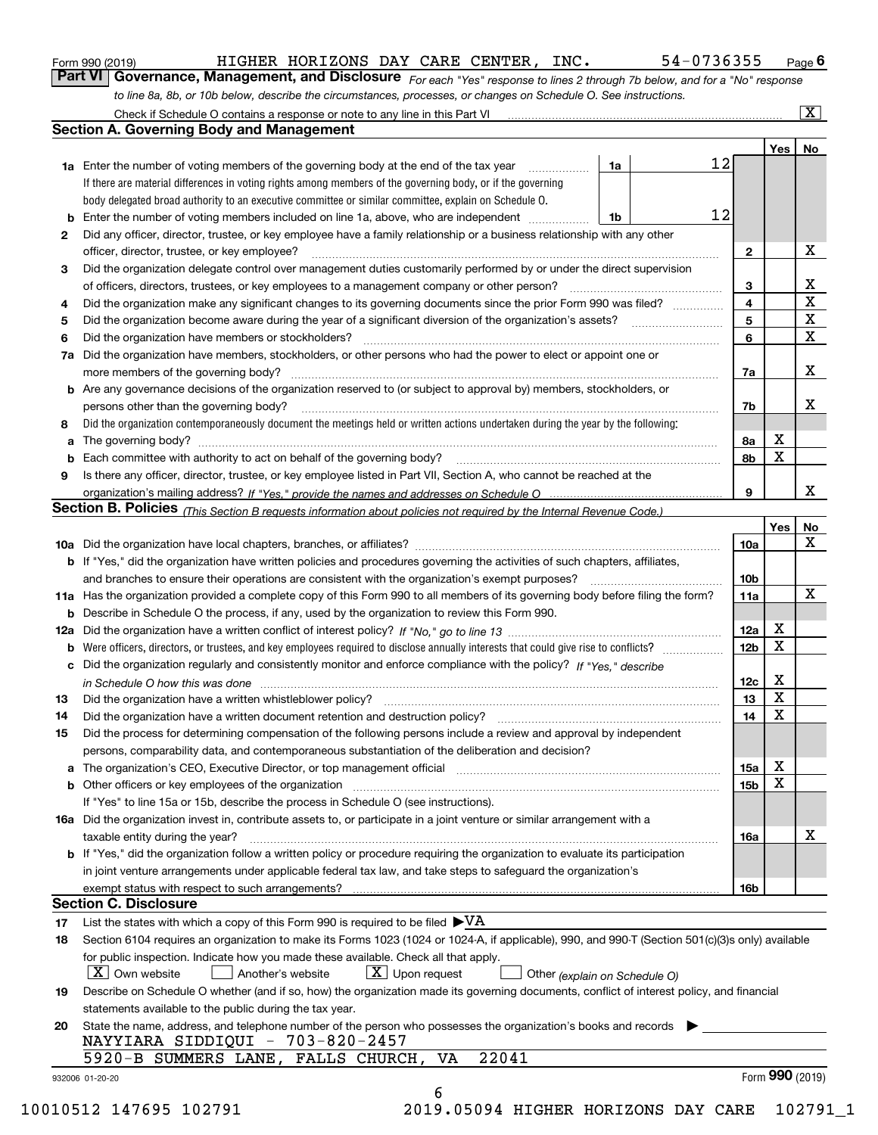| Form 990 (2019) |  |  |
|-----------------|--|--|
|                 |  |  |

| Form 990 (2019) |                                                                                                                  |  |  | HIGHER HORIZONS DAY CARE CENTER, INC. | 54-0736355                                                                                                                    | $P_{\text{aqe}}$ 6 |
|-----------------|------------------------------------------------------------------------------------------------------------------|--|--|---------------------------------------|-------------------------------------------------------------------------------------------------------------------------------|--------------------|
|                 |                                                                                                                  |  |  |                                       | Part VI   Governance, Management, and Disclosure For each "Yes" response to lines 2 through 7b below, and for a "No" response |                    |
|                 | to line 8a, 8b, or 10b below, describe the circumstances, processes, or changes on Schedule O. See instructions. |  |  |                                       |                                                                                                                               |                    |

|    |                                                                                                                                                                            |    |    |              | Yes             | No                           |
|----|----------------------------------------------------------------------------------------------------------------------------------------------------------------------------|----|----|--------------|-----------------|------------------------------|
|    | <b>1a</b> Enter the number of voting members of the governing body at the end of the tax year <i>manumum</i>                                                               | 1a | 12 |              |                 |                              |
|    | If there are material differences in voting rights among members of the governing body, or if the governing                                                                |    |    |              |                 |                              |
|    | body delegated broad authority to an executive committee or similar committee, explain on Schedule O.                                                                      |    | 12 |              |                 |                              |
| b  | Enter the number of voting members included on line 1a, above, who are independent <i>manumum</i>                                                                          | 1b |    |              |                 |                              |
| 2  | Did any officer, director, trustee, or key employee have a family relationship or a business relationship with any other                                                   |    |    |              |                 |                              |
|    | officer, director, trustee, or key employee?                                                                                                                               |    |    | $\mathbf{2}$ |                 | X                            |
| 3  | Did the organization delegate control over management duties customarily performed by or under the direct supervision                                                      |    |    |              |                 |                              |
|    |                                                                                                                                                                            |    |    | 3            |                 | X<br>$\overline{\mathbf{x}}$ |
| 4  | Did the organization make any significant changes to its governing documents since the prior Form 990 was filed?                                                           |    |    | 4            |                 | X                            |
| 5  |                                                                                                                                                                            |    |    | 5            |                 | X                            |
| 6  | Did the organization have members or stockholders?                                                                                                                         |    |    | 6            |                 |                              |
| 7a | Did the organization have members, stockholders, or other persons who had the power to elect or appoint one or                                                             |    |    |              |                 |                              |
|    |                                                                                                                                                                            |    |    | 7a           |                 | X                            |
|    | <b>b</b> Are any governance decisions of the organization reserved to (or subject to approval by) members, stockholders, or                                                |    |    |              |                 |                              |
|    | persons other than the governing body?                                                                                                                                     |    |    | 7b           |                 | х                            |
| 8  | Did the organization contemporaneously document the meetings held or written actions undertaken during the year by the following:                                          |    |    |              |                 |                              |
| a  |                                                                                                                                                                            |    |    | 8a           | X               |                              |
| b  |                                                                                                                                                                            |    |    | 8b           | X               |                              |
| 9  | Is there any officer, director, trustee, or key employee listed in Part VII, Section A, who cannot be reached at the                                                       |    |    |              |                 |                              |
|    |                                                                                                                                                                            |    |    | 9            |                 | x                            |
|    | <b>Section B. Policies</b> (This Section B requests information about policies not required by the Internal Revenue Code.)                                                 |    |    |              |                 |                              |
|    |                                                                                                                                                                            |    |    |              | Yes             | No                           |
|    |                                                                                                                                                                            |    |    | 10a          |                 | X                            |
|    | <b>b</b> If "Yes," did the organization have written policies and procedures governing the activities of such chapters, affiliates,                                        |    |    |              |                 |                              |
|    |                                                                                                                                                                            |    |    | 10b          |                 |                              |
|    | 11a Has the organization provided a complete copy of this Form 990 to all members of its governing body before filing the form?                                            |    |    | 11a          |                 | X                            |
|    | <b>b</b> Describe in Schedule O the process, if any, used by the organization to review this Form 990.                                                                     |    |    |              |                 |                              |
|    |                                                                                                                                                                            |    |    | 12a          | Х               |                              |
| b  |                                                                                                                                                                            |    |    | 12b          | X               |                              |
|    | c Did the organization regularly and consistently monitor and enforce compliance with the policy? If "Yes." describe                                                       |    |    |              |                 |                              |
|    | in Schedule O how this was done manufactured and continuum control of the state of the state of the state of t                                                             |    |    | 12c          | Х               |                              |
| 13 |                                                                                                                                                                            |    |    | 13           | X               |                              |
| 14 | Did the organization have a written document retention and destruction policy? manufactured and the organization have a written document retention and destruction policy? |    |    | 14           | X               |                              |
| 15 | Did the process for determining compensation of the following persons include a review and approval by independent                                                         |    |    |              |                 |                              |
|    | persons, comparability data, and contemporaneous substantiation of the deliberation and decision?                                                                          |    |    |              |                 |                              |
|    |                                                                                                                                                                            |    |    | <b>15a</b>   | X               |                              |
|    |                                                                                                                                                                            |    |    | 15b          | X               |                              |
|    | If "Yes" to line 15a or 15b, describe the process in Schedule O (see instructions).                                                                                        |    |    |              |                 |                              |
|    | 16a Did the organization invest in, contribute assets to, or participate in a joint venture or similar arrangement with a                                                  |    |    |              |                 |                              |
|    | taxable entity during the year?                                                                                                                                            |    |    | 16a          |                 | X                            |
|    | b If "Yes," did the organization follow a written policy or procedure requiring the organization to evaluate its participation                                             |    |    |              |                 |                              |
|    | in joint venture arrangements under applicable federal tax law, and take steps to safeguard the organization's                                                             |    |    |              |                 |                              |
|    | exempt status with respect to such arrangements?                                                                                                                           |    |    | 16b          |                 |                              |
|    | <b>Section C. Disclosure</b>                                                                                                                                               |    |    |              |                 |                              |
| 17 | List the states with which a copy of this Form 990 is required to be filed $\blacktriangleright \text{VA}$                                                                 |    |    |              |                 |                              |
| 18 | Section 6104 requires an organization to make its Forms 1023 (1024 or 1024-A, if applicable), 990, and 990-T (Section 501(c)(3)s only) available                           |    |    |              |                 |                              |
|    | for public inspection. Indicate how you made these available. Check all that apply.                                                                                        |    |    |              |                 |                              |
|    | $\boxed{\text{X}}$ Upon request<br>$\mid$ $\rm X \mid$ Own website<br>Another's website<br>Other (explain on Schedule O)                                                   |    |    |              |                 |                              |
| 19 | Describe on Schedule O whether (and if so, how) the organization made its governing documents, conflict of interest policy, and financial                                  |    |    |              |                 |                              |
|    | statements available to the public during the tax year.                                                                                                                    |    |    |              |                 |                              |
| 20 | State the name, address, and telephone number of the person who possesses the organization's books and records<br>NAYYIARA SIDDIQUI - 703-820-2457                         |    |    |              |                 |                              |
|    | 22041<br>5920-B SUMMERS LANE, FALLS CHURCH, VA                                                                                                                             |    |    |              |                 |                              |
|    | 932006 01-20-20                                                                                                                                                            |    |    |              | Form 990 (2019) |                              |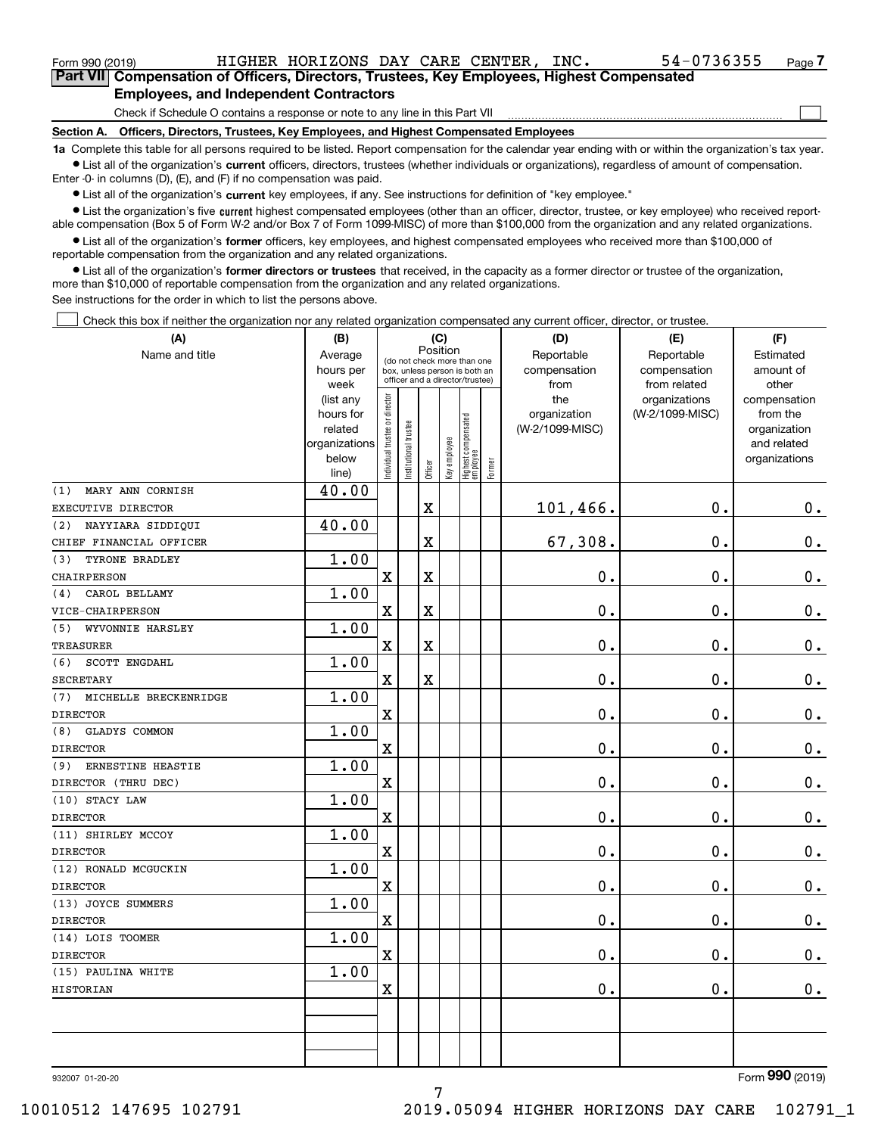| Form 990 (2019)                                                                               | HIGHER HORIZONS DAY CARE CENTER, INC. |  |  |  | 54-0736355 | Page |  |  |  |
|-----------------------------------------------------------------------------------------------|---------------------------------------|--|--|--|------------|------|--|--|--|
| Part VII Compensation of Officers, Directors, Trustees, Key Employees, Highest Compensated    |                                       |  |  |  |            |      |  |  |  |
| <b>Employees, and Independent Contractors</b>                                                 |                                       |  |  |  |            |      |  |  |  |
| Check if Schedule O contains a response or note to any line in this Part VII                  |                                       |  |  |  |            |      |  |  |  |
| Officers, Directors, Trustees, Key Employees, and Highest Compensated Employees<br>Section A. |                                       |  |  |  |            |      |  |  |  |

**1a**  Complete this table for all persons required to be listed. Report compensation for the calendar year ending with or within the organization's tax year. **•** List all of the organization's current officers, directors, trustees (whether individuals or organizations), regardless of amount of compensation.

Enter -0- in columns (D), (E), and (F) if no compensation was paid.

 $\bullet$  List all of the organization's  $\,$ current key employees, if any. See instructions for definition of "key employee."

**•** List the organization's five current highest compensated employees (other than an officer, director, trustee, or key employee) who received reportable compensation (Box 5 of Form W-2 and/or Box 7 of Form 1099-MISC) of more than \$100,000 from the organization and any related organizations.

**•** List all of the organization's former officers, key employees, and highest compensated employees who received more than \$100,000 of reportable compensation from the organization and any related organizations.

**former directors or trustees**  ¥ List all of the organization's that received, in the capacity as a former director or trustee of the organization, more than \$10,000 of reportable compensation from the organization and any related organizations.

See instructions for the order in which to list the persons above.

Check this box if neither the organization nor any related organization compensated any current officer, director, or trustee.  $\mathcal{L}^{\text{max}}$ 

| (A)                          | (C)<br>(B)             |                                |                                                                          | (D)                     | (E)          | (F)                               |           |                 |                                  |                          |
|------------------------------|------------------------|--------------------------------|--------------------------------------------------------------------------|-------------------------|--------------|-----------------------------------|-----------|-----------------|----------------------------------|--------------------------|
| Name and title               | Average                |                                | Position<br>(do not check more than one<br>box, unless person is both an |                         | Reportable   | Reportable                        | Estimated |                 |                                  |                          |
|                              | hours per              |                                | officer and a director/trustee)                                          |                         |              |                                   |           | compensation    | compensation                     | amount of                |
|                              | week                   |                                |                                                                          |                         |              |                                   |           | from<br>the     | from related                     | other                    |
|                              | (list any<br>hours for |                                |                                                                          |                         |              |                                   |           | organization    | organizations<br>(W-2/1099-MISC) | compensation<br>from the |
|                              | related                |                                |                                                                          |                         |              |                                   |           | (W-2/1099-MISC) |                                  | organization             |
|                              | organizations          |                                |                                                                          |                         |              |                                   |           |                 |                                  | and related              |
|                              | below                  | Individual trustee or director | Institutional trustee                                                    |                         | Key employee |                                   |           |                 |                                  | organizations            |
|                              | line)                  |                                |                                                                          | Officer                 |              | Highest compensated<br>  employee | Former    |                 |                                  |                          |
| MARY ANN CORNISH<br>(1)      | 40.00                  |                                |                                                                          |                         |              |                                   |           |                 |                                  |                          |
| EXECUTIVE DIRECTOR           |                        |                                |                                                                          | $\overline{\mathbf{X}}$ |              |                                   |           | 101,466.        | $\mathbf 0$ .                    | $0_{.}$                  |
| (2)<br>NAYYIARA SIDDIQUI     | 40.00                  |                                |                                                                          |                         |              |                                   |           |                 |                                  |                          |
| CHIEF FINANCIAL OFFICER      |                        |                                |                                                                          | $\overline{\textbf{X}}$ |              |                                   |           | 67,308.         | $\mathbf 0$ .                    | $0_{.}$                  |
| TYRONE BRADLEY<br>(3)        | 1.00                   |                                |                                                                          |                         |              |                                   |           |                 |                                  |                          |
| CHAIRPERSON                  |                        | $\mathbf X$                    |                                                                          | $\overline{\textbf{X}}$ |              |                                   |           | 0.              | $\mathbf 0$ .                    | $\mathbf 0$ .            |
| CAROL BELLAMY<br>(4)         | 1.00                   |                                |                                                                          |                         |              |                                   |           |                 |                                  |                          |
| VICE-CHAIRPERSON             |                        | X                              |                                                                          | $\overline{\textbf{X}}$ |              |                                   |           | 0.              | $\mathbf 0$ .                    | $\mathbf 0$ .            |
| WYVONNIE HARSLEY<br>(5)      | 1.00                   |                                |                                                                          |                         |              |                                   |           |                 |                                  |                          |
| <b>TREASURER</b>             |                        | $\mathbf X$                    |                                                                          | $\overline{\textbf{X}}$ |              |                                   |           | 0.              | $\mathbf 0$ .                    | $\mathbf 0$ .            |
| SCOTT ENGDAHL<br>(6)         | 1.00                   |                                |                                                                          |                         |              |                                   |           |                 |                                  |                          |
| <b>SECRETARY</b>             |                        | X                              |                                                                          | $\overline{\mathbf{X}}$ |              |                                   |           | 0.              | $\mathbf 0$ .                    | $\mathbf 0$ .            |
| MICHELLE BRECKENRIDGE<br>(7) | 1.00                   |                                |                                                                          |                         |              |                                   |           |                 |                                  |                          |
| <b>DIRECTOR</b>              |                        | $\mathbf X$                    |                                                                          |                         |              |                                   |           | $\mathbf{0}$ .  | $\mathbf 0$ .                    | $\mathbf 0$ .            |
| GLADYS COMMON<br>(8)         | 1.00                   |                                |                                                                          |                         |              |                                   |           |                 |                                  |                          |
| <b>DIRECTOR</b>              |                        | $\overline{\textbf{X}}$        |                                                                          |                         |              |                                   |           | 0.              | $\mathbf 0$ .                    | $\mathbf 0$ .            |
| ERNESTINE HEASTIE<br>(9)     | 1.00                   |                                |                                                                          |                         |              |                                   |           |                 |                                  |                          |
| DIRECTOR (THRU DEC)          |                        | $\rm X$                        |                                                                          |                         |              |                                   |           | 0.              | $\mathbf 0$ .                    | $\mathbf 0$ .            |
| (10) STACY LAW               | 1.00                   |                                |                                                                          |                         |              |                                   |           |                 |                                  |                          |
| <b>DIRECTOR</b>              |                        | X                              |                                                                          |                         |              |                                   |           | 0.              | $\mathbf 0$ .                    | $\mathbf 0$ .            |
| (11) SHIRLEY MCCOY           | 1.00                   |                                |                                                                          |                         |              |                                   |           |                 |                                  |                          |
| <b>DIRECTOR</b>              |                        | $\mathbf x$                    |                                                                          |                         |              |                                   |           | 0.              | $\mathbf 0$ .                    | $0$ .                    |
| (12) RONALD MCGUCKIN         | 1.00                   |                                |                                                                          |                         |              |                                   |           |                 |                                  |                          |
| <b>DIRECTOR</b>              |                        | X                              |                                                                          |                         |              |                                   |           | 0.              | $\mathbf 0$ .                    | 0.                       |
| (13) JOYCE SUMMERS           | 1.00                   |                                |                                                                          |                         |              |                                   |           |                 |                                  |                          |
| <b>DIRECTOR</b>              |                        | $\mathbf x$                    |                                                                          |                         |              |                                   |           | 0.              | $\mathbf 0$ .                    | $\mathbf 0$ .            |
| (14) LOIS TOOMER             | 1.00                   |                                |                                                                          |                         |              |                                   |           |                 |                                  |                          |
| <b>DIRECTOR</b>              |                        | X                              |                                                                          |                         |              |                                   |           | 0.              | 0.                               | 0.                       |
| (15) PAULINA WHITE           | 1.00                   |                                |                                                                          |                         |              |                                   |           |                 |                                  |                          |
| <b>HISTORIAN</b>             |                        | $\mathbf X$                    |                                                                          |                         |              |                                   |           | 0.              | $\mathbf 0$ .                    | 0.                       |
|                              |                        |                                |                                                                          |                         |              |                                   |           |                 |                                  |                          |
|                              |                        |                                |                                                                          |                         |              |                                   |           |                 |                                  |                          |
|                              |                        |                                |                                                                          |                         |              |                                   |           |                 |                                  |                          |
|                              |                        |                                |                                                                          |                         |              |                                   |           |                 |                                  |                          |

932007 01-20-20

Form (2019) **990**

7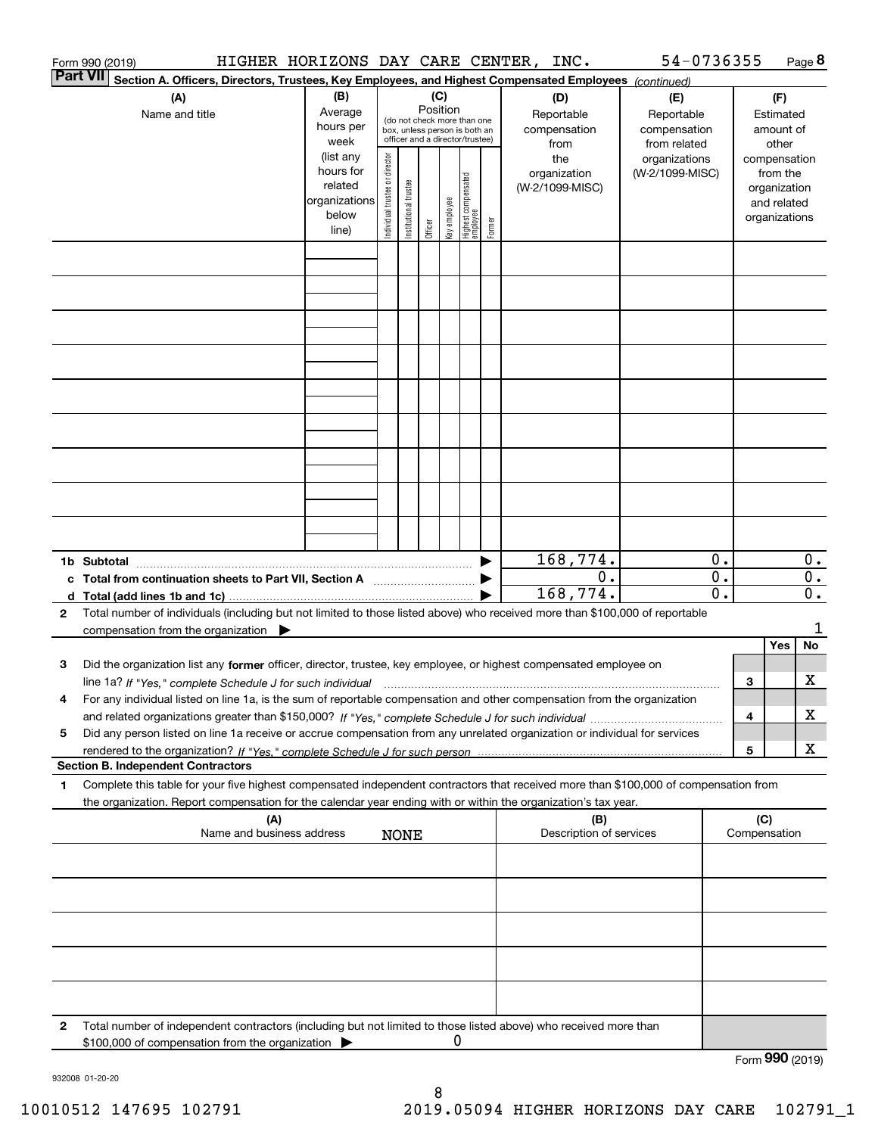|                 | HIGHER HORIZONS DAY CARE CENTER, INC.<br>Form 990 (2019)                                                                                                                                                                                                                    |                          |                                |                        |          |              |                                         |        |                         | 54-0736355      |                  |     |                 | Page 8           |
|-----------------|-----------------------------------------------------------------------------------------------------------------------------------------------------------------------------------------------------------------------------------------------------------------------------|--------------------------|--------------------------------|------------------------|----------|--------------|-----------------------------------------|--------|-------------------------|-----------------|------------------|-----|-----------------|------------------|
| <b>Part VII</b> | Section A. Officers, Directors, Trustees, Key Employees, and Highest Compensated Employees (continued)                                                                                                                                                                      |                          |                                |                        |          |              |                                         |        |                         |                 |                  |     |                 |                  |
|                 | (A)                                                                                                                                                                                                                                                                         | (B)                      |                                |                        | (C)      |              |                                         |        | (D)                     | (E)             |                  |     | (F)             |                  |
|                 | Name and title                                                                                                                                                                                                                                                              | Average                  |                                |                        | Position |              | (do not check more than one             |        | Reportable              | Reportable      |                  |     | Estimated       |                  |
|                 |                                                                                                                                                                                                                                                                             | hours per                |                                |                        |          |              | box, unless person is both an           |        | compensation            | compensation    |                  |     | amount of       |                  |
|                 |                                                                                                                                                                                                                                                                             | week                     |                                |                        |          |              | officer and a director/trustee)         |        | from                    | from related    |                  |     | other           |                  |
|                 |                                                                                                                                                                                                                                                                             | (list any                |                                |                        |          |              |                                         |        | the                     | organizations   |                  |     | compensation    |                  |
|                 |                                                                                                                                                                                                                                                                             | hours for                |                                |                        |          |              |                                         |        | organization            | (W-2/1099-MISC) |                  |     | from the        |                  |
|                 |                                                                                                                                                                                                                                                                             | related<br>organizations |                                |                        |          |              |                                         |        | (W-2/1099-MISC)         |                 |                  |     | organization    |                  |
|                 |                                                                                                                                                                                                                                                                             | below                    |                                |                        |          |              |                                         |        |                         |                 |                  |     | and related     |                  |
|                 |                                                                                                                                                                                                                                                                             | line)                    | Individual trustee or director | In stitutional trustee | Officer  | Key employee | <br>  Highest compensated<br>  employee | Former |                         |                 |                  |     | organizations   |                  |
|                 |                                                                                                                                                                                                                                                                             |                          |                                |                        |          |              |                                         |        |                         |                 |                  |     |                 |                  |
|                 |                                                                                                                                                                                                                                                                             |                          |                                |                        |          |              |                                         |        |                         |                 |                  |     |                 |                  |
|                 |                                                                                                                                                                                                                                                                             |                          |                                |                        |          |              |                                         |        |                         |                 |                  |     |                 |                  |
|                 |                                                                                                                                                                                                                                                                             |                          |                                |                        |          |              |                                         |        |                         |                 |                  |     |                 |                  |
|                 |                                                                                                                                                                                                                                                                             |                          |                                |                        |          |              |                                         |        |                         |                 |                  |     |                 |                  |
|                 |                                                                                                                                                                                                                                                                             |                          |                                |                        |          |              |                                         |        |                         |                 |                  |     |                 |                  |
|                 |                                                                                                                                                                                                                                                                             |                          |                                |                        |          |              |                                         |        |                         |                 |                  |     |                 |                  |
|                 |                                                                                                                                                                                                                                                                             |                          |                                |                        |          |              |                                         |        |                         |                 |                  |     |                 |                  |
|                 |                                                                                                                                                                                                                                                                             |                          |                                |                        |          |              |                                         |        |                         |                 |                  |     |                 |                  |
|                 |                                                                                                                                                                                                                                                                             |                          |                                |                        |          |              |                                         |        |                         |                 |                  |     |                 |                  |
|                 |                                                                                                                                                                                                                                                                             |                          |                                |                        |          |              |                                         |        |                         |                 |                  |     |                 |                  |
|                 |                                                                                                                                                                                                                                                                             |                          |                                |                        |          |              |                                         |        |                         |                 |                  |     |                 |                  |
|                 |                                                                                                                                                                                                                                                                             |                          |                                |                        |          |              |                                         |        |                         |                 |                  |     |                 |                  |
|                 |                                                                                                                                                                                                                                                                             |                          |                                |                        |          |              |                                         |        |                         |                 |                  |     |                 |                  |
|                 |                                                                                                                                                                                                                                                                             |                          |                                |                        |          |              |                                         |        |                         |                 |                  |     |                 |                  |
|                 |                                                                                                                                                                                                                                                                             |                          |                                |                        |          |              |                                         |        |                         |                 |                  |     |                 |                  |
|                 |                                                                                                                                                                                                                                                                             |                          |                                |                        |          |              |                                         |        | 168,774.                |                 | 0.               |     |                 | 0.               |
|                 |                                                                                                                                                                                                                                                                             |                          |                                |                        |          |              |                                         |        | $0$ .                   |                 | $\overline{0}$ . |     |                 | $\overline{0}$ . |
|                 | c Total from continuation sheets to Part VII, Section A <b>manual</b> Testion Structure 1                                                                                                                                                                                   |                          |                                |                        |          |              |                                         |        | 168,774.                |                 | 0.               |     |                 | $\overline{0}$ . |
| $\mathbf{2}$    | Total number of individuals (including but not limited to those listed above) who received more than \$100,000 of reportable                                                                                                                                                |                          |                                |                        |          |              |                                         |        |                         |                 |                  |     |                 |                  |
|                 | compensation from the organization $\blacktriangleright$                                                                                                                                                                                                                    |                          |                                |                        |          |              |                                         |        |                         |                 |                  |     |                 | 1                |
|                 |                                                                                                                                                                                                                                                                             |                          |                                |                        |          |              |                                         |        |                         |                 |                  |     | Yes             | No               |
| 3               | Did the organization list any former officer, director, trustee, key employee, or highest compensated employee on                                                                                                                                                           |                          |                                |                        |          |              |                                         |        |                         |                 |                  |     |                 |                  |
|                 |                                                                                                                                                                                                                                                                             |                          |                                |                        |          |              |                                         |        |                         |                 |                  | З   |                 | х                |
|                 | line 1a? If "Yes," complete Schedule J for such individual manufactured contained and the 1a? If "Yes," complete Schedule J for such individual<br>For any individual listed on line 1a, is the sum of reportable compensation and other compensation from the organization |                          |                                |                        |          |              |                                         |        |                         |                 |                  |     |                 |                  |
|                 |                                                                                                                                                                                                                                                                             |                          |                                |                        |          |              |                                         |        |                         |                 |                  | 4   |                 | х                |
| 5               | Did any person listed on line 1a receive or accrue compensation from any unrelated organization or individual for services                                                                                                                                                  |                          |                                |                        |          |              |                                         |        |                         |                 |                  |     |                 |                  |
|                 |                                                                                                                                                                                                                                                                             |                          |                                |                        |          |              |                                         |        |                         |                 |                  | 5   |                 | х                |
|                 | <b>Section B. Independent Contractors</b>                                                                                                                                                                                                                                   |                          |                                |                        |          |              |                                         |        |                         |                 |                  |     |                 |                  |
| 1               | Complete this table for your five highest compensated independent contractors that received more than \$100,000 of compensation from                                                                                                                                        |                          |                                |                        |          |              |                                         |        |                         |                 |                  |     |                 |                  |
|                 | the organization. Report compensation for the calendar year ending with or within the organization's tax year.                                                                                                                                                              |                          |                                |                        |          |              |                                         |        |                         |                 |                  |     |                 |                  |
|                 | (A)                                                                                                                                                                                                                                                                         |                          |                                |                        |          |              |                                         |        | (B)                     |                 |                  | (C) |                 |                  |
|                 | Name and business address                                                                                                                                                                                                                                                   |                          |                                | <b>NONE</b>            |          |              |                                         |        | Description of services |                 |                  |     | Compensation    |                  |
|                 |                                                                                                                                                                                                                                                                             |                          |                                |                        |          |              |                                         |        |                         |                 |                  |     |                 |                  |
|                 |                                                                                                                                                                                                                                                                             |                          |                                |                        |          |              |                                         |        |                         |                 |                  |     |                 |                  |
|                 |                                                                                                                                                                                                                                                                             |                          |                                |                        |          |              |                                         |        |                         |                 |                  |     |                 |                  |
|                 |                                                                                                                                                                                                                                                                             |                          |                                |                        |          |              |                                         |        |                         |                 |                  |     |                 |                  |
|                 |                                                                                                                                                                                                                                                                             |                          |                                |                        |          |              |                                         |        |                         |                 |                  |     |                 |                  |
|                 |                                                                                                                                                                                                                                                                             |                          |                                |                        |          |              |                                         |        |                         |                 |                  |     |                 |                  |
|                 |                                                                                                                                                                                                                                                                             |                          |                                |                        |          |              |                                         |        |                         |                 |                  |     |                 |                  |
|                 |                                                                                                                                                                                                                                                                             |                          |                                |                        |          |              |                                         |        |                         |                 |                  |     |                 |                  |
| 2               | Total number of independent contractors (including but not limited to those listed above) who received more than                                                                                                                                                            |                          |                                |                        |          |              |                                         |        |                         |                 |                  |     |                 |                  |
|                 | \$100,000 of compensation from the organization                                                                                                                                                                                                                             |                          |                                |                        |          | 0            |                                         |        |                         |                 |                  |     |                 |                  |
|                 |                                                                                                                                                                                                                                                                             |                          |                                |                        |          |              |                                         |        |                         |                 |                  |     | Form 990 (2019) |                  |

932008 01-20-20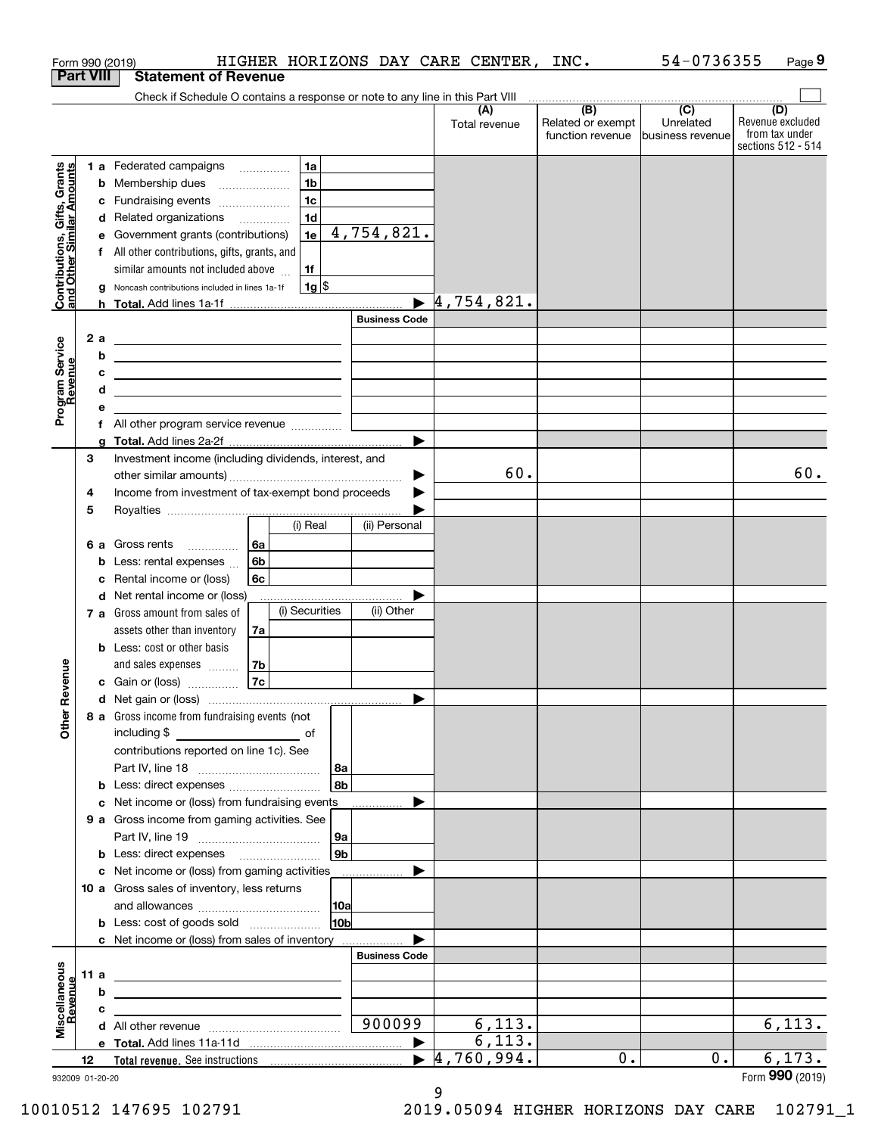|                                                           |                  | HIGHER HORIZONS DAY CARE CENTER,<br>Form 990 (2019)                                                  |                                | INC.                                         | 54-0736355                    | Page 9                                                          |
|-----------------------------------------------------------|------------------|------------------------------------------------------------------------------------------------------|--------------------------------|----------------------------------------------|-------------------------------|-----------------------------------------------------------------|
|                                                           | <b>Part VIII</b> | <b>Statement of Revenue</b>                                                                          |                                |                                              |                               |                                                                 |
|                                                           |                  | Check if Schedule O contains a response or note to any line in this Part VIII                        |                                |                                              | $\overline{(C)}$              |                                                                 |
|                                                           |                  |                                                                                                      | (A)<br>Total revenue           | (B)<br>Related or exempt<br>function revenue | Unrelated<br>business revenue | (D)<br>Revenue excluded<br>from tax under<br>sections 512 - 514 |
|                                                           |                  | 1 a Federated campaigns<br>1a                                                                        |                                |                                              |                               |                                                                 |
|                                                           |                  | 1 <sub>b</sub><br>Membership dues<br>b                                                               |                                |                                              |                               |                                                                 |
|                                                           |                  | 1 <sub>c</sub><br>Fundraising events<br>c                                                            |                                |                                              |                               |                                                                 |
|                                                           |                  | 1 <sub>d</sub><br>d Related organizations                                                            |                                |                                              |                               |                                                                 |
|                                                           |                  | $\overline{4,754,821}$ .<br>Government grants (contributions)<br>1e<br>е                             |                                |                                              |                               |                                                                 |
| Contributions, Gifts, Grants<br>and Other Similar Amounts |                  | f All other contributions, gifts, grants, and                                                        |                                |                                              |                               |                                                                 |
|                                                           |                  | similar amounts not included above<br>1f<br>$1g$ \$<br>Noncash contributions included in lines 1a-1f |                                |                                              |                               |                                                                 |
|                                                           |                  | a<br>h.                                                                                              | 4,754,821.                     |                                              |                               |                                                                 |
|                                                           |                  | <b>Business Code</b>                                                                                 |                                |                                              |                               |                                                                 |
|                                                           | 2 a              | <u>experience</u> and the contract of the contract of the contract of the contract of                |                                |                                              |                               |                                                                 |
|                                                           | b                | the contract of the contract of the contract of the contract of the contract of                      |                                |                                              |                               |                                                                 |
|                                                           |                  | с<br><u> 1989 - Andrea Stadt Britain, amerikansk politik (</u>                                       |                                |                                              |                               |                                                                 |
|                                                           |                  | d<br><u> 1989 - Johann Barbara, martxa alemaniar arg</u>                                             |                                |                                              |                               |                                                                 |
| Program Service<br>Revenue                                | е                | the control of the control of the control of the                                                     |                                |                                              |                               |                                                                 |
|                                                           |                  | f All other program service revenue                                                                  |                                |                                              |                               |                                                                 |
|                                                           | a                |                                                                                                      |                                |                                              |                               |                                                                 |
|                                                           | 3                | Investment income (including dividends, interest, and                                                | 60.                            |                                              |                               | 60.                                                             |
|                                                           | 4                | Income from investment of tax-exempt bond proceeds                                                   |                                |                                              |                               |                                                                 |
|                                                           | 5                |                                                                                                      |                                |                                              |                               |                                                                 |
|                                                           |                  | (ii) Personal<br>(i) Real                                                                            |                                |                                              |                               |                                                                 |
|                                                           |                  | 6а<br>6 a Gross rents                                                                                |                                |                                              |                               |                                                                 |
|                                                           |                  | 6b<br>Less: rental expenses<br>b                                                                     |                                |                                              |                               |                                                                 |
|                                                           |                  | Rental income or (loss)<br>6c<br>с                                                                   |                                |                                              |                               |                                                                 |
|                                                           |                  | <b>d</b> Net rental income or (loss)                                                                 |                                |                                              |                               |                                                                 |
|                                                           |                  | (i) Securities<br>(ii) Other<br>7 a Gross amount from sales of                                       |                                |                                              |                               |                                                                 |
|                                                           |                  | assets other than inventory<br>7a                                                                    |                                |                                              |                               |                                                                 |
|                                                           |                  | <b>b</b> Less: cost or other basis                                                                   |                                |                                              |                               |                                                                 |
| evenue                                                    |                  | 7b<br>and sales expenses <b>contained</b><br>7c                                                      |                                |                                              |                               |                                                                 |
|                                                           |                  | c Gain or (loss)                                                                                     |                                |                                              |                               |                                                                 |
| Œ                                                         |                  | 8 a Gross income from fundraising events (not                                                        |                                |                                              |                               |                                                                 |
| <b>Other</b>                                              |                  | including \$<br><u>of</u> of                                                                         |                                |                                              |                               |                                                                 |
|                                                           |                  | contributions reported on line 1c). See                                                              |                                |                                              |                               |                                                                 |
|                                                           |                  | 8a                                                                                                   |                                |                                              |                               |                                                                 |
|                                                           |                  | 8 <sub>b</sub><br><b>b</b> Less: direct expenses                                                     |                                |                                              |                               |                                                                 |
|                                                           |                  | c Net income or (loss) from fundraising events                                                       |                                |                                              |                               |                                                                 |
|                                                           |                  | 9 a Gross income from gaming activities. See                                                         |                                |                                              |                               |                                                                 |
|                                                           |                  | ∣9a ∣                                                                                                |                                |                                              |                               |                                                                 |
|                                                           |                  | 9 <sub>b</sub><br><b>b</b> Less: direct expenses <b>manually</b>                                     |                                |                                              |                               |                                                                 |
|                                                           |                  | c Net income or (loss) from gaming activities<br>.<br>10 a Gross sales of inventory, less returns    |                                |                                              |                               |                                                                 |
|                                                           |                  | 10a                                                                                                  |                                |                                              |                               |                                                                 |
|                                                           |                  | 10 <sub>b</sub><br><b>b</b> Less: cost of goods sold                                                 |                                |                                              |                               |                                                                 |
|                                                           |                  | c Net income or (loss) from sales of inventory                                                       |                                |                                              |                               |                                                                 |
|                                                           |                  | <b>Business Code</b>                                                                                 |                                |                                              |                               |                                                                 |
|                                                           | 11 a             | <u> 1989 - Johann Barn, mars and de Brasilian (b. 1989)</u>                                          |                                |                                              |                               |                                                                 |
|                                                           |                  | b<br>the contract of the contract of the contract of the contract of the contract of                 |                                |                                              |                               |                                                                 |
| Miscellaneous<br>Revenue                                  |                  | с<br>the control of the control of the control of the control of the control of                      |                                |                                              |                               |                                                                 |
|                                                           |                  | 900099                                                                                               | 6, 113.                        |                                              |                               | 6,113.                                                          |
|                                                           |                  |                                                                                                      | 6, 113.                        |                                              |                               |                                                                 |
|                                                           | 12               |                                                                                                      | $\overline{4,760}$ , 994.<br>▶ | 0.                                           | $0$ .                         | 6,173.                                                          |
|                                                           | 932009 01-20-20  |                                                                                                      |                                |                                              |                               | Form 990 (2019)                                                 |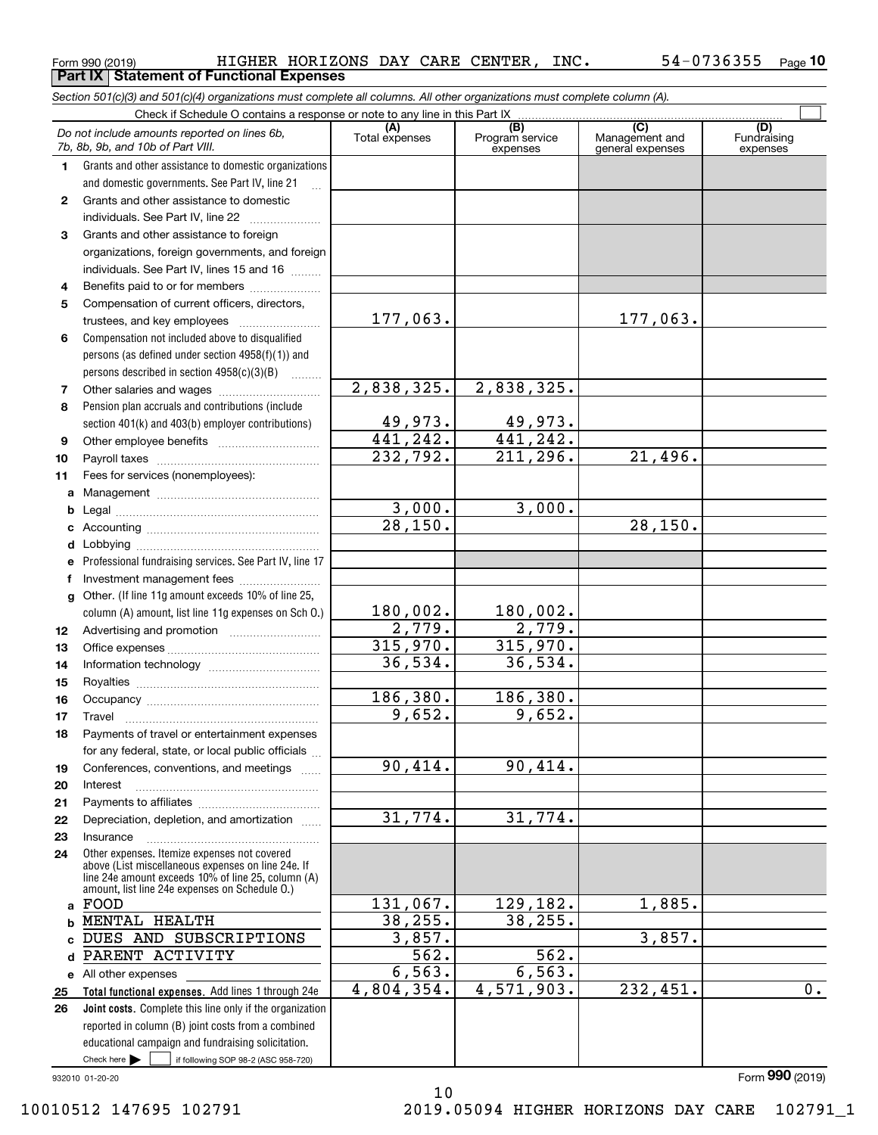**Part IX Statement of Functional Expenses**

|              | Section 501(c)(3) and 501(c)(4) organizations must complete all columns. All other organizations must complete column (A).                                                                                 |                       |                                    |                                                      |                                |
|--------------|------------------------------------------------------------------------------------------------------------------------------------------------------------------------------------------------------------|-----------------------|------------------------------------|------------------------------------------------------|--------------------------------|
|              | Check if Schedule O contains a response or note to any line in this Part IX                                                                                                                                |                       |                                    |                                                      |                                |
|              | Do not include amounts reported on lines 6b,<br>7b, 8b, 9b, and 10b of Part VIII.                                                                                                                          | (A)<br>Total expenses | (B)<br>Program service<br>expenses | $\overline{C}$<br>Management and<br>general expenses | (D)<br>Fundraising<br>expenses |
| 1.           | Grants and other assistance to domestic organizations                                                                                                                                                      |                       |                                    |                                                      |                                |
|              | and domestic governments. See Part IV, line 21                                                                                                                                                             |                       |                                    |                                                      |                                |
| $\mathbf{2}$ | Grants and other assistance to domestic                                                                                                                                                                    |                       |                                    |                                                      |                                |
|              | individuals. See Part IV, line 22                                                                                                                                                                          |                       |                                    |                                                      |                                |
| 3            | Grants and other assistance to foreign                                                                                                                                                                     |                       |                                    |                                                      |                                |
|              | organizations, foreign governments, and foreign                                                                                                                                                            |                       |                                    |                                                      |                                |
|              | individuals. See Part IV, lines 15 and 16                                                                                                                                                                  |                       |                                    |                                                      |                                |
| 4            | Benefits paid to or for members                                                                                                                                                                            |                       |                                    |                                                      |                                |
| 5            | Compensation of current officers, directors,                                                                                                                                                               |                       |                                    |                                                      |                                |
|              | trustees, and key employees                                                                                                                                                                                | 177,063.              |                                    | 177,063.                                             |                                |
| 6            | Compensation not included above to disqualified                                                                                                                                                            |                       |                                    |                                                      |                                |
|              | persons (as defined under section 4958(f)(1)) and                                                                                                                                                          |                       |                                    |                                                      |                                |
|              | persons described in section 4958(c)(3)(B)                                                                                                                                                                 |                       |                                    |                                                      |                                |
| 7            |                                                                                                                                                                                                            | 2,838,325.            | 2,838,325.                         |                                                      |                                |
| 8            | Pension plan accruals and contributions (include                                                                                                                                                           |                       |                                    |                                                      |                                |
|              | section 401(k) and 403(b) employer contributions)                                                                                                                                                          | <u>49,973.</u>        | 49,973.                            |                                                      |                                |
| 9            |                                                                                                                                                                                                            | 441, 242.             | 441,242.                           |                                                      |                                |
| 10           |                                                                                                                                                                                                            | 232,792.              | 211, 296.                          | 21,496.                                              |                                |
| 11           | Fees for services (nonemployees):                                                                                                                                                                          |                       |                                    |                                                      |                                |
| a            |                                                                                                                                                                                                            |                       |                                    |                                                      |                                |
| b            |                                                                                                                                                                                                            | 3,000.                | 3,000.                             |                                                      |                                |
| с            |                                                                                                                                                                                                            | 28,150.               |                                    | 28, 150.                                             |                                |
| d            |                                                                                                                                                                                                            |                       |                                    |                                                      |                                |
| е            | Professional fundraising services. See Part IV, line 17                                                                                                                                                    |                       |                                    |                                                      |                                |
| f            | Investment management fees                                                                                                                                                                                 |                       |                                    |                                                      |                                |
| g            | Other. (If line 11g amount exceeds 10% of line 25,                                                                                                                                                         |                       |                                    |                                                      |                                |
|              | column (A) amount, list line 11g expenses on Sch O.)                                                                                                                                                       | 180,002.              | 180,002.                           |                                                      |                                |
| 12           |                                                                                                                                                                                                            | 2,779.                | 2,779.                             |                                                      |                                |
| 13           |                                                                                                                                                                                                            | 315,970.              | 315,970.                           |                                                      |                                |
| 14           |                                                                                                                                                                                                            | 36,534.               | 36,534.                            |                                                      |                                |
| 15           |                                                                                                                                                                                                            |                       |                                    |                                                      |                                |
| 16           |                                                                                                                                                                                                            | 186,380.              | 186,380.                           |                                                      |                                |
| 17           |                                                                                                                                                                                                            | 9,652.                | 9,652.                             |                                                      |                                |
|              | Payments of travel or entertainment expenses                                                                                                                                                               |                       |                                    |                                                      |                                |
|              | for any federal, state, or local public officials                                                                                                                                                          |                       |                                    |                                                      |                                |
| 19           | Conferences, conventions, and meetings                                                                                                                                                                     | 90,414.               | 90,414.                            |                                                      |                                |
| 20           | Interest                                                                                                                                                                                                   |                       |                                    |                                                      |                                |
| 21           |                                                                                                                                                                                                            |                       |                                    |                                                      |                                |
| 22           | Depreciation, depletion, and amortization                                                                                                                                                                  | 31,774.               | 31,774.                            |                                                      |                                |
| 23           | Insurance                                                                                                                                                                                                  |                       |                                    |                                                      |                                |
| 24           | Other expenses. Itemize expenses not covered<br>above (List miscellaneous expenses on line 24e. If<br>line 24e amount exceeds 10% of line 25, column (A)<br>amount, list line 24e expenses on Schedule O.) |                       |                                    |                                                      |                                |
|              | a FOOD                                                                                                                                                                                                     | 131,067.              | 129,182.                           | 1,885.                                               |                                |
| b            | MENTAL HEALTH                                                                                                                                                                                              | 38, 255.              | 38, 255.                           |                                                      |                                |
|              | DUES AND SUBSCRIPTIONS                                                                                                                                                                                     | 3,857.                |                                    | 3,857.                                               |                                |
| d            | PARENT ACTIVITY                                                                                                                                                                                            | 562.                  | 562.                               |                                                      |                                |
|              | e All other expenses                                                                                                                                                                                       | 6, 563.               | 6, 563.                            |                                                      |                                |
| 25           | Total functional expenses. Add lines 1 through 24e                                                                                                                                                         | 4,804,354.            | 4,571,903.                         | 232,451.                                             | $\overline{0}$ .               |
| 26           | <b>Joint costs.</b> Complete this line only if the organization                                                                                                                                            |                       |                                    |                                                      |                                |
|              | reported in column (B) joint costs from a combined                                                                                                                                                         |                       |                                    |                                                      |                                |
|              | educational campaign and fundraising solicitation.                                                                                                                                                         |                       |                                    |                                                      |                                |
|              | Check here $\blacktriangleright$<br>if following SOP 98-2 (ASC 958-720)                                                                                                                                    |                       |                                    |                                                      |                                |

10

932010 01-20-20

10010512 147695 102791 2019.05094 HIGHER HORIZONS DAY CARE 102791\_1

Form (2019) **990**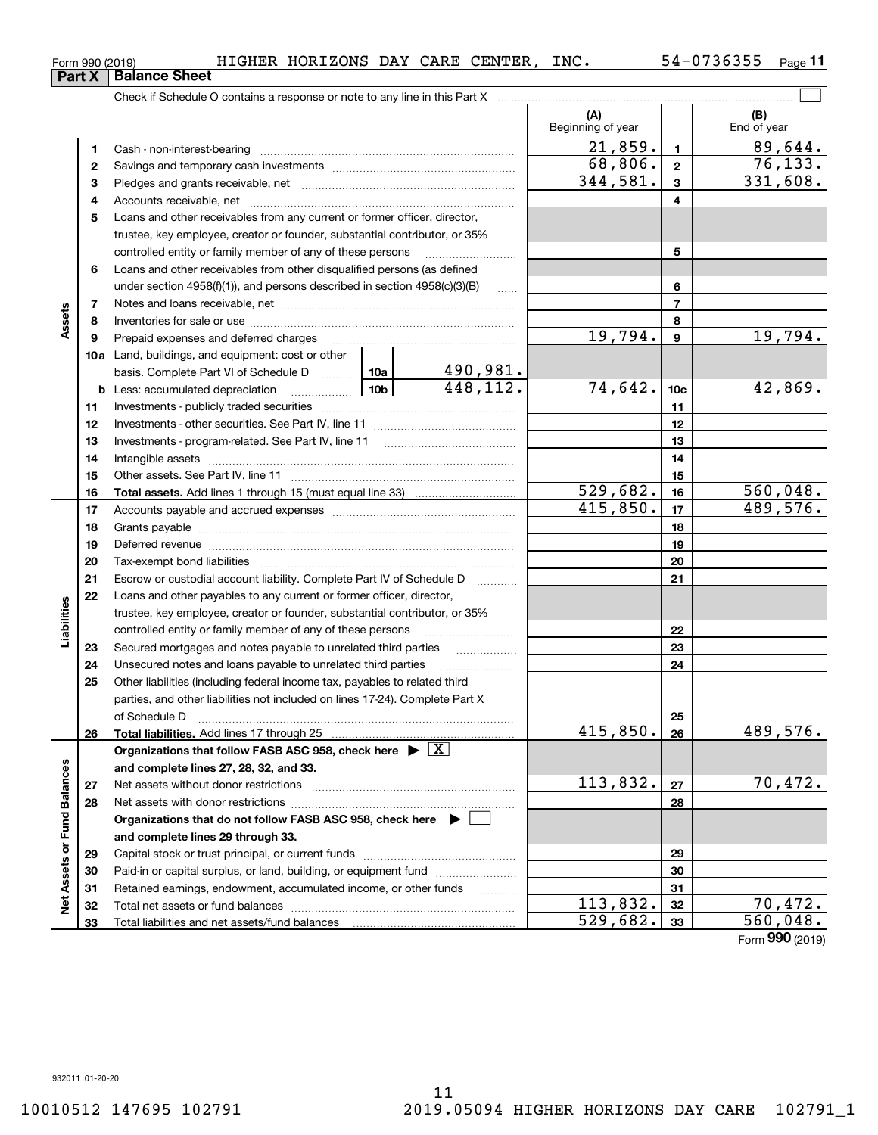**1**

**Part X Balance Sheet**

# 11 10010512 147695 102791 2019.05094 HIGHER HORIZONS DAY CARE 102791\_1

|                             | 1            | Cash - non-interest-bearing                                                                                                                                                                                                    |  |           | 41,859 <b>.</b>         | 1               | 89,644.               |
|-----------------------------|--------------|--------------------------------------------------------------------------------------------------------------------------------------------------------------------------------------------------------------------------------|--|-----------|-------------------------|-----------------|-----------------------|
|                             | $\mathbf{2}$ |                                                                                                                                                                                                                                |  |           | 68,806.                 | $\mathbf{2}$    | $\overline{7}6, 133.$ |
|                             | з            |                                                                                                                                                                                                                                |  |           | 344,581.                | 3               | 331,608.              |
|                             | 4            | Accounts receivable, net manually contained and accounts receivable, net                                                                                                                                                       |  |           |                         | 4               |                       |
|                             | 5            | Loans and other receivables from any current or former officer, director,                                                                                                                                                      |  |           |                         |                 |                       |
|                             |              | trustee, key employee, creator or founder, substantial contributor, or 35%                                                                                                                                                     |  |           |                         |                 |                       |
|                             |              |                                                                                                                                                                                                                                |  |           |                         | 5               |                       |
|                             | 6            | Loans and other receivables from other disqualified persons (as defined                                                                                                                                                        |  |           |                         |                 |                       |
|                             |              | under section $4958(f)(1)$ , and persons described in section $4958(c)(3)(B)$                                                                                                                                                  |  |           |                         | 6               |                       |
|                             | 7            |                                                                                                                                                                                                                                |  |           |                         | $\overline{7}$  |                       |
| Assets                      | 8            |                                                                                                                                                                                                                                |  |           |                         | 8               |                       |
|                             | 9            |                                                                                                                                                                                                                                |  |           | 19,794.                 | 9               | 19,794.               |
|                             |              | <b>10a</b> Land, buildings, and equipment: cost or other                                                                                                                                                                       |  |           |                         |                 |                       |
|                             |              | basis. Complete Part VI of Schedule D  10a                                                                                                                                                                                     |  | 490,981.  |                         |                 |                       |
|                             |              |                                                                                                                                                                                                                                |  | 448, 112. | 74,642.                 | 10 <sub>c</sub> | 42,869.               |
|                             | 11           |                                                                                                                                                                                                                                |  |           |                         | 11              |                       |
|                             | 12           |                                                                                                                                                                                                                                |  |           | 12                      |                 |                       |
|                             | 13           |                                                                                                                                                                                                                                |  |           |                         | 13              |                       |
|                             | 14           | Intangible assets [111] material contracts are also assets an intermediate assets and all contracts and all contracts are all contracts and an international contracts and all contracts are all contracts and all contracts a |  |           | 14                      |                 |                       |
|                             | 15           |                                                                                                                                                                                                                                |  |           |                         | 15              |                       |
|                             | 16           |                                                                                                                                                                                                                                |  |           | $\overline{529}$ , 682. | 16              | 560,048.              |
|                             | 17           |                                                                                                                                                                                                                                |  |           | 415,850.                | 17              | 489,576.              |
|                             | 18           |                                                                                                                                                                                                                                |  |           |                         | 18              |                       |
|                             | 19           | Deferred revenue material contracts and the contracts of the contracts and the contracts of the contracts of the contracts of the contracts of the contracts of the contracts of the contracts of the contracts of the contrac |  |           |                         | 19              |                       |
|                             | 20           |                                                                                                                                                                                                                                |  |           | 20                      |                 |                       |
|                             | 21           | Escrow or custodial account liability. Complete Part IV of Schedule D                                                                                                                                                          |  |           | 21                      |                 |                       |
|                             | 22           | Loans and other payables to any current or former officer, director,                                                                                                                                                           |  |           |                         |                 |                       |
| Liabilities                 |              | trustee, key employee, creator or founder, substantial contributor, or 35%                                                                                                                                                     |  |           |                         |                 |                       |
|                             |              | controlled entity or family member of any of these persons                                                                                                                                                                     |  |           |                         | 22              |                       |
|                             | 23           | Secured mortgages and notes payable to unrelated third parties                                                                                                                                                                 |  |           |                         | 23              |                       |
|                             | 24           |                                                                                                                                                                                                                                |  |           |                         | 24              |                       |
|                             | 25           | Other liabilities (including federal income tax, payables to related third                                                                                                                                                     |  |           |                         |                 |                       |
|                             |              | parties, and other liabilities not included on lines 17-24). Complete Part X                                                                                                                                                   |  |           |                         |                 |                       |
|                             |              | of Schedule D                                                                                                                                                                                                                  |  |           |                         | 25              |                       |
|                             | 26           | Total liabilities. Add lines 17 through 25                                                                                                                                                                                     |  |           | 415,850.                | 26              | 489,576.              |
|                             |              | Organizations that follow FASB ASC 958, check here $\blacktriangleright \lfloor X \rfloor$                                                                                                                                     |  |           |                         |                 |                       |
|                             |              | and complete lines 27, 28, 32, and 33.                                                                                                                                                                                         |  |           |                         |                 |                       |
|                             | 27           | Net assets without donor restrictions                                                                                                                                                                                          |  |           | 113,832.                | 27              | 70,472.               |
|                             | 28           |                                                                                                                                                                                                                                |  |           |                         | 28              |                       |
|                             |              | Organizations that do not follow FASB ASC 958, check here ▶ │                                                                                                                                                                  |  |           |                         |                 |                       |
|                             |              | and complete lines 29 through 33.                                                                                                                                                                                              |  |           |                         |                 |                       |
| Net Assets or Fund Balances | 29           |                                                                                                                                                                                                                                |  |           | 29                      |                 |                       |
|                             | 30           | Paid-in or capital surplus, or land, building, or equipment fund                                                                                                                                                               |  |           | 30                      |                 |                       |
|                             | 31           | Retained earnings, endowment, accumulated income, or other funds                                                                                                                                                               |  | .         |                         | 31              |                       |
|                             | 32           |                                                                                                                                                                                                                                |  |           | 113,832.<br>529,682.    | 32              | 70,472.<br>560,048.   |
|                             | 33           | Total liabilities and net assets/fund balances                                                                                                                                                                                 |  |           |                         | 33              | Form 990 (2019)       |
|                             |              |                                                                                                                                                                                                                                |  |           |                         |                 |                       |

Form 990 (2019) HIGHER HORIZONS DAY CARE CENTER,INC. 54-0736355 <sub>Page</sub>

Check if Schedule O contains a response or note to any line in this Part X

**11**

(B)<br>End of year

 $\mathcal{L}^{\text{max}}$ 

**(A) (B)**

Beginning of year | | End of year

**1**

 $21,859.$  1 89,644.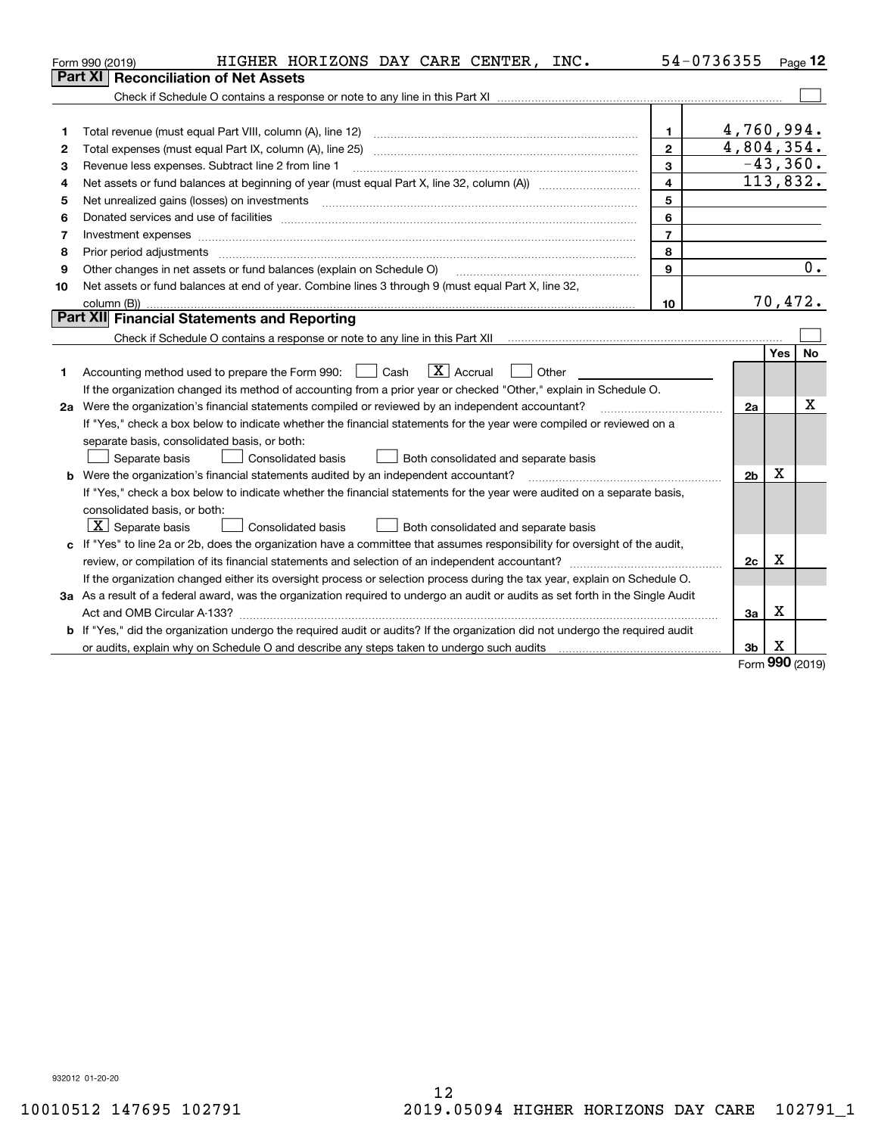|    | HIGHER HORIZONS DAY CARE CENTER, INC.<br>Form 990 (2019)                                                                                                                                                                       |                | 54-0736355     |     | $_{\text{Page}}$ 12 |
|----|--------------------------------------------------------------------------------------------------------------------------------------------------------------------------------------------------------------------------------|----------------|----------------|-----|---------------------|
|    | <b>Reconciliation of Net Assets</b><br>Part XI                                                                                                                                                                                 |                |                |     |                     |
|    |                                                                                                                                                                                                                                |                |                |     |                     |
|    |                                                                                                                                                                                                                                |                |                |     |                     |
| 1  | Total revenue (must equal Part VIII, column (A), line 12)                                                                                                                                                                      | 1              | 4,760,994.     |     |                     |
| 2  | Total expenses (must equal Part IX, column (A), line 25)                                                                                                                                                                       | $\mathbf{2}$   | 4,804,354.     |     |                     |
| 3  | Revenue less expenses. Subtract line 2 from line 1                                                                                                                                                                             | 3              |                |     | $-43,360.$          |
| 4  |                                                                                                                                                                                                                                | $\overline{4}$ |                |     | 113,832.            |
| 5  |                                                                                                                                                                                                                                | 5              |                |     |                     |
| 6  | Donated services and use of facilities [[111] matter contracts and use of facilities [[11] matter contracts and use of facilities [[11] matter contracts and use of facilities [[11] matter contracts and a service contract o | 6              |                |     |                     |
| 7  |                                                                                                                                                                                                                                | $\overline{7}$ |                |     |                     |
| 8  | Prior period adjustments                                                                                                                                                                                                       | 8              |                |     |                     |
| 9  | Other changes in net assets or fund balances (explain on Schedule O)                                                                                                                                                           | 9              |                |     | 0.                  |
| 10 | Net assets or fund balances at end of year. Combine lines 3 through 9 (must equal Part X, line 32,                                                                                                                             |                |                |     |                     |
|    |                                                                                                                                                                                                                                | 10             |                |     | 70,472.             |
|    | Part XII Financial Statements and Reporting                                                                                                                                                                                    |                |                |     |                     |
|    |                                                                                                                                                                                                                                |                |                |     |                     |
|    |                                                                                                                                                                                                                                |                |                | Yes | No                  |
| 1. | $\boxed{\mathbf{X}}$ Accrual<br>Accounting method used to prepare the Form 990: <u>II</u> Cash<br>Other                                                                                                                        |                |                |     |                     |
|    | If the organization changed its method of accounting from a prior year or checked "Other," explain in Schedule O.                                                                                                              |                |                |     |                     |
|    | 2a Were the organization's financial statements compiled or reviewed by an independent accountant?                                                                                                                             |                | 2a             |     | x                   |
|    | If "Yes," check a box below to indicate whether the financial statements for the year were compiled or reviewed on a                                                                                                           |                |                |     |                     |
|    | separate basis, consolidated basis, or both:                                                                                                                                                                                   |                |                |     |                     |
|    | Separate basis<br><b>Consolidated basis</b><br>Both consolidated and separate basis                                                                                                                                            |                |                |     |                     |
|    | <b>b</b> Were the organization's financial statements audited by an independent accountant?                                                                                                                                    |                | 2 <sub>b</sub> | х   |                     |
|    | If "Yes," check a box below to indicate whether the financial statements for the year were audited on a separate basis,                                                                                                        |                |                |     |                     |
|    | consolidated basis, or both:                                                                                                                                                                                                   |                |                |     |                     |
|    | $X$ Separate basis<br><b>Consolidated basis</b><br>Both consolidated and separate basis                                                                                                                                        |                |                |     |                     |
|    | c If "Yes" to line 2a or 2b, does the organization have a committee that assumes responsibility for oversight of the audit,                                                                                                    |                |                |     |                     |
|    |                                                                                                                                                                                                                                |                | 2c             | х   |                     |
|    | If the organization changed either its oversight process or selection process during the tax year, explain on Schedule O.                                                                                                      |                |                |     |                     |
|    | 3a As a result of a federal award, was the organization required to undergo an audit or audits as set forth in the Single Audit                                                                                                |                |                |     |                     |
|    |                                                                                                                                                                                                                                |                | 3a             | х   |                     |
|    | b If "Yes," did the organization undergo the required audit or audits? If the organization did not undergo the required audit                                                                                                  |                |                |     |                     |
|    | or audits, explain why on Schedule O and describe any steps taken to undergo such audits [11] outcommunically contained and the analytic or audits [11] or audits [11] or audits [11] or audits [11] or audits [11] or audits  |                | 3 <sub>b</sub> | х   |                     |

Form (2019) **990**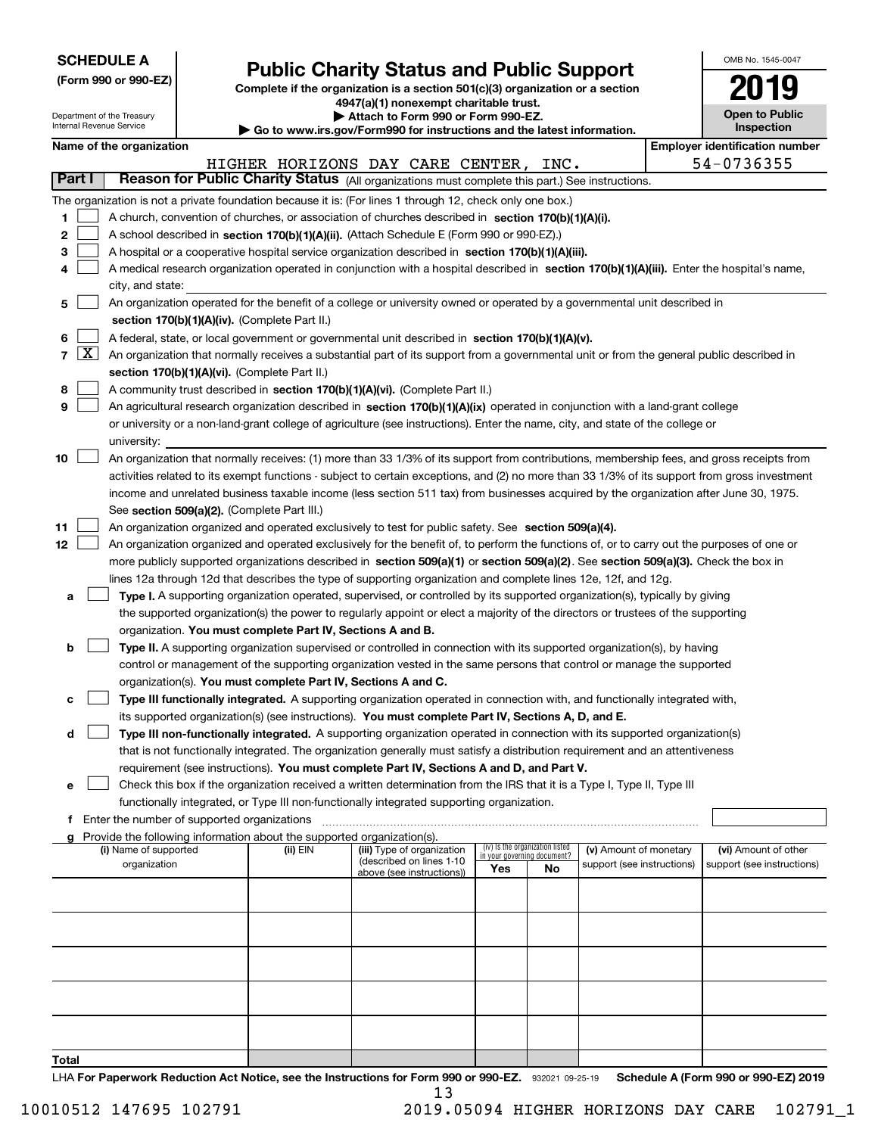| <b>SCHEDULE A</b> |
|-------------------|
|-------------------|

Department of the Treasury

**(Form 990 or 990-EZ)**

## **Public Charity Status and Public Support**

**Complete if the organization is a section 501(c)(3) organization or a section 4947(a)(1) nonexempt charitable trust. | Attach to Form 990 or Form 990-EZ.** 

| OMB No. 1545-0047            |
|------------------------------|
| 2019                         |
| Open to Public<br>Inspection |

|                  | Internal Revenue Service                                                                                                                                                                                                                                                               |                                               |                                                                        | $\blacktriangleright$ Go to www.irs.gov/Form990 for instructions and the latest information.                                                               |                             |                                 |                                                      |  | <b>Inspection</b>                                  |  |
|------------------|----------------------------------------------------------------------------------------------------------------------------------------------------------------------------------------------------------------------------------------------------------------------------------------|-----------------------------------------------|------------------------------------------------------------------------|------------------------------------------------------------------------------------------------------------------------------------------------------------|-----------------------------|---------------------------------|------------------------------------------------------|--|----------------------------------------------------|--|
|                  | Name of the organization                                                                                                                                                                                                                                                               |                                               |                                                                        |                                                                                                                                                            |                             |                                 |                                                      |  | <b>Employer identification number</b>              |  |
|                  |                                                                                                                                                                                                                                                                                        |                                               |                                                                        | HIGHER HORIZONS DAY CARE CENTER,                                                                                                                           |                             | INC.                            |                                                      |  | 54-0736355                                         |  |
| Part I           |                                                                                                                                                                                                                                                                                        |                                               |                                                                        | Reason for Public Charity Status (All organizations must complete this part.) See instructions.                                                            |                             |                                 |                                                      |  |                                                    |  |
|                  |                                                                                                                                                                                                                                                                                        |                                               |                                                                        | The organization is not a private foundation because it is: (For lines 1 through 12, check only one box.)                                                  |                             |                                 |                                                      |  |                                                    |  |
| 1.               |                                                                                                                                                                                                                                                                                        |                                               |                                                                        | A church, convention of churches, or association of churches described in section 170(b)(1)(A)(i).                                                         |                             |                                 |                                                      |  |                                                    |  |
| 2                |                                                                                                                                                                                                                                                                                        |                                               |                                                                        | A school described in section 170(b)(1)(A)(ii). (Attach Schedule E (Form 990 or 990-EZ).)                                                                  |                             |                                 |                                                      |  |                                                    |  |
| 3                |                                                                                                                                                                                                                                                                                        |                                               |                                                                        | A hospital or a cooperative hospital service organization described in section 170(b)(1)(A)(iii).                                                          |                             |                                 |                                                      |  |                                                    |  |
| 4                |                                                                                                                                                                                                                                                                                        |                                               |                                                                        | A medical research organization operated in conjunction with a hospital described in section 170(b)(1)(A)(iii). Enter the hospital's name,                 |                             |                                 |                                                      |  |                                                    |  |
|                  | city, and state:                                                                                                                                                                                                                                                                       |                                               |                                                                        |                                                                                                                                                            |                             |                                 |                                                      |  |                                                    |  |
| 5                |                                                                                                                                                                                                                                                                                        |                                               |                                                                        | An organization operated for the benefit of a college or university owned or operated by a governmental unit described in                                  |                             |                                 |                                                      |  |                                                    |  |
|                  |                                                                                                                                                                                                                                                                                        |                                               | section 170(b)(1)(A)(iv). (Complete Part II.)                          |                                                                                                                                                            |                             |                                 |                                                      |  |                                                    |  |
| 6                |                                                                                                                                                                                                                                                                                        |                                               |                                                                        | A federal, state, or local government or governmental unit described in section 170(b)(1)(A)(v).                                                           |                             |                                 |                                                      |  |                                                    |  |
|                  |                                                                                                                                                                                                                                                                                        |                                               |                                                                        | $7 \overline{X}$ An organization that normally receives a substantial part of its support from a governmental unit or from the general public described in |                             |                                 |                                                      |  |                                                    |  |
|                  |                                                                                                                                                                                                                                                                                        |                                               | section 170(b)(1)(A)(vi). (Complete Part II.)                          |                                                                                                                                                            |                             |                                 |                                                      |  |                                                    |  |
| 8                |                                                                                                                                                                                                                                                                                        |                                               |                                                                        | A community trust described in section 170(b)(1)(A)(vi). (Complete Part II.)                                                                               |                             |                                 |                                                      |  |                                                    |  |
| 9                |                                                                                                                                                                                                                                                                                        |                                               |                                                                        | An agricultural research organization described in section 170(b)(1)(A)(ix) operated in conjunction with a land-grant college                              |                             |                                 |                                                      |  |                                                    |  |
|                  |                                                                                                                                                                                                                                                                                        |                                               |                                                                        | or university or a non-land-grant college of agriculture (see instructions). Enter the name, city, and state of the college or                             |                             |                                 |                                                      |  |                                                    |  |
|                  | university:                                                                                                                                                                                                                                                                            |                                               |                                                                        |                                                                                                                                                            |                             |                                 |                                                      |  |                                                    |  |
| 10               |                                                                                                                                                                                                                                                                                        |                                               |                                                                        |                                                                                                                                                            |                             |                                 |                                                      |  |                                                    |  |
|                  | An organization that normally receives: (1) more than 33 1/3% of its support from contributions, membership fees, and gross receipts from                                                                                                                                              |                                               |                                                                        |                                                                                                                                                            |                             |                                 |                                                      |  |                                                    |  |
|                  | activities related to its exempt functions - subject to certain exceptions, and (2) no more than 33 1/3% of its support from gross investment<br>income and unrelated business taxable income (less section 511 tax) from businesses acquired by the organization after June 30, 1975. |                                               |                                                                        |                                                                                                                                                            |                             |                                 |                                                      |  |                                                    |  |
|                  |                                                                                                                                                                                                                                                                                        |                                               |                                                                        |                                                                                                                                                            |                             |                                 |                                                      |  |                                                    |  |
|                  |                                                                                                                                                                                                                                                                                        |                                               | See section 509(a)(2). (Complete Part III.)                            |                                                                                                                                                            |                             |                                 |                                                      |  |                                                    |  |
| 11               |                                                                                                                                                                                                                                                                                        |                                               |                                                                        | An organization organized and operated exclusively to test for public safety. See section 509(a)(4).                                                       |                             |                                 |                                                      |  |                                                    |  |
| 12 <sup>12</sup> |                                                                                                                                                                                                                                                                                        |                                               |                                                                        | An organization organized and operated exclusively for the benefit of, to perform the functions of, or to carry out the purposes of one or                 |                             |                                 |                                                      |  |                                                    |  |
|                  |                                                                                                                                                                                                                                                                                        |                                               |                                                                        | more publicly supported organizations described in section 509(a)(1) or section 509(a)(2). See section 509(a)(3). Check the box in                         |                             |                                 |                                                      |  |                                                    |  |
|                  |                                                                                                                                                                                                                                                                                        |                                               |                                                                        | lines 12a through 12d that describes the type of supporting organization and complete lines 12e, 12f, and 12g.                                             |                             |                                 |                                                      |  |                                                    |  |
| а                |                                                                                                                                                                                                                                                                                        |                                               |                                                                        | Type I. A supporting organization operated, supervised, or controlled by its supported organization(s), typically by giving                                |                             |                                 |                                                      |  |                                                    |  |
|                  |                                                                                                                                                                                                                                                                                        |                                               |                                                                        | the supported organization(s) the power to regularly appoint or elect a majority of the directors or trustees of the supporting                            |                             |                                 |                                                      |  |                                                    |  |
|                  |                                                                                                                                                                                                                                                                                        |                                               | organization. You must complete Part IV, Sections A and B.             |                                                                                                                                                            |                             |                                 |                                                      |  |                                                    |  |
| b                |                                                                                                                                                                                                                                                                                        |                                               |                                                                        | Type II. A supporting organization supervised or controlled in connection with its supported organization(s), by having                                    |                             |                                 |                                                      |  |                                                    |  |
|                  |                                                                                                                                                                                                                                                                                        |                                               |                                                                        | control or management of the supporting organization vested in the same persons that control or manage the supported                                       |                             |                                 |                                                      |  |                                                    |  |
|                  |                                                                                                                                                                                                                                                                                        |                                               | organization(s). You must complete Part IV, Sections A and C.          |                                                                                                                                                            |                             |                                 |                                                      |  |                                                    |  |
| с                |                                                                                                                                                                                                                                                                                        |                                               |                                                                        | Type III functionally integrated. A supporting organization operated in connection with, and functionally integrated with,                                 |                             |                                 |                                                      |  |                                                    |  |
|                  |                                                                                                                                                                                                                                                                                        |                                               |                                                                        | its supported organization(s) (see instructions). You must complete Part IV, Sections A, D, and E.                                                         |                             |                                 |                                                      |  |                                                    |  |
| d                |                                                                                                                                                                                                                                                                                        |                                               |                                                                        | Type III non-functionally integrated. A supporting organization operated in connection with its supported organization(s)                                  |                             |                                 |                                                      |  |                                                    |  |
|                  |                                                                                                                                                                                                                                                                                        |                                               |                                                                        | that is not functionally integrated. The organization generally must satisfy a distribution requirement and an attentiveness                               |                             |                                 |                                                      |  |                                                    |  |
|                  |                                                                                                                                                                                                                                                                                        |                                               |                                                                        | requirement (see instructions). You must complete Part IV, Sections A and D, and Part V.                                                                   |                             |                                 |                                                      |  |                                                    |  |
| е                |                                                                                                                                                                                                                                                                                        |                                               |                                                                        | Check this box if the organization received a written determination from the IRS that it is a Type I, Type II, Type III                                    |                             |                                 |                                                      |  |                                                    |  |
|                  |                                                                                                                                                                                                                                                                                        |                                               |                                                                        | functionally integrated, or Type III non-functionally integrated supporting organization.                                                                  |                             |                                 |                                                      |  |                                                    |  |
|                  |                                                                                                                                                                                                                                                                                        | f Enter the number of supported organizations |                                                                        |                                                                                                                                                            |                             |                                 |                                                      |  |                                                    |  |
|                  |                                                                                                                                                                                                                                                                                        |                                               | Provide the following information about the supported organization(s). |                                                                                                                                                            |                             | (iv) Is the organization listed |                                                      |  |                                                    |  |
|                  | (i) Name of supported<br>organization                                                                                                                                                                                                                                                  |                                               | (ii) EIN                                                               | (iii) Type of organization<br>(described on lines 1-10                                                                                                     | in your governing document? |                                 | (v) Amount of monetary<br>support (see instructions) |  | (vi) Amount of other<br>support (see instructions) |  |
|                  |                                                                                                                                                                                                                                                                                        |                                               |                                                                        | above (see instructions))                                                                                                                                  | Yes                         | No                              |                                                      |  |                                                    |  |
|                  |                                                                                                                                                                                                                                                                                        |                                               |                                                                        |                                                                                                                                                            |                             |                                 |                                                      |  |                                                    |  |
|                  |                                                                                                                                                                                                                                                                                        |                                               |                                                                        |                                                                                                                                                            |                             |                                 |                                                      |  |                                                    |  |
|                  |                                                                                                                                                                                                                                                                                        |                                               |                                                                        |                                                                                                                                                            |                             |                                 |                                                      |  |                                                    |  |
|                  |                                                                                                                                                                                                                                                                                        |                                               |                                                                        |                                                                                                                                                            |                             |                                 |                                                      |  |                                                    |  |
|                  |                                                                                                                                                                                                                                                                                        |                                               |                                                                        |                                                                                                                                                            |                             |                                 |                                                      |  |                                                    |  |
|                  |                                                                                                                                                                                                                                                                                        |                                               |                                                                        |                                                                                                                                                            |                             |                                 |                                                      |  |                                                    |  |
|                  |                                                                                                                                                                                                                                                                                        |                                               |                                                                        |                                                                                                                                                            |                             |                                 |                                                      |  |                                                    |  |
|                  |                                                                                                                                                                                                                                                                                        |                                               |                                                                        |                                                                                                                                                            |                             |                                 |                                                      |  |                                                    |  |
|                  |                                                                                                                                                                                                                                                                                        |                                               |                                                                        |                                                                                                                                                            |                             |                                 |                                                      |  |                                                    |  |
|                  |                                                                                                                                                                                                                                                                                        |                                               |                                                                        |                                                                                                                                                            |                             |                                 |                                                      |  |                                                    |  |
| Total            |                                                                                                                                                                                                                                                                                        |                                               |                                                                        |                                                                                                                                                            |                             |                                 |                                                      |  |                                                    |  |

LHA For Paperwork Reduction Act Notice, see the Instructions for Form 990 or 990-EZ. 932021 09-25-19 Schedule A (Form 990 or 990-EZ) 2019 13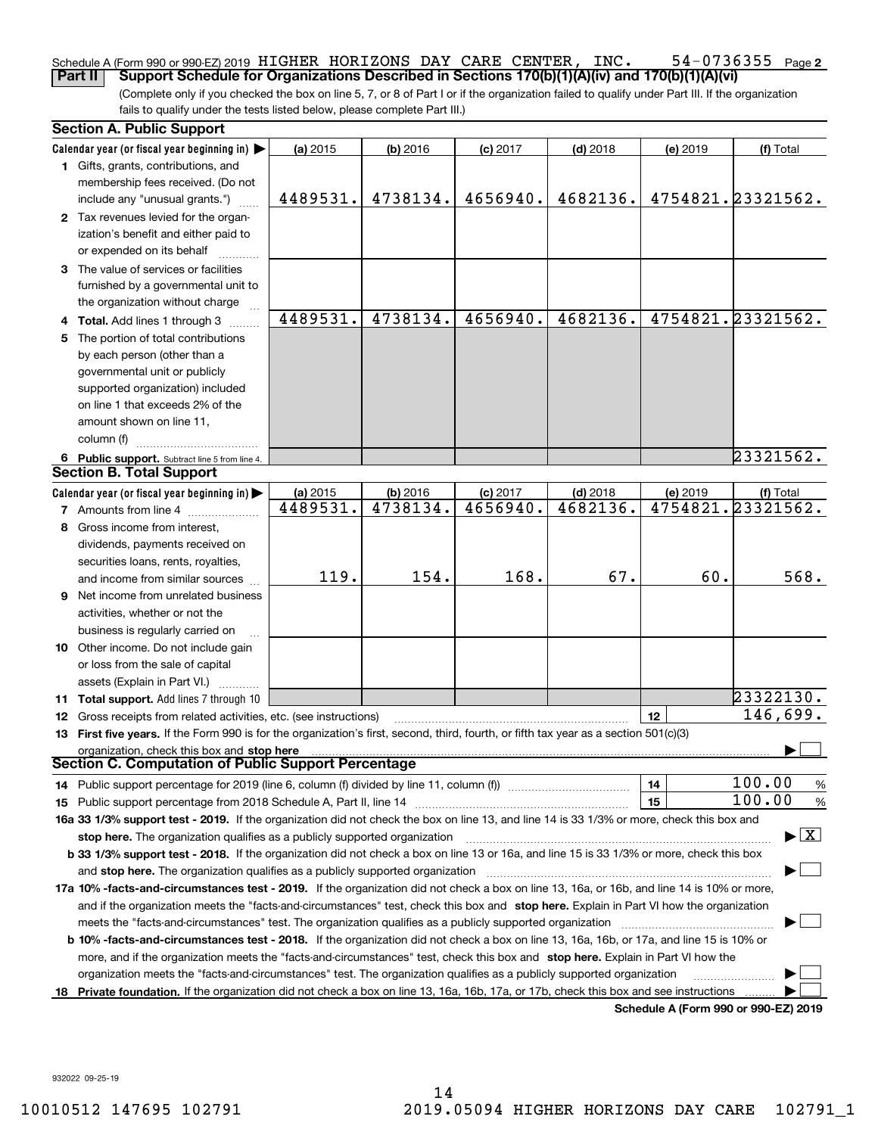### **2** Schedule A (Form 990 or 990-EZ) 2019 <code>HIGHER HORIZONS</code> DAY <code>CARE CENTER</code> , <code>INC.</code>  $54\text{--}0736355$  <code>Page</code> **Part II Support Schedule for Organizations Described in Sections 170(b)(1)(A)(iv) and 170(b)(1)(A)(vi)**

(Complete only if you checked the box on line 5, 7, or 8 of Part I or if the organization failed to qualify under Part III. If the organization fails to qualify under the tests listed below, please complete Part III.)

|    | <b>Section A. Public Support</b>                                                                                                               |          |            |            |            |          |                                         |
|----|------------------------------------------------------------------------------------------------------------------------------------------------|----------|------------|------------|------------|----------|-----------------------------------------|
|    | Calendar year (or fiscal year beginning in)                                                                                                    | (a) 2015 | $(b)$ 2016 | $(c)$ 2017 | $(d)$ 2018 | (e) 2019 | (f) Total                               |
|    | 1 Gifts, grants, contributions, and                                                                                                            |          |            |            |            |          |                                         |
|    | membership fees received. (Do not                                                                                                              |          |            |            |            |          |                                         |
|    | include any "unusual grants.")                                                                                                                 | 4489531. | 4738134.   | 4656940.   | 4682136.   |          | 4754821.23321562.                       |
|    | 2 Tax revenues levied for the organ-                                                                                                           |          |            |            |            |          |                                         |
|    | ization's benefit and either paid to                                                                                                           |          |            |            |            |          |                                         |
|    | or expended on its behalf                                                                                                                      |          |            |            |            |          |                                         |
|    | 3 The value of services or facilities                                                                                                          |          |            |            |            |          |                                         |
|    | furnished by a governmental unit to                                                                                                            |          |            |            |            |          |                                         |
|    | the organization without charge                                                                                                                |          |            |            |            |          |                                         |
|    | 4 Total. Add lines 1 through 3                                                                                                                 | 4489531. | 4738134.   | 4656940.   | 4682136.   |          | 4754821.23321562.                       |
|    | 5 The portion of total contributions                                                                                                           |          |            |            |            |          |                                         |
|    | by each person (other than a                                                                                                                   |          |            |            |            |          |                                         |
|    | governmental unit or publicly                                                                                                                  |          |            |            |            |          |                                         |
|    | supported organization) included                                                                                                               |          |            |            |            |          |                                         |
|    | on line 1 that exceeds 2% of the                                                                                                               |          |            |            |            |          |                                         |
|    | amount shown on line 11,                                                                                                                       |          |            |            |            |          |                                         |
|    | column (f)                                                                                                                                     |          |            |            |            |          |                                         |
|    | 6 Public support. Subtract line 5 from line 4.                                                                                                 |          |            |            |            |          | 23321562.                               |
|    | <b>Section B. Total Support</b>                                                                                                                |          |            |            |            |          |                                         |
|    | Calendar year (or fiscal year beginning in)                                                                                                    | (a) 2015 | (b) 2016   | $(c)$ 2017 | $(d)$ 2018 | (e) 2019 | (f) Total                               |
|    | <b>7</b> Amounts from line 4                                                                                                                   | 4489531. | 4738134.   | 4656940.   | 4682136.   |          | 4754821.23321562.                       |
|    | 8 Gross income from interest,                                                                                                                  |          |            |            |            |          |                                         |
|    |                                                                                                                                                |          |            |            |            |          |                                         |
|    | dividends, payments received on                                                                                                                |          |            |            |            |          |                                         |
|    | securities loans, rents, royalties,                                                                                                            | 119.     | 154.       | 168.       | 67.        | 60.      | 568.                                    |
|    | and income from similar sources                                                                                                                |          |            |            |            |          |                                         |
|    | <b>9</b> Net income from unrelated business                                                                                                    |          |            |            |            |          |                                         |
|    | activities, whether or not the                                                                                                                 |          |            |            |            |          |                                         |
|    | business is regularly carried on                                                                                                               |          |            |            |            |          |                                         |
|    | 10 Other income. Do not include gain                                                                                                           |          |            |            |            |          |                                         |
|    | or loss from the sale of capital                                                                                                               |          |            |            |            |          |                                         |
|    | assets (Explain in Part VI.)                                                                                                                   |          |            |            |            |          |                                         |
|    | 11 Total support. Add lines 7 through 10                                                                                                       |          |            |            |            |          | 23322130.                               |
|    | 12 Gross receipts from related activities, etc. (see instructions)                                                                             |          |            |            |            | 12       | 146,699.                                |
|    | 13 First five years. If the Form 990 is for the organization's first, second, third, fourth, or fifth tax year as a section 501(c)(3)          |          |            |            |            |          |                                         |
|    | organization, check this box and stop here                                                                                                     |          |            |            |            |          |                                         |
|    | Section C. Computation of Public Support Percentage                                                                                            |          |            |            |            |          |                                         |
|    | 14 Public support percentage for 2019 (line 6, column (f) divided by line 11, column (f) <i>manumeronominimi</i> ng.                           |          |            |            |            | 14       | 100.00<br>$\frac{9}{6}$                 |
|    |                                                                                                                                                |          |            |            |            | 15       | 100.00<br>%                             |
|    | 16a 33 1/3% support test - 2019. If the organization did not check the box on line 13, and line 14 is 33 1/3% or more, check this box and      |          |            |            |            |          |                                         |
|    | stop here. The organization qualifies as a publicly supported organization                                                                     |          |            |            |            |          | $\blacktriangleright$ $\vert$ X $\vert$ |
|    | b 33 1/3% support test - 2018. If the organization did not check a box on line 13 or 16a, and line 15 is 33 1/3% or more, check this box       |          |            |            |            |          |                                         |
|    | and stop here. The organization qualifies as a publicly supported organization                                                                 |          |            |            |            |          |                                         |
|    | 17a 10% -facts-and-circumstances test - 2019. If the organization did not check a box on line 13, 16a, or 16b, and line 14 is 10% or more,     |          |            |            |            |          |                                         |
|    | and if the organization meets the "facts-and-circumstances" test, check this box and stop here. Explain in Part VI how the organization        |          |            |            |            |          |                                         |
|    | meets the "facts-and-circumstances" test. The organization qualifies as a publicly supported organization                                      |          |            |            |            |          |                                         |
|    | <b>b 10% -facts-and-circumstances test - 2018.</b> If the organization did not check a box on line 13, 16a, 16b, or 17a, and line 15 is 10% or |          |            |            |            |          |                                         |
|    | more, and if the organization meets the "facts-and-circumstances" test, check this box and stop here. Explain in Part VI how the               |          |            |            |            |          |                                         |
|    | organization meets the "facts-and-circumstances" test. The organization qualifies as a publicly supported organization                         |          |            |            |            |          |                                         |
| 18 | Private foundation. If the organization did not check a box on line 13, 16a, 16b, 17a, or 17b, check this box and see instructions             |          |            |            |            |          |                                         |
|    |                                                                                                                                                |          |            |            |            |          | Schedule A (Form 990 or 990-F7) 2019    |

**Schedule A (Form 990 or 990-EZ) 2019**

932022 09-25-19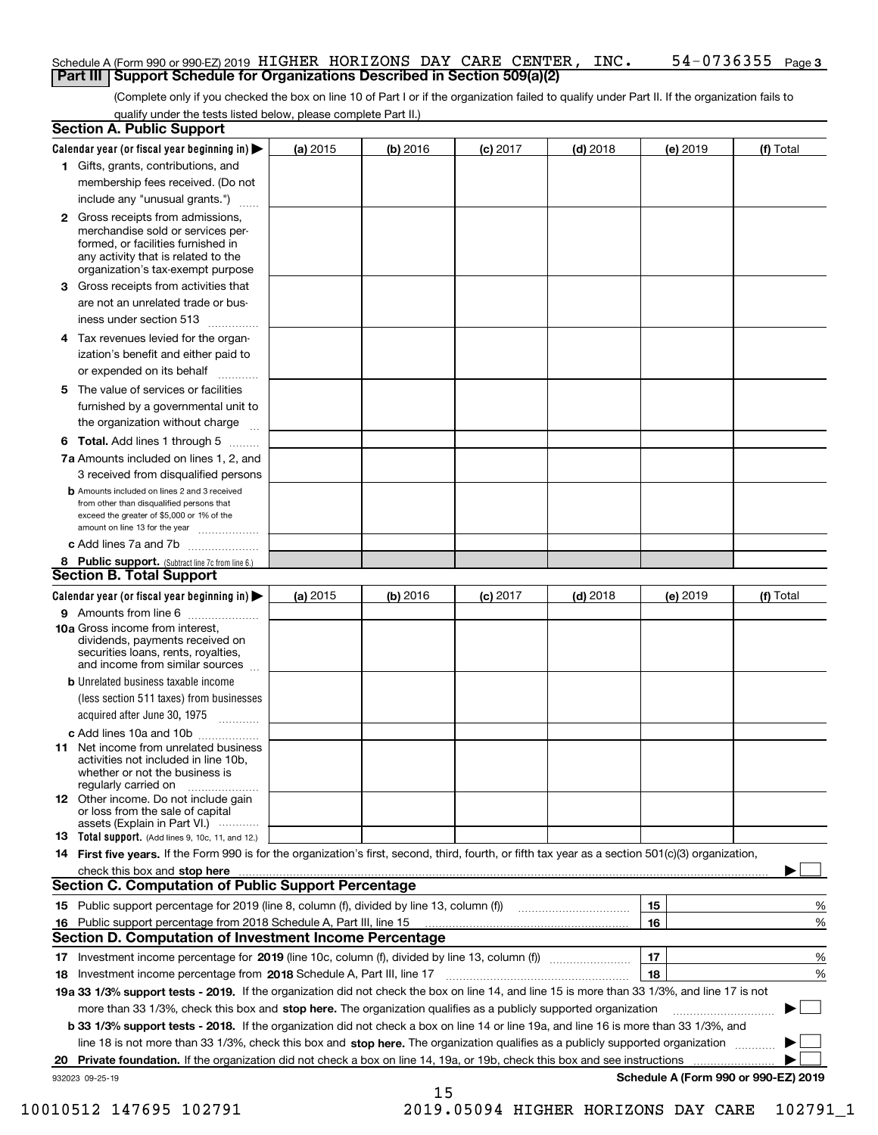### Schedule A (Form 990 or 990-EZ) 2019 <code>HIGHER HORIZONS</code> DAY <code>CARE CENTER</code> , <code>INC.</code>  $54\text{--}0736355$  <code>Page</code> **Part III Support Schedule for Organizations Described in Section 509(a)(2)**

(Complete only if you checked the box on line 10 of Part I or if the organization failed to qualify under Part II. If the organization fails to qualify under the tests listed below, please complete Part II.)

| <b>Section A. Public Support</b>                                                                                                                                                         |            |          |            |            |          |                                      |
|------------------------------------------------------------------------------------------------------------------------------------------------------------------------------------------|------------|----------|------------|------------|----------|--------------------------------------|
| Calendar year (or fiscal year beginning in) $\blacktriangleright$                                                                                                                        | (a) 2015   | (b) 2016 | $(c)$ 2017 | $(d)$ 2018 | (e) 2019 | (f) Total                            |
| 1 Gifts, grants, contributions, and                                                                                                                                                      |            |          |            |            |          |                                      |
| membership fees received. (Do not                                                                                                                                                        |            |          |            |            |          |                                      |
| include any "unusual grants.")                                                                                                                                                           |            |          |            |            |          |                                      |
| 2 Gross receipts from admissions,<br>merchandise sold or services per-<br>formed, or facilities furnished in<br>any activity that is related to the<br>organization's tax-exempt purpose |            |          |            |            |          |                                      |
| 3 Gross receipts from activities that                                                                                                                                                    |            |          |            |            |          |                                      |
| are not an unrelated trade or bus-                                                                                                                                                       |            |          |            |            |          |                                      |
| iness under section 513                                                                                                                                                                  |            |          |            |            |          |                                      |
| 4 Tax revenues levied for the organ-                                                                                                                                                     |            |          |            |            |          |                                      |
| ization's benefit and either paid to<br>or expended on its behalf<br>.                                                                                                                   |            |          |            |            |          |                                      |
| 5 The value of services or facilities                                                                                                                                                    |            |          |            |            |          |                                      |
| furnished by a governmental unit to                                                                                                                                                      |            |          |            |            |          |                                      |
| the organization without charge                                                                                                                                                          |            |          |            |            |          |                                      |
| <b>6 Total.</b> Add lines 1 through 5                                                                                                                                                    |            |          |            |            |          |                                      |
| 7a Amounts included on lines 1, 2, and                                                                                                                                                   |            |          |            |            |          |                                      |
| 3 received from disqualified persons                                                                                                                                                     |            |          |            |            |          |                                      |
| <b>b</b> Amounts included on lines 2 and 3 received<br>from other than disqualified persons that<br>exceed the greater of \$5,000 or 1% of the<br>amount on line 13 for the year         |            |          |            |            |          |                                      |
| c Add lines 7a and 7b                                                                                                                                                                    |            |          |            |            |          |                                      |
| 8 Public support. (Subtract line 7c from line 6.)<br><b>Section B. Total Support</b>                                                                                                     |            |          |            |            |          |                                      |
| Calendar year (or fiscal year beginning in)                                                                                                                                              | (a) $2015$ | (b) 2016 | $(c)$ 2017 | $(d)$ 2018 | (e) 2019 | (f) Total                            |
| 9 Amounts from line 6                                                                                                                                                                    |            |          |            |            |          |                                      |
| 10a Gross income from interest,<br>dividends, payments received on<br>securities loans, rents, royalties,<br>and income from similar sources                                             |            |          |            |            |          |                                      |
| <b>b</b> Unrelated business taxable income                                                                                                                                               |            |          |            |            |          |                                      |
| (less section 511 taxes) from businesses<br>acquired after June 30, 1975                                                                                                                 |            |          |            |            |          |                                      |
| c Add lines 10a and 10b                                                                                                                                                                  |            |          |            |            |          |                                      |
| <b>11</b> Net income from unrelated business<br>activities not included in line 10b,<br>whether or not the business is<br>regularly carried on                                           |            |          |            |            |          |                                      |
| <b>12</b> Other income. Do not include gain<br>or loss from the sale of capital<br>assets (Explain in Part VI.)                                                                          |            |          |            |            |          |                                      |
| <b>13 Total support.</b> (Add lines 9, 10c, 11, and 12.)                                                                                                                                 |            |          |            |            |          |                                      |
| 14 First five years. If the Form 990 is for the organization's first, second, third, fourth, or fifth tax year as a section 501(c)(3) organization,                                      |            |          |            |            |          |                                      |
| check this box and stop here measurements and stop here are constructed and the measurement of the state of the                                                                          |            |          |            |            |          |                                      |
| <b>Section C. Computation of Public Support Percentage</b>                                                                                                                               |            |          |            |            |          |                                      |
| 15 Public support percentage for 2019 (line 8, column (f), divided by line 13, column (f))                                                                                               |            |          |            |            | 15       | %                                    |
| 16 Public support percentage from 2018 Schedule A, Part III, line 15                                                                                                                     |            |          |            |            | 16       | %                                    |
| <b>Section D. Computation of Investment Income Percentage</b>                                                                                                                            |            |          |            |            |          |                                      |
| 17 Investment income percentage for 2019 (line 10c, column (f), divided by line 13, column (f))                                                                                          |            |          |            |            | 17       | %                                    |
| 18 Investment income percentage from 2018 Schedule A, Part III, line 17                                                                                                                  |            |          |            |            | 18       | %                                    |
| 19a 33 1/3% support tests - 2019. If the organization did not check the box on line 14, and line 15 is more than 33 1/3%, and line 17 is not                                             |            |          |            |            |          |                                      |
| more than 33 1/3%, check this box and stop here. The organization qualifies as a publicly supported organization                                                                         |            |          |            |            |          | ▶                                    |
| <b>b 33 1/3% support tests - 2018.</b> If the organization did not check a box on line 14 or line 19a, and line 16 is more than 33 1/3%, and                                             |            |          |            |            |          |                                      |
| line 18 is not more than 33 1/3%, check this box and stop here. The organization qualifies as a publicly supported organization                                                          |            |          |            |            |          |                                      |
| 20 Private foundation. If the organization did not check a box on line 14, 19a, or 19b, check this box and see instructions                                                              |            |          |            |            |          |                                      |
| 932023 09-25-19                                                                                                                                                                          |            |          |            |            |          | Schedule A (Form 990 or 990-EZ) 2019 |
|                                                                                                                                                                                          |            | 15       |            |            |          |                                      |

10010512 147695 102791 2019.05094 HIGHER HORIZONS DAY CARE 102791\_1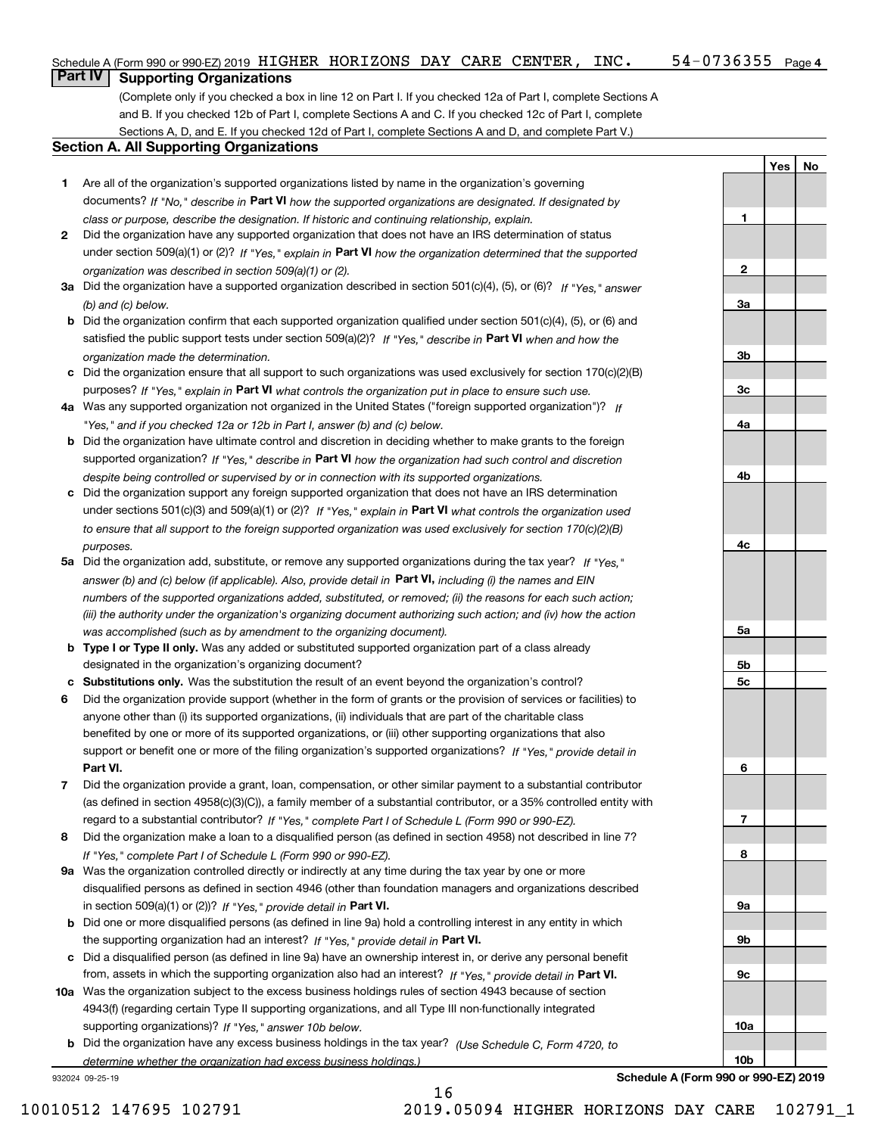**1**

**2**

**3a**

**3b**

**3c**

**4a**

**4b**

**4c**

**5a**

**5b5c**

**6**

**7**

**8**

**9a**

**9b**

**9c**

**10a**

**10b**

**YesNo**

## **Part IV Supporting Organizations**

(Complete only if you checked a box in line 12 on Part I. If you checked 12a of Part I, complete Sections A and B. If you checked 12b of Part I, complete Sections A and C. If you checked 12c of Part I, complete Sections A, D, and E. If you checked 12d of Part I, complete Sections A and D, and complete Part V.)

### **Section A. All Supporting Organizations**

- **1** Are all of the organization's supported organizations listed by name in the organization's governing documents? If "No," describe in **Part VI** how the supported organizations are designated. If designated by *class or purpose, describe the designation. If historic and continuing relationship, explain.*
- **2** Did the organization have any supported organization that does not have an IRS determination of status under section 509(a)(1) or (2)? If "Yes," explain in Part VI how the organization determined that the supported *organization was described in section 509(a)(1) or (2).*
- **3a** Did the organization have a supported organization described in section 501(c)(4), (5), or (6)? If "Yes," answer *(b) and (c) below.*
- **b** Did the organization confirm that each supported organization qualified under section 501(c)(4), (5), or (6) and satisfied the public support tests under section 509(a)(2)? If "Yes," describe in **Part VI** when and how the *organization made the determination.*
- **c**Did the organization ensure that all support to such organizations was used exclusively for section 170(c)(2)(B) purposes? If "Yes," explain in **Part VI** what controls the organization put in place to ensure such use.
- **4a***If* Was any supported organization not organized in the United States ("foreign supported organization")? *"Yes," and if you checked 12a or 12b in Part I, answer (b) and (c) below.*
- **b** Did the organization have ultimate control and discretion in deciding whether to make grants to the foreign supported organization? If "Yes," describe in **Part VI** how the organization had such control and discretion *despite being controlled or supervised by or in connection with its supported organizations.*
- **c** Did the organization support any foreign supported organization that does not have an IRS determination under sections 501(c)(3) and 509(a)(1) or (2)? If "Yes," explain in **Part VI** what controls the organization used *to ensure that all support to the foreign supported organization was used exclusively for section 170(c)(2)(B) purposes.*
- **5a** Did the organization add, substitute, or remove any supported organizations during the tax year? If "Yes," answer (b) and (c) below (if applicable). Also, provide detail in **Part VI,** including (i) the names and EIN *numbers of the supported organizations added, substituted, or removed; (ii) the reasons for each such action; (iii) the authority under the organization's organizing document authorizing such action; and (iv) how the action was accomplished (such as by amendment to the organizing document).*
- **b** Type I or Type II only. Was any added or substituted supported organization part of a class already designated in the organization's organizing document?
- **cSubstitutions only.**  Was the substitution the result of an event beyond the organization's control?
- **6** Did the organization provide support (whether in the form of grants or the provision of services or facilities) to **Part VI.** *If "Yes," provide detail in* support or benefit one or more of the filing organization's supported organizations? anyone other than (i) its supported organizations, (ii) individuals that are part of the charitable class benefited by one or more of its supported organizations, or (iii) other supporting organizations that also
- **7**Did the organization provide a grant, loan, compensation, or other similar payment to a substantial contributor *If "Yes," complete Part I of Schedule L (Form 990 or 990-EZ).* regard to a substantial contributor? (as defined in section 4958(c)(3)(C)), a family member of a substantial contributor, or a 35% controlled entity with
- **8** Did the organization make a loan to a disqualified person (as defined in section 4958) not described in line 7? *If "Yes," complete Part I of Schedule L (Form 990 or 990-EZ).*
- **9a** Was the organization controlled directly or indirectly at any time during the tax year by one or more in section 509(a)(1) or (2))? If "Yes," *provide detail in* <code>Part VI.</code> disqualified persons as defined in section 4946 (other than foundation managers and organizations described
- **b** Did one or more disqualified persons (as defined in line 9a) hold a controlling interest in any entity in which the supporting organization had an interest? If "Yes," provide detail in P**art VI**.
- **c**Did a disqualified person (as defined in line 9a) have an ownership interest in, or derive any personal benefit from, assets in which the supporting organization also had an interest? If "Yes," provide detail in P**art VI.**
- **10a** Was the organization subject to the excess business holdings rules of section 4943 because of section supporting organizations)? If "Yes," answer 10b below. 4943(f) (regarding certain Type II supporting organizations, and all Type III non-functionally integrated
- **b** Did the organization have any excess business holdings in the tax year? (Use Schedule C, Form 4720, to *determine whether the organization had excess business holdings.)*

16

932024 09-25-19

**Schedule A (Form 990 or 990-EZ) 2019**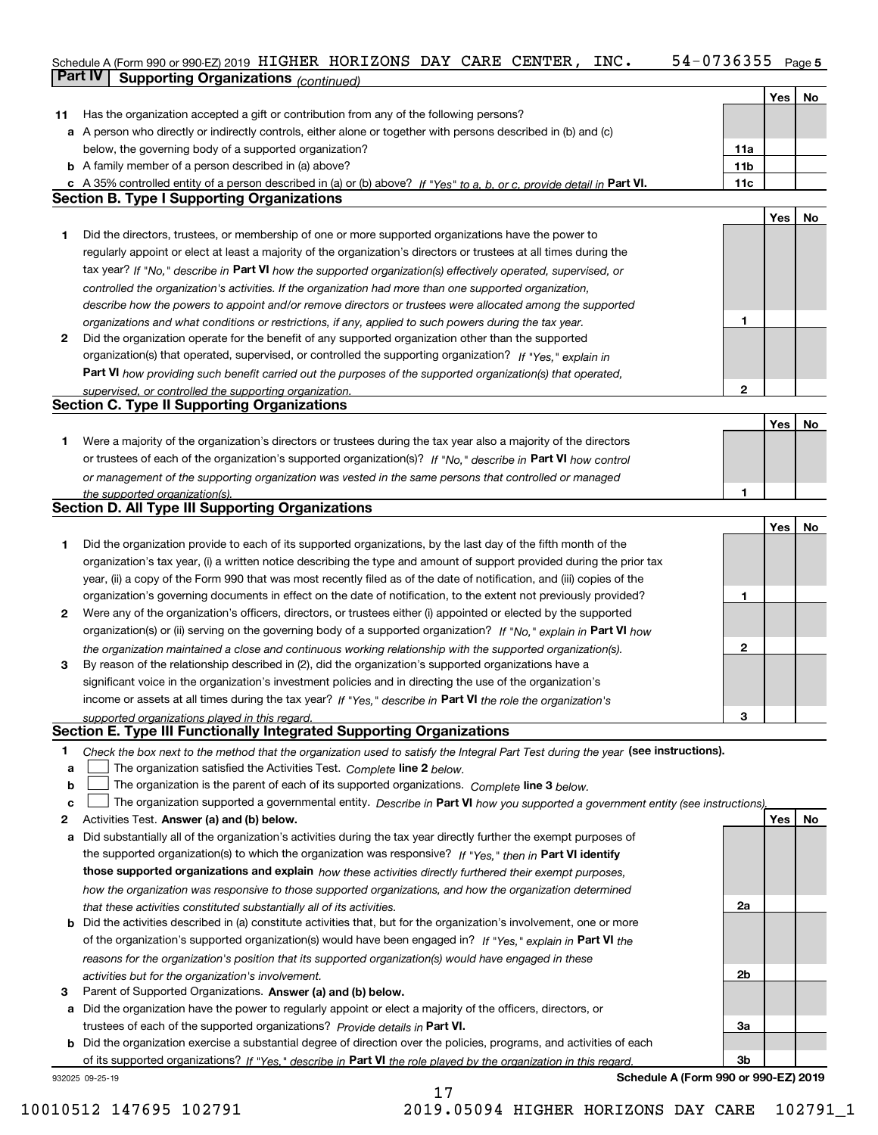## Schedule A (Form 990 or 990-EZ) 2019 <code>HIGHER HORIZONS DAY CARE CENTER</code> , <code>INC. 54-0736355</code> Page 5 **Part IV** Supporting Organizations *(continued)*

|    |                                                                                                                                   |                 | Yes | No |
|----|-----------------------------------------------------------------------------------------------------------------------------------|-----------------|-----|----|
| 11 | Has the organization accepted a gift or contribution from any of the following persons?                                           |                 |     |    |
|    | a A person who directly or indirectly controls, either alone or together with persons described in (b) and (c)                    |                 |     |    |
|    | below, the governing body of a supported organization?                                                                            | 11a             |     |    |
|    | <b>b</b> A family member of a person described in (a) above?                                                                      | 11 <sub>b</sub> |     |    |
|    | c A 35% controlled entity of a person described in (a) or (b) above? If "Yes" to a, b, or c, provide detail in Part VI.           | 11c             |     |    |
|    | <b>Section B. Type I Supporting Organizations</b>                                                                                 |                 |     |    |
|    |                                                                                                                                   |                 | Yes | No |
| 1. | Did the directors, trustees, or membership of one or more supported organizations have the power to                               |                 |     |    |
|    | regularly appoint or elect at least a majority of the organization's directors or trustees at all times during the                |                 |     |    |
|    | tax year? If "No," describe in Part VI how the supported organization(s) effectively operated, supervised, or                     |                 |     |    |
|    | controlled the organization's activities. If the organization had more than one supported organization,                           |                 |     |    |
|    | describe how the powers to appoint and/or remove directors or trustees were allocated among the supported                         |                 |     |    |
|    | organizations and what conditions or restrictions, if any, applied to such powers during the tax year.                            | 1               |     |    |
| 2  | Did the organization operate for the benefit of any supported organization other than the supported                               |                 |     |    |
|    | organization(s) that operated, supervised, or controlled the supporting organization? If "Yes," explain in                        |                 |     |    |
|    | Part VI how providing such benefit carried out the purposes of the supported organization(s) that operated,                       |                 |     |    |
|    | supervised, or controlled the supporting organization.                                                                            | 2               |     |    |
|    | <b>Section C. Type II Supporting Organizations</b>                                                                                |                 |     |    |
|    |                                                                                                                                   |                 | Yes | No |
| 1  | Were a majority of the organization's directors or trustees during the tax year also a majority of the directors                  |                 |     |    |
|    | or trustees of each of the organization's supported organization(s)? If "No." describe in Part VI how control                     |                 |     |    |
|    | or management of the supporting organization was vested in the same persons that controlled or managed                            |                 |     |    |
|    | the supported organization(s).                                                                                                    |                 |     |    |
|    | <b>Section D. All Type III Supporting Organizations</b>                                                                           |                 |     |    |
|    |                                                                                                                                   |                 | Yes | No |
| 1  | Did the organization provide to each of its supported organizations, by the last day of the fifth month of the                    |                 |     |    |
|    | organization's tax year, (i) a written notice describing the type and amount of support provided during the prior tax             |                 |     |    |
|    | year, (ii) a copy of the Form 990 that was most recently filed as of the date of notification, and (iii) copies of the            |                 |     |    |
|    | organization's governing documents in effect on the date of notification, to the extent not previously provided?                  | 1               |     |    |
| 2  | Were any of the organization's officers, directors, or trustees either (i) appointed or elected by the supported                  |                 |     |    |
|    | organization(s) or (ii) serving on the governing body of a supported organization? If "No," explain in Part VI how                |                 |     |    |
|    | the organization maintained a close and continuous working relationship with the supported organization(s).                       | 2               |     |    |
| 3  | By reason of the relationship described in (2), did the organization's supported organizations have a                             |                 |     |    |
|    | significant voice in the organization's investment policies and in directing the use of the organization's                        |                 |     |    |
|    | income or assets at all times during the tax year? If "Yes," describe in Part VI the role the organization's                      |                 |     |    |
|    | supported organizations played in this regard.                                                                                    | З               |     |    |
|    | Section E. Type III Functionally Integrated Supporting Organizations                                                              |                 |     |    |
| 1  | Check the box next to the method that the organization used to satisfy the Integral Part Test during the year (see instructions). |                 |     |    |
| a  | The organization satisfied the Activities Test. Complete line 2 below.                                                            |                 |     |    |
| b  | The organization is the parent of each of its supported organizations. Complete line 3 below.                                     |                 |     |    |
| c  | The organization supported a governmental entity. Describe in Part VI how you supported a government entity (see instructions),   |                 |     |    |
| 2  | Activities Test. Answer (a) and (b) below.                                                                                        |                 | Yes | No |
| а  | Did substantially all of the organization's activities during the tax year directly further the exempt purposes of                |                 |     |    |
|    | the supported organization(s) to which the organization was responsive? If "Yes," then in Part VI identify                        |                 |     |    |
|    | those supported organizations and explain how these activities directly furthered their exempt purposes,                          |                 |     |    |
|    | how the organization was responsive to those supported organizations, and how the organization determined                         |                 |     |    |
|    | that these activities constituted substantially all of its activities.                                                            | 2a              |     |    |
| b  | Did the activities described in (a) constitute activities that, but for the organization's involvement, one or more               |                 |     |    |
|    | of the organization's supported organization(s) would have been engaged in? If "Yes," explain in Part VI the                      |                 |     |    |
|    | reasons for the organization's position that its supported organization(s) would have engaged in these                            |                 |     |    |
|    | activities but for the organization's involvement.                                                                                | 2b              |     |    |
| З  | Parent of Supported Organizations. Answer (a) and (b) below.                                                                      |                 |     |    |
| а  | Did the organization have the power to regularly appoint or elect a majority of the officers, directors, or                       |                 |     |    |
|    | trustees of each of the supported organizations? Provide details in Part VI.                                                      | За              |     |    |
|    | <b>b</b> Did the organization exercise a substantial degree of direction over the policies, programs, and activities of each      |                 |     |    |
|    | of its supported organizations? If "Yes," describe in Part VI the role played by the organization in this regard                  | 3b              |     |    |
|    | Schedule A (Form 990 or 990-EZ) 2019<br>932025 09-25-19                                                                           |                 |     |    |

17

10010512 147695 102791 2019.05094 HIGHER HORIZONS DAY CARE 102791\_1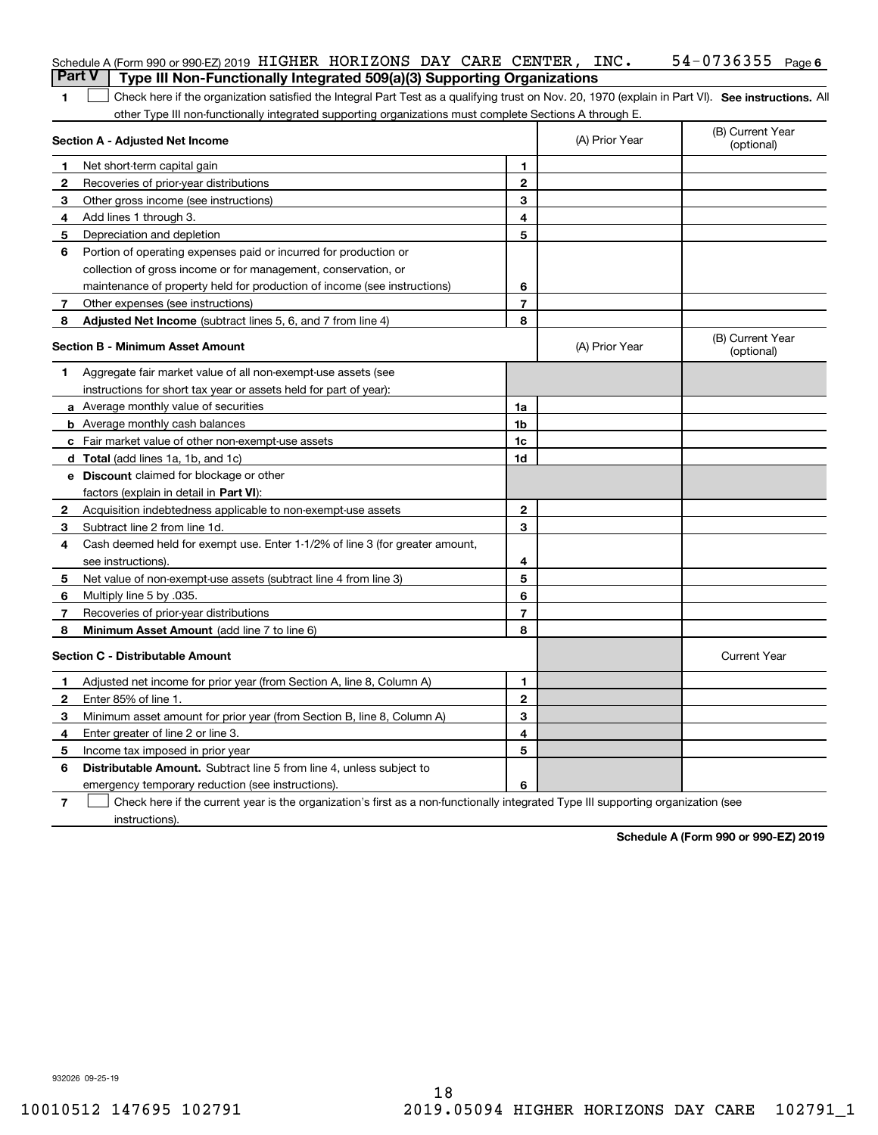|                | Schedule A (Form 990 or 990-EZ) 2019 HIGHER HORIZONS DAY CARE CENTER, $INC$ .<br>Part V<br>Type III Non-Functionally Integrated 509(a)(3) Supporting Organizations |                |                | $54 - 0736355$ Page 6          |
|----------------|--------------------------------------------------------------------------------------------------------------------------------------------------------------------|----------------|----------------|--------------------------------|
| 1              | Check here if the organization satisfied the Integral Part Test as a qualifying trust on Nov. 20, 1970 (explain in Part VI). See instructions. All                 |                |                |                                |
|                | other Type III non-functionally integrated supporting organizations must complete Sections A through E.                                                            |                |                |                                |
|                | Section A - Adjusted Net Income                                                                                                                                    |                | (A) Prior Year | (B) Current Year<br>(optional) |
| 1.             | Net short-term capital gain                                                                                                                                        | 1.             |                |                                |
| 2              | Recoveries of prior-year distributions                                                                                                                             | $\mathbf{2}$   |                |                                |
| 3.             | Other gross income (see instructions)                                                                                                                              | 3              |                |                                |
| 4              | Add lines 1 through 3.                                                                                                                                             | 4              |                |                                |
| 5              | Depreciation and depletion                                                                                                                                         | 5              |                |                                |
| 6              | Portion of operating expenses paid or incurred for production or                                                                                                   |                |                |                                |
|                | collection of gross income or for management, conservation, or                                                                                                     |                |                |                                |
|                | maintenance of property held for production of income (see instructions)                                                                                           | 6              |                |                                |
| 7              | Other expenses (see instructions)                                                                                                                                  | $\overline{7}$ |                |                                |
| 8              | Adjusted Net Income (subtract lines 5, 6, and 7 from line 4)                                                                                                       | 8              |                |                                |
|                | Section B - Minimum Asset Amount                                                                                                                                   |                | (A) Prior Year | (B) Current Year<br>(optional) |
| 1.             | Aggregate fair market value of all non-exempt-use assets (see                                                                                                      |                |                |                                |
|                | instructions for short tax year or assets held for part of year):                                                                                                  |                |                |                                |
|                | a Average monthly value of securities                                                                                                                              | 1a             |                |                                |
|                | <b>b</b> Average monthly cash balances                                                                                                                             | 1b             |                |                                |
|                | c Fair market value of other non-exempt-use assets                                                                                                                 | 1c             |                |                                |
|                | <b>d</b> Total (add lines 1a, 1b, and 1c)                                                                                                                          | 1d             |                |                                |
|                | <b>e</b> Discount claimed for blockage or other                                                                                                                    |                |                |                                |
|                | factors (explain in detail in Part VI):                                                                                                                            |                |                |                                |
|                | <b>2</b> Acquisition indebtedness applicable to non-exempt-use assets                                                                                              | $\mathbf{2}$   |                |                                |
| 3.             | Subtract line 2 from line 1d.                                                                                                                                      | 3              |                |                                |
| 4              | Cash deemed held for exempt use. Enter 1-1/2% of line 3 (for greater amount,                                                                                       |                |                |                                |
|                | see instructions).                                                                                                                                                 | 4              |                |                                |
| 5              | Net value of non-exempt-use assets (subtract line 4 from line 3)                                                                                                   | 5              |                |                                |
| 6              | Multiply line 5 by .035.                                                                                                                                           | 6              |                |                                |
| 7              | Recoveries of prior-year distributions                                                                                                                             | $\overline{7}$ |                |                                |
| 8              | Minimum Asset Amount (add line 7 to line 6)                                                                                                                        | 8              |                |                                |
|                | <b>Section C - Distributable Amount</b>                                                                                                                            |                |                | <b>Current Year</b>            |
|                | Adjusted net income for prior year (from Section A, line 8, Column A)                                                                                              | 1              |                |                                |
| 2              | Enter 85% of line 1.                                                                                                                                               | 2              |                |                                |
| 3.             | Minimum asset amount for prior year (from Section B, line 8, Column A)                                                                                             | 3              |                |                                |
| 4              | Enter greater of line 2 or line 3.                                                                                                                                 | 4              |                |                                |
| 5              | Income tax imposed in prior year                                                                                                                                   | 5              |                |                                |
| 6              | <b>Distributable Amount.</b> Subtract line 5 from line 4, unless subject to                                                                                        |                |                |                                |
|                | emergency temporary reduction (see instructions).                                                                                                                  | 6              |                |                                |
| $\overline{7}$ | Check here if the current year is the organization's first as a non-functionally integrated Type III supporting organization (see                                  |                |                |                                |

instructions).

**Schedule A (Form 990 or 990-EZ) 2019**

932026 09-25-19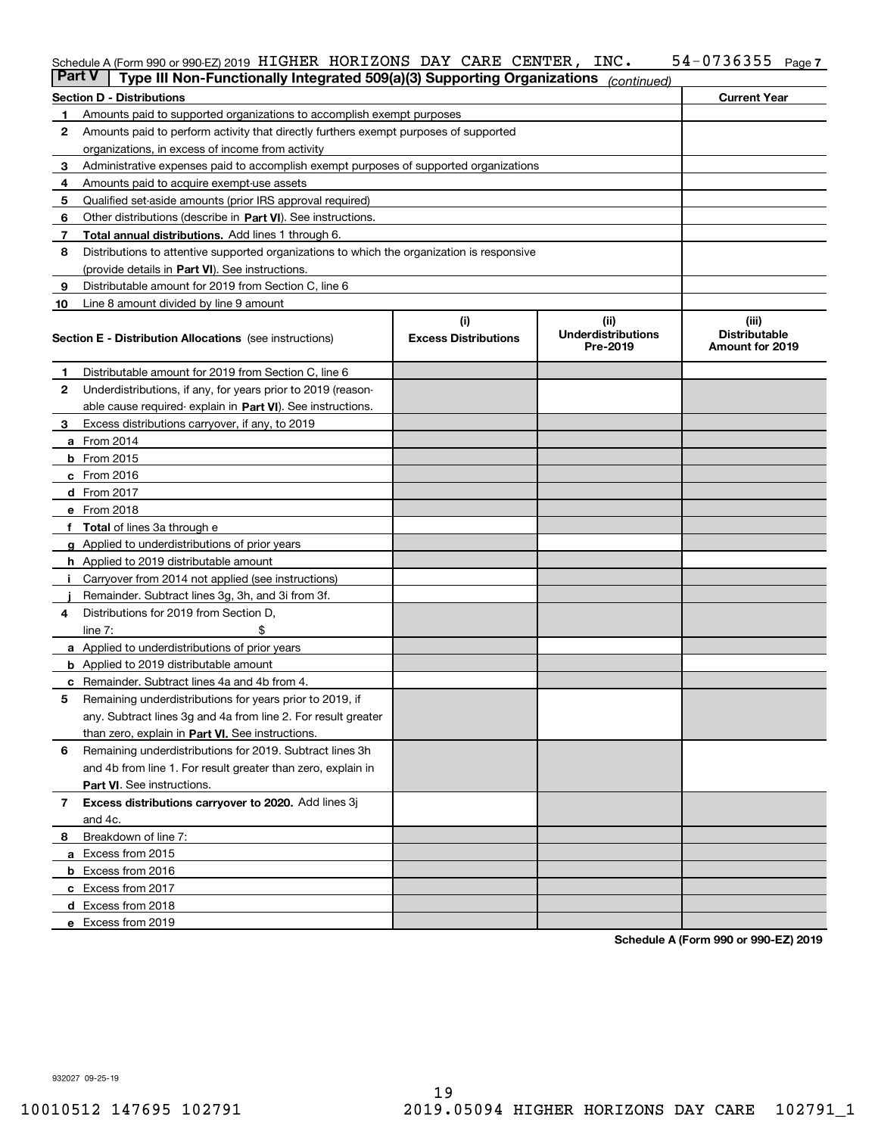### **7** Schedule A (Form 990 or 990-EZ) 2019 <code>HIGHER HORIZONS</code> DAY <code>CARE CENTER</code> , <code>INC.</code>  $54\text{--}0736355$  <code>Page</code>

| <b>Part V</b> | Type III Non-Functionally Integrated 509(a)(3) Supporting Organizations                    |                             | (continued)                           |                                         |
|---------------|--------------------------------------------------------------------------------------------|-----------------------------|---------------------------------------|-----------------------------------------|
|               | <b>Section D - Distributions</b>                                                           |                             |                                       | <b>Current Year</b>                     |
| 1             | Amounts paid to supported organizations to accomplish exempt purposes                      |                             |                                       |                                         |
| 2             | Amounts paid to perform activity that directly furthers exempt purposes of supported       |                             |                                       |                                         |
|               | organizations, in excess of income from activity                                           |                             |                                       |                                         |
| з             | Administrative expenses paid to accomplish exempt purposes of supported organizations      |                             |                                       |                                         |
| 4             | Amounts paid to acquire exempt-use assets                                                  |                             |                                       |                                         |
| 5             | Qualified set-aside amounts (prior IRS approval required)                                  |                             |                                       |                                         |
| 6             | Other distributions (describe in Part VI). See instructions.                               |                             |                                       |                                         |
| 7             | Total annual distributions. Add lines 1 through 6.                                         |                             |                                       |                                         |
| 8             | Distributions to attentive supported organizations to which the organization is responsive |                             |                                       |                                         |
|               | (provide details in Part VI). See instructions.                                            |                             |                                       |                                         |
| 9             | Distributable amount for 2019 from Section C, line 6                                       |                             |                                       |                                         |
| 10            | Line 8 amount divided by line 9 amount                                                     |                             |                                       |                                         |
|               |                                                                                            | (i)                         | (ii)                                  | (iii)                                   |
|               | <b>Section E - Distribution Allocations</b> (see instructions)                             | <b>Excess Distributions</b> | <b>Underdistributions</b><br>Pre-2019 | <b>Distributable</b><br>Amount for 2019 |
| 1             | Distributable amount for 2019 from Section C, line 6                                       |                             |                                       |                                         |
| 2             | Underdistributions, if any, for years prior to 2019 (reason-                               |                             |                                       |                                         |
|               | able cause required- explain in Part VI). See instructions.                                |                             |                                       |                                         |
| з             | Excess distributions carryover, if any, to 2019                                            |                             |                                       |                                         |
|               | <b>a</b> From 2014                                                                         |                             |                                       |                                         |
|               | <b>b</b> From 2015                                                                         |                             |                                       |                                         |
|               | $c$ From 2016                                                                              |                             |                                       |                                         |
|               | d From 2017                                                                                |                             |                                       |                                         |
|               | e From 2018                                                                                |                             |                                       |                                         |
|               | <b>Total</b> of lines 3a through e                                                         |                             |                                       |                                         |
|               | Applied to underdistributions of prior years                                               |                             |                                       |                                         |
|               | <b>h</b> Applied to 2019 distributable amount                                              |                             |                                       |                                         |
|               | Carryover from 2014 not applied (see instructions)                                         |                             |                                       |                                         |
|               | Remainder. Subtract lines 3g, 3h, and 3i from 3f.                                          |                             |                                       |                                         |
| 4             | Distributions for 2019 from Section D,                                                     |                             |                                       |                                         |
|               | line $7:$                                                                                  |                             |                                       |                                         |
|               | <b>a</b> Applied to underdistributions of prior years                                      |                             |                                       |                                         |
|               | <b>b</b> Applied to 2019 distributable amount                                              |                             |                                       |                                         |
| c             | Remainder. Subtract lines 4a and 4b from 4.                                                |                             |                                       |                                         |
| 5             | Remaining underdistributions for years prior to 2019, if                                   |                             |                                       |                                         |
|               | any. Subtract lines 3g and 4a from line 2. For result greater                              |                             |                                       |                                         |
|               | than zero, explain in Part VI. See instructions.                                           |                             |                                       |                                         |
| 6             | Remaining underdistributions for 2019. Subtract lines 3h                                   |                             |                                       |                                         |
|               | and 4b from line 1. For result greater than zero, explain in                               |                             |                                       |                                         |
|               | Part VI. See instructions.                                                                 |                             |                                       |                                         |
| 7             | Excess distributions carryover to 2020. Add lines 3j                                       |                             |                                       |                                         |
|               | and 4c.                                                                                    |                             |                                       |                                         |
| 8             | Breakdown of line 7:                                                                       |                             |                                       |                                         |
|               | a Excess from 2015                                                                         |                             |                                       |                                         |
|               | <b>b</b> Excess from 2016                                                                  |                             |                                       |                                         |
|               | c Excess from 2017                                                                         |                             |                                       |                                         |
|               | d Excess from 2018                                                                         |                             |                                       |                                         |
|               | e Excess from 2019                                                                         |                             |                                       |                                         |
|               |                                                                                            |                             |                                       |                                         |

**Schedule A (Form 990 or 990-EZ) 2019**

932027 09-25-19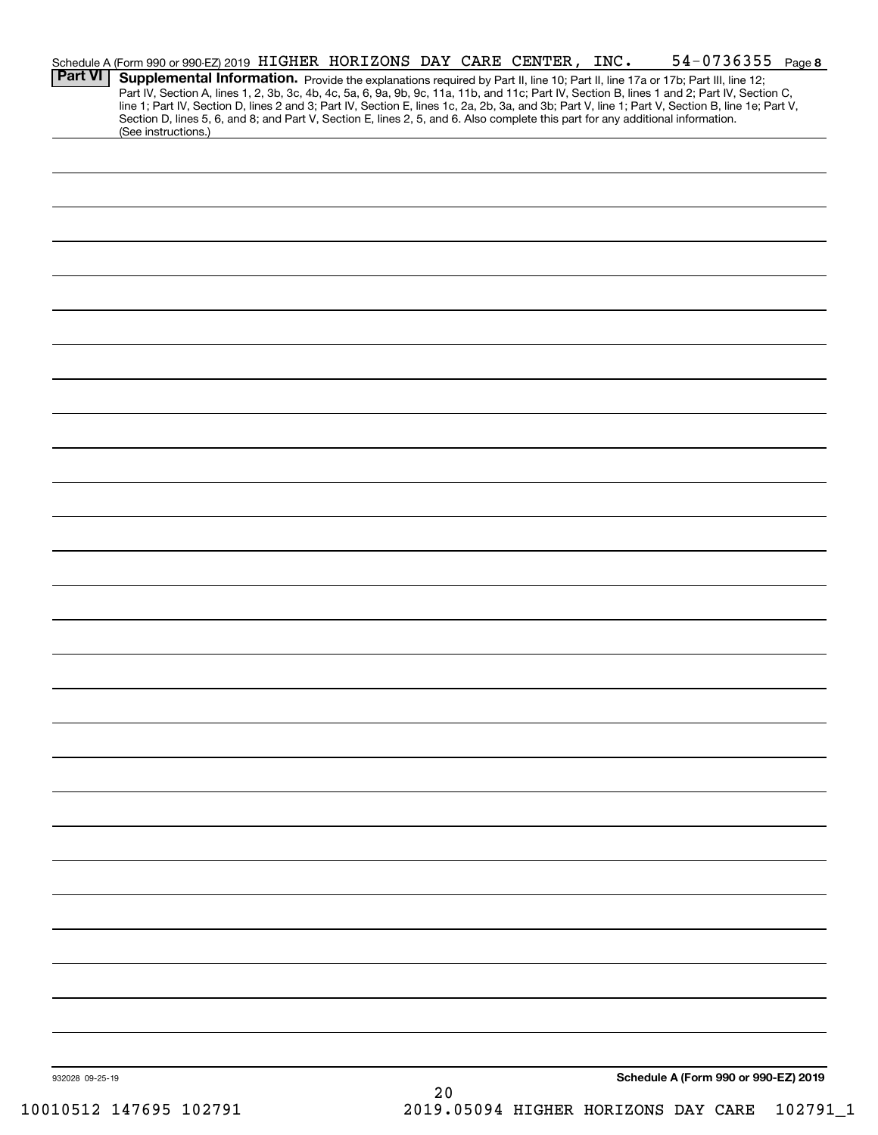| <b>Part VI</b>  | Schedule A (Form 990 or 990-EZ) 2019 HIGHER HORIZONS DAY CARE CENTER, INC.                                                      |  |  |    |  | $54 - 0736355$ Page 8                                                                                                                                                                                                                                                                                                                                                                                                             |  |
|-----------------|---------------------------------------------------------------------------------------------------------------------------------|--|--|----|--|-----------------------------------------------------------------------------------------------------------------------------------------------------------------------------------------------------------------------------------------------------------------------------------------------------------------------------------------------------------------------------------------------------------------------------------|--|
|                 | Section D, lines 5, 6, and 8; and Part V, Section E, lines 2, 5, and 6. Also complete this part for any additional information. |  |  |    |  | Supplemental Information. Provide the explanations required by Part II, line 10; Part II, line 17a or 17b; Part III, line 12;<br>Part IV, Section A, lines 1, 2, 3b, 3c, 4b, 4c, 5a, 6, 9a, 9b, 9c, 11a, 11b, and 11c; Part IV, Section B, lines 1 and 2; Part IV, Section C,<br>line 1; Part IV, Section D, lines 2 and 3; Part IV, Section E, lines 1c, 2a, 2b, 3a, and 3b; Part V, line 1; Part V, Section B, line 1e; Part V, |  |
|                 | (See instructions.)                                                                                                             |  |  |    |  |                                                                                                                                                                                                                                                                                                                                                                                                                                   |  |
|                 |                                                                                                                                 |  |  |    |  |                                                                                                                                                                                                                                                                                                                                                                                                                                   |  |
|                 |                                                                                                                                 |  |  |    |  |                                                                                                                                                                                                                                                                                                                                                                                                                                   |  |
|                 |                                                                                                                                 |  |  |    |  |                                                                                                                                                                                                                                                                                                                                                                                                                                   |  |
|                 |                                                                                                                                 |  |  |    |  |                                                                                                                                                                                                                                                                                                                                                                                                                                   |  |
|                 |                                                                                                                                 |  |  |    |  |                                                                                                                                                                                                                                                                                                                                                                                                                                   |  |
|                 |                                                                                                                                 |  |  |    |  |                                                                                                                                                                                                                                                                                                                                                                                                                                   |  |
|                 |                                                                                                                                 |  |  |    |  |                                                                                                                                                                                                                                                                                                                                                                                                                                   |  |
|                 |                                                                                                                                 |  |  |    |  |                                                                                                                                                                                                                                                                                                                                                                                                                                   |  |
|                 |                                                                                                                                 |  |  |    |  |                                                                                                                                                                                                                                                                                                                                                                                                                                   |  |
|                 |                                                                                                                                 |  |  |    |  |                                                                                                                                                                                                                                                                                                                                                                                                                                   |  |
|                 |                                                                                                                                 |  |  |    |  |                                                                                                                                                                                                                                                                                                                                                                                                                                   |  |
|                 |                                                                                                                                 |  |  |    |  |                                                                                                                                                                                                                                                                                                                                                                                                                                   |  |
|                 |                                                                                                                                 |  |  |    |  |                                                                                                                                                                                                                                                                                                                                                                                                                                   |  |
|                 |                                                                                                                                 |  |  |    |  |                                                                                                                                                                                                                                                                                                                                                                                                                                   |  |
|                 |                                                                                                                                 |  |  |    |  |                                                                                                                                                                                                                                                                                                                                                                                                                                   |  |
|                 |                                                                                                                                 |  |  |    |  |                                                                                                                                                                                                                                                                                                                                                                                                                                   |  |
|                 |                                                                                                                                 |  |  |    |  |                                                                                                                                                                                                                                                                                                                                                                                                                                   |  |
|                 |                                                                                                                                 |  |  |    |  |                                                                                                                                                                                                                                                                                                                                                                                                                                   |  |
|                 |                                                                                                                                 |  |  |    |  |                                                                                                                                                                                                                                                                                                                                                                                                                                   |  |
|                 |                                                                                                                                 |  |  |    |  |                                                                                                                                                                                                                                                                                                                                                                                                                                   |  |
|                 |                                                                                                                                 |  |  |    |  |                                                                                                                                                                                                                                                                                                                                                                                                                                   |  |
|                 |                                                                                                                                 |  |  |    |  |                                                                                                                                                                                                                                                                                                                                                                                                                                   |  |
|                 |                                                                                                                                 |  |  |    |  |                                                                                                                                                                                                                                                                                                                                                                                                                                   |  |
|                 |                                                                                                                                 |  |  |    |  |                                                                                                                                                                                                                                                                                                                                                                                                                                   |  |
|                 |                                                                                                                                 |  |  |    |  |                                                                                                                                                                                                                                                                                                                                                                                                                                   |  |
|                 |                                                                                                                                 |  |  |    |  |                                                                                                                                                                                                                                                                                                                                                                                                                                   |  |
|                 |                                                                                                                                 |  |  |    |  |                                                                                                                                                                                                                                                                                                                                                                                                                                   |  |
|                 |                                                                                                                                 |  |  |    |  |                                                                                                                                                                                                                                                                                                                                                                                                                                   |  |
|                 |                                                                                                                                 |  |  |    |  |                                                                                                                                                                                                                                                                                                                                                                                                                                   |  |
|                 |                                                                                                                                 |  |  |    |  |                                                                                                                                                                                                                                                                                                                                                                                                                                   |  |
|                 |                                                                                                                                 |  |  |    |  |                                                                                                                                                                                                                                                                                                                                                                                                                                   |  |
|                 |                                                                                                                                 |  |  |    |  |                                                                                                                                                                                                                                                                                                                                                                                                                                   |  |
| 932028 09-25-19 |                                                                                                                                 |  |  | 20 |  | Schedule A (Form 990 or 990-EZ) 2019                                                                                                                                                                                                                                                                                                                                                                                              |  |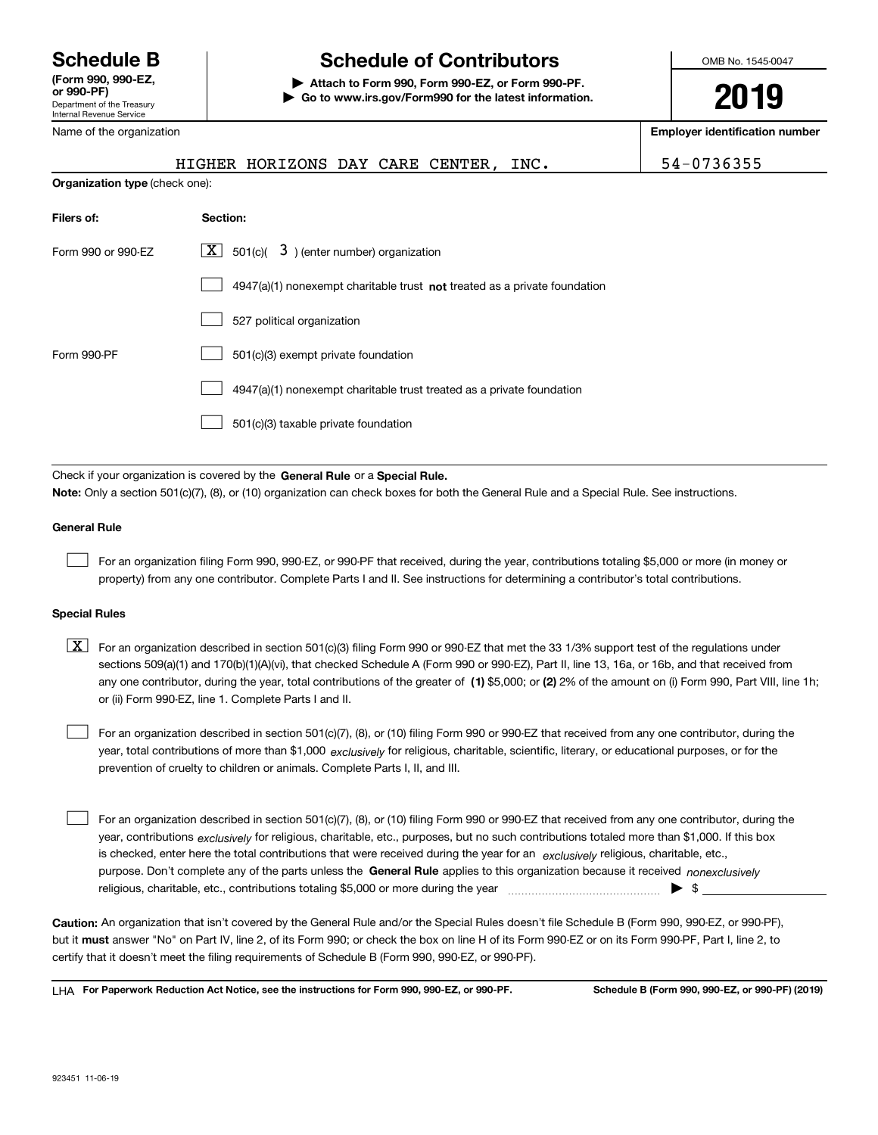Department of the Treasury Internal Revenue Service **(Form 990, 990-EZ, or 990-PF)** Name of the organization

# **Schedule B Schedule of Contributors**

**| Attach to Form 990, Form 990-EZ, or Form 990-PF. | Go to www.irs.gov/Form990 for the latest information.** OMB No. 1545-0047

**2019**

**Employer identification number**

|                                                                                                                                                                                                                                                                                  | HIGHER HORIZONS DAY CARE CENTER, INC.                                        | 54-0736355 |  |  |  |
|----------------------------------------------------------------------------------------------------------------------------------------------------------------------------------------------------------------------------------------------------------------------------------|------------------------------------------------------------------------------|------------|--|--|--|
| <b>Organization type (check one):</b>                                                                                                                                                                                                                                            |                                                                              |            |  |  |  |
| Filers of:                                                                                                                                                                                                                                                                       | Section:                                                                     |            |  |  |  |
| Form 990 or 990-EZ                                                                                                                                                                                                                                                               | $501(c)$ $\overline{3}$ ) (enter number) organization<br>  X                 |            |  |  |  |
|                                                                                                                                                                                                                                                                                  | $4947(a)(1)$ nonexempt charitable trust not treated as a private foundation  |            |  |  |  |
|                                                                                                                                                                                                                                                                                  | 527 political organization                                                   |            |  |  |  |
| Form 990-PF                                                                                                                                                                                                                                                                      | 501(c)(3) exempt private foundation                                          |            |  |  |  |
|                                                                                                                                                                                                                                                                                  | 4947(a)(1) nonexempt charitable trust treated as a private foundation        |            |  |  |  |
|                                                                                                                                                                                                                                                                                  | 501(c)(3) taxable private foundation                                         |            |  |  |  |
|                                                                                                                                                                                                                                                                                  |                                                                              |            |  |  |  |
|                                                                                                                                                                                                                                                                                  | Check if your organization is covered by the General Rule or a Special Rule. |            |  |  |  |
| Note: Only a section 501(c)(7), (8), or (10) organization can check boxes for both the General Rule and a Special Rule. See instructions.                                                                                                                                        |                                                                              |            |  |  |  |
| <b>General Rule</b>                                                                                                                                                                                                                                                              |                                                                              |            |  |  |  |
| For an organization filing Form 990, 990-EZ, or 990-PF that received, during the year, contributions totaling \$5,000 or more (in money or<br>property) from any one contributor. Complete Parts I and II. See instructions for determining a contributor's total contributions. |                                                                              |            |  |  |  |

### **Special Rules**

any one contributor, during the year, total contributions of the greater of  $\,$  (1) \$5,000; or **(2)** 2% of the amount on (i) Form 990, Part VIII, line 1h;  $\boxed{\textbf{X}}$  For an organization described in section 501(c)(3) filing Form 990 or 990-EZ that met the 33 1/3% support test of the regulations under sections 509(a)(1) and 170(b)(1)(A)(vi), that checked Schedule A (Form 990 or 990-EZ), Part II, line 13, 16a, or 16b, and that received from or (ii) Form 990-EZ, line 1. Complete Parts I and II.

year, total contributions of more than \$1,000 *exclusively* for religious, charitable, scientific, literary, or educational purposes, or for the For an organization described in section 501(c)(7), (8), or (10) filing Form 990 or 990-EZ that received from any one contributor, during the prevention of cruelty to children or animals. Complete Parts I, II, and III.

purpose. Don't complete any of the parts unless the **General Rule** applies to this organization because it received *nonexclusively* year, contributions <sub>exclusively</sub> for religious, charitable, etc., purposes, but no such contributions totaled more than \$1,000. If this box is checked, enter here the total contributions that were received during the year for an  $\;$ exclusively religious, charitable, etc., For an organization described in section 501(c)(7), (8), or (10) filing Form 990 or 990-EZ that received from any one contributor, during the religious, charitable, etc., contributions totaling \$5,000 or more during the year  $\Box$ — $\Box$  =  $\Box$  $\mathcal{L}^{\text{max}}$ 

**Caution:**  An organization that isn't covered by the General Rule and/or the Special Rules doesn't file Schedule B (Form 990, 990-EZ, or 990-PF),  **must** but it answer "No" on Part IV, line 2, of its Form 990; or check the box on line H of its Form 990-EZ or on its Form 990-PF, Part I, line 2, to certify that it doesn't meet the filing requirements of Schedule B (Form 990, 990-EZ, or 990-PF).

**For Paperwork Reduction Act Notice, see the instructions for Form 990, 990-EZ, or 990-PF. Schedule B (Form 990, 990-EZ, or 990-PF) (2019)** LHA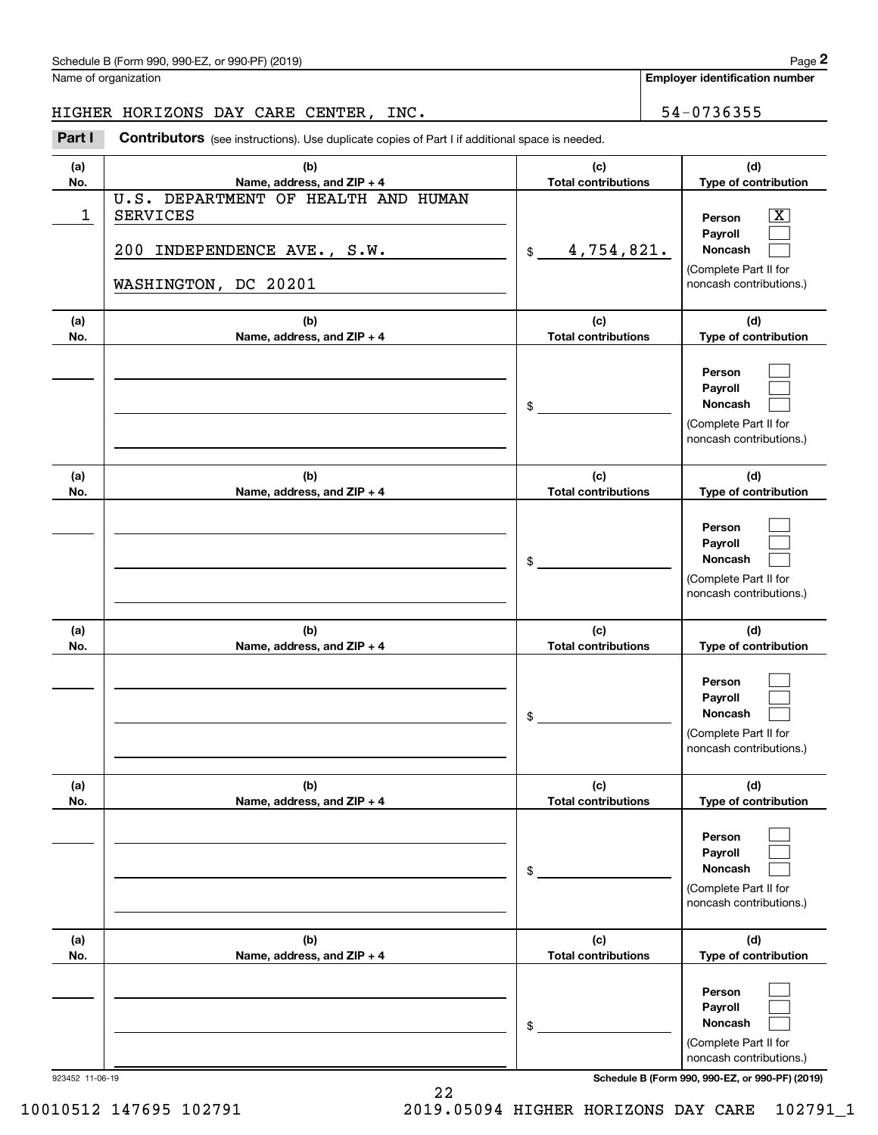| Schedule B (Form 990, 990-EZ, or 990-PF) (2019) | Page |
|-------------------------------------------------|------|
|-------------------------------------------------|------|

Name of organization

**Employer identification number**

## HIGHER HORIZONS DAY CARE CENTER, INC. | 54-0736355

Chedule B (Form 990, 990-EZ, or 990-PF) (2019)<br>
lame of organization<br> **29 Employer identification number**<br> **29 Employer identification number**<br>
29 Employer identification number<br>
29 Employer identification number<br>
29 Emplo

| (a)<br>No. | (b)<br>Name, address, and ZIP + 4                                                                             | (c)<br><b>Total contributions</b> | (d)<br>Type of contribution                                                           |
|------------|---------------------------------------------------------------------------------------------------------------|-----------------------------------|---------------------------------------------------------------------------------------|
| 1          | U.S. DEPARTMENT OF HEALTH AND HUMAN<br><b>SERVICES</b><br>200 INDEPENDENCE AVE., S.W.<br>WASHINGTON, DC 20201 | \$ 4,754,821.                     | x<br>Person<br>Payroll<br>Noncash<br>(Complete Part II for<br>noncash contributions.) |
| (a)<br>No. | (b)<br>Name, address, and ZIP + 4                                                                             | (c)<br><b>Total contributions</b> | (d)<br>Type of contribution                                                           |
|            |                                                                                                               | $\frac{1}{2}$                     | Person<br>Payroll<br>Noncash<br>(Complete Part II for<br>noncash contributions.)      |
| (a)<br>No. | (b)<br>Name, address, and ZIP + 4                                                                             | (c)<br><b>Total contributions</b> | (d)<br>Type of contribution                                                           |
|            |                                                                                                               | $\frac{1}{2}$                     | Person<br>Payroll<br>Noncash<br>(Complete Part II for<br>noncash contributions.)      |
| (a)<br>No. | (b)<br>Name, address, and ZIP + 4                                                                             | (c)<br><b>Total contributions</b> | (d)<br>Type of contribution                                                           |
|            |                                                                                                               | $\frac{1}{2}$                     | Person<br>Payroll<br>Noncash<br>(Complete Part II for<br>noncash contributions.)      |
| (a)<br>No. | (b)<br>Name, address, and ZIP + 4                                                                             | (c)<br><b>Total contributions</b> | (d)<br>Type of contribution                                                           |
|            |                                                                                                               | \$                                | Person<br>Payroll<br>Noncash<br>(Complete Part II for<br>noncash contributions.)      |
| (a)<br>No. | (b)<br>Name, address, and ZIP + 4                                                                             | (c)<br><b>Total contributions</b> | (d)<br>Type of contribution                                                           |
|            |                                                                                                               | \$                                | Person<br>Payroll<br>Noncash<br>(Complete Part II for<br>noncash contributions.)      |

923452 11-06-19 **Schedule B (Form 990, 990-EZ, or 990-PF) (2019)**

10010512 147695 102791 2019.05094 HIGHER HORIZONS DAY CARE 102791\_1

22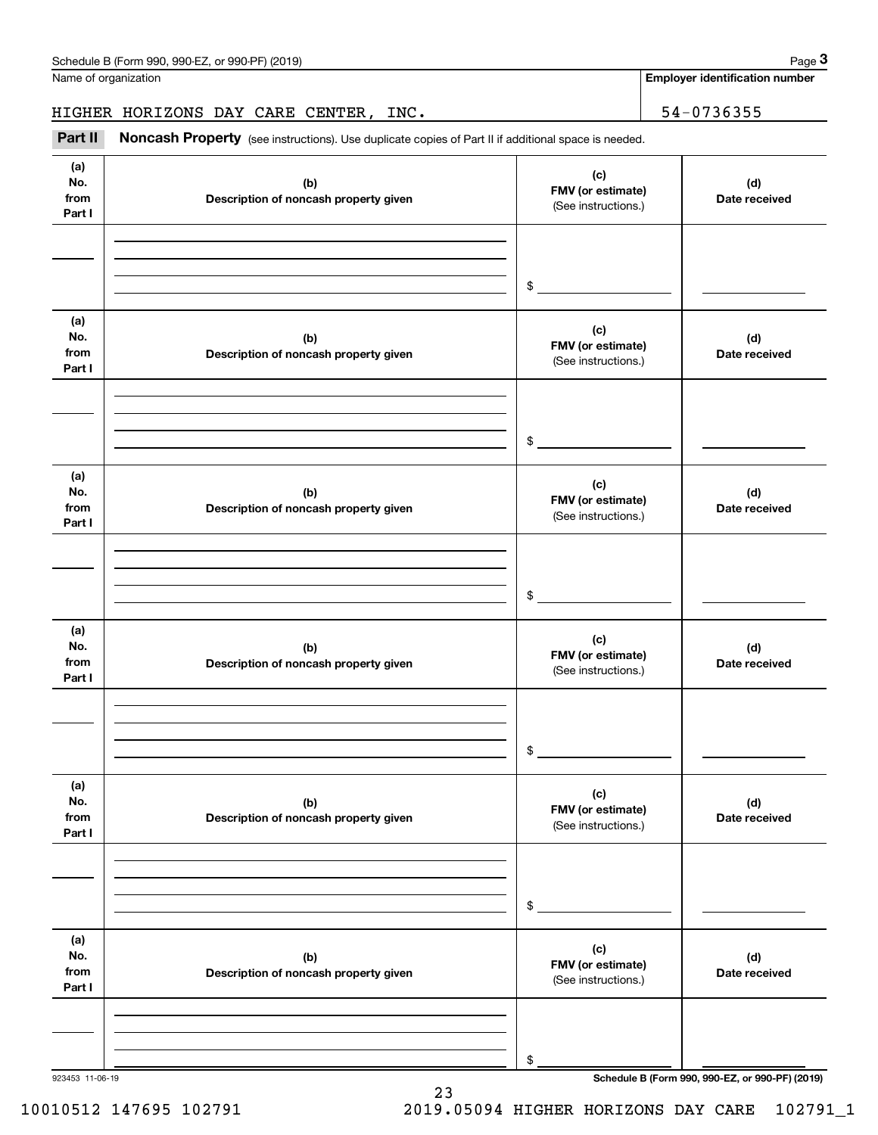| Schedule B (Form 990, 990-EZ, or 990-PF) (2019) | Page |
|-------------------------------------------------|------|
|-------------------------------------------------|------|

Name of organization

**Employer identification number**

HIGHER HORIZONS DAY CARE CENTER, INC. THE SALE RAY CARE SERVICE SERVICE SERVICE SERVICE SERVICE SERVICE SERVICE

**(a)No.fromPart I (c) FMV (or estimate) (b) Description of noncash property given (d) Date received (a)No.fromPart I (c) FMV (or estimate) (b) Description of noncash property given (d) Date received (a)No.fromPart I (c) FMV (or estimate) (b) Description of noncash property given (d) Date received (a) No.fromPart I (c) FMV (or estimate) (b)Description of noncash property given (d)Date received (a) No.fromPart I (c) FMV (or estimate) (b) Description of noncash property given (d) Date received (a) No.fromPart I (c)FMV (or estimate) (b)Description of noncash property given (d)Date received** Chedule B (Form 990, 990-EZ, or 990-PF) (2019)<br>Iame of organization<br>**39. IIGHER HORIZONS DAY CARE CENTER, INC.**<br>**Part II Noncash Property** (see instructions). Use duplicate copies of Part II if additional space is needed (See instructions.) \$(See instructions.) \$(See instructions.) \$(See instructions.) \$(See instructions.) \$(See instructions.)

23

\$

923453 11-06-19 **Schedule B (Form 990, 990-EZ, or 990-PF) (2019)**

10010512 147695 102791 2019.05094 HIGHER HORIZONS DAY CARE 102791\_1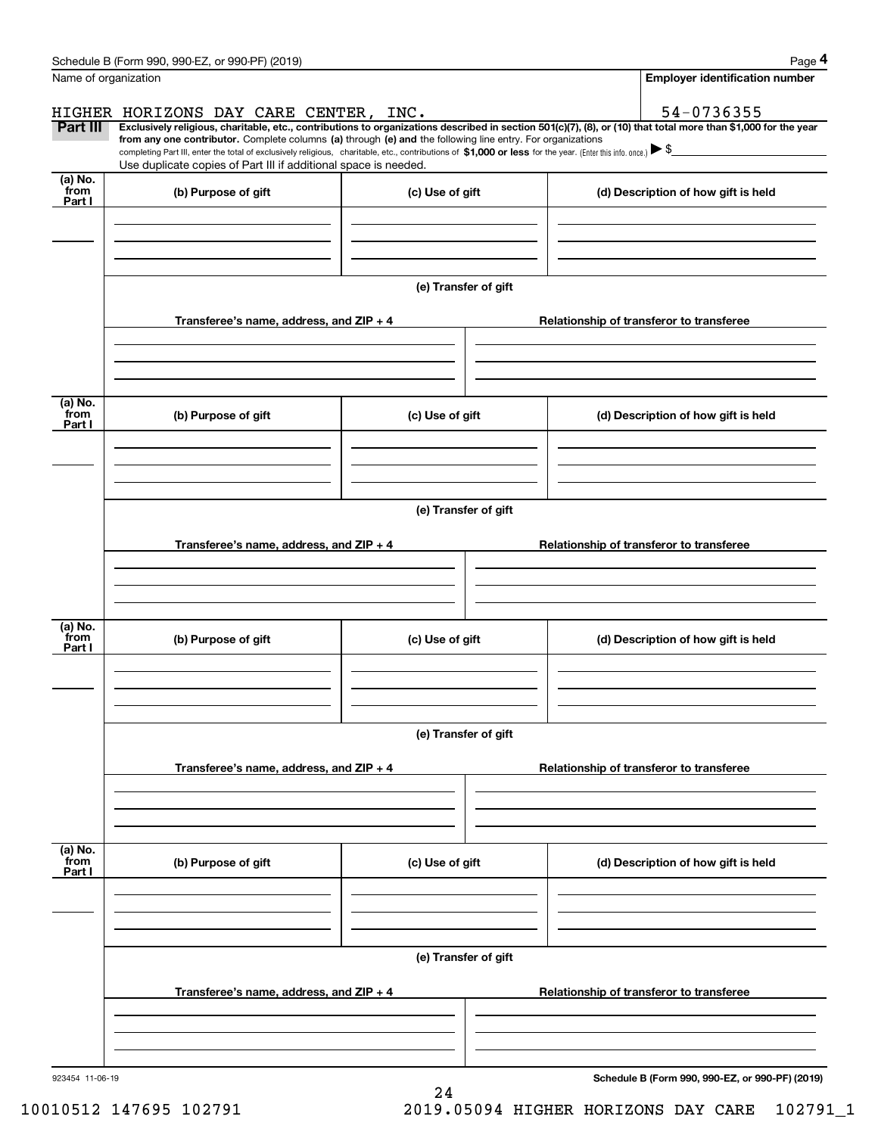|                           | Schedule B (Form 990, 990-EZ, or 990-PF) (2019)                                                                                                                                                                                                                              |                      |                                          | Page 4                                          |  |  |  |
|---------------------------|------------------------------------------------------------------------------------------------------------------------------------------------------------------------------------------------------------------------------------------------------------------------------|----------------------|------------------------------------------|-------------------------------------------------|--|--|--|
| Name of organization      |                                                                                                                                                                                                                                                                              |                      |                                          | <b>Employer identification number</b>           |  |  |  |
|                           | HIGHER HORIZONS DAY CARE CENTER, INC.                                                                                                                                                                                                                                        |                      |                                          | 54-0736355                                      |  |  |  |
| Part III                  | Exclusively religious, charitable, etc., contributions to organizations described in section 501(c)(7), (8), or (10) that total more than \$1,000 for the year<br>from any one contributor. Complete columns (a) through (e) and the following line entry. For organizations |                      |                                          |                                                 |  |  |  |
|                           | completing Part III, enter the total of exclusively religious, charitable, etc., contributions of \$1,000 or less for the year. (Enter this info. once.) $\blacktriangleright$ \$<br>Use duplicate copies of Part III if additional space is needed.                         |                      |                                          |                                                 |  |  |  |
| (a) No.<br>from           |                                                                                                                                                                                                                                                                              |                      |                                          |                                                 |  |  |  |
| Part I                    | (b) Purpose of gift                                                                                                                                                                                                                                                          | (c) Use of gift      |                                          | (d) Description of how gift is held             |  |  |  |
|                           |                                                                                                                                                                                                                                                                              |                      |                                          |                                                 |  |  |  |
|                           |                                                                                                                                                                                                                                                                              |                      |                                          |                                                 |  |  |  |
|                           |                                                                                                                                                                                                                                                                              |                      |                                          |                                                 |  |  |  |
|                           |                                                                                                                                                                                                                                                                              | (e) Transfer of gift |                                          |                                                 |  |  |  |
|                           | Transferee's name, address, and ZIP + 4                                                                                                                                                                                                                                      |                      |                                          | Relationship of transferor to transferee        |  |  |  |
|                           |                                                                                                                                                                                                                                                                              |                      |                                          |                                                 |  |  |  |
|                           |                                                                                                                                                                                                                                                                              |                      |                                          |                                                 |  |  |  |
| (a) No.                   |                                                                                                                                                                                                                                                                              |                      |                                          |                                                 |  |  |  |
| from<br>Part I            | (b) Purpose of gift                                                                                                                                                                                                                                                          | (c) Use of gift      |                                          | (d) Description of how gift is held             |  |  |  |
|                           |                                                                                                                                                                                                                                                                              |                      |                                          |                                                 |  |  |  |
|                           |                                                                                                                                                                                                                                                                              |                      |                                          |                                                 |  |  |  |
|                           |                                                                                                                                                                                                                                                                              |                      |                                          |                                                 |  |  |  |
|                           | (e) Transfer of gift                                                                                                                                                                                                                                                         |                      |                                          |                                                 |  |  |  |
|                           | Transferee's name, address, and ZIP + 4                                                                                                                                                                                                                                      |                      | Relationship of transferor to transferee |                                                 |  |  |  |
|                           |                                                                                                                                                                                                                                                                              |                      |                                          |                                                 |  |  |  |
|                           |                                                                                                                                                                                                                                                                              |                      |                                          |                                                 |  |  |  |
|                           |                                                                                                                                                                                                                                                                              |                      |                                          |                                                 |  |  |  |
| (a) No.<br>from<br>Part I | (b) Purpose of gift                                                                                                                                                                                                                                                          | (c) Use of gift      |                                          | (d) Description of how gift is held             |  |  |  |
|                           |                                                                                                                                                                                                                                                                              |                      |                                          |                                                 |  |  |  |
|                           |                                                                                                                                                                                                                                                                              |                      |                                          |                                                 |  |  |  |
|                           |                                                                                                                                                                                                                                                                              |                      |                                          |                                                 |  |  |  |
|                           | (e) Transfer of gift                                                                                                                                                                                                                                                         |                      |                                          |                                                 |  |  |  |
|                           | Transferee's name, address, and ZIP + 4                                                                                                                                                                                                                                      |                      |                                          | Relationship of transferor to transferee        |  |  |  |
|                           |                                                                                                                                                                                                                                                                              |                      |                                          |                                                 |  |  |  |
|                           |                                                                                                                                                                                                                                                                              |                      |                                          |                                                 |  |  |  |
|                           |                                                                                                                                                                                                                                                                              |                      |                                          |                                                 |  |  |  |
| (a) No.<br>from           | (b) Purpose of gift                                                                                                                                                                                                                                                          | (c) Use of gift      |                                          | (d) Description of how gift is held             |  |  |  |
| Part I                    |                                                                                                                                                                                                                                                                              |                      |                                          |                                                 |  |  |  |
|                           |                                                                                                                                                                                                                                                                              |                      |                                          |                                                 |  |  |  |
|                           |                                                                                                                                                                                                                                                                              |                      |                                          |                                                 |  |  |  |
|                           | (e) Transfer of gift                                                                                                                                                                                                                                                         |                      |                                          |                                                 |  |  |  |
|                           |                                                                                                                                                                                                                                                                              |                      |                                          |                                                 |  |  |  |
|                           | Transferee's name, address, and ZIP + 4                                                                                                                                                                                                                                      |                      |                                          | Relationship of transferor to transferee        |  |  |  |
|                           |                                                                                                                                                                                                                                                                              |                      |                                          |                                                 |  |  |  |
|                           |                                                                                                                                                                                                                                                                              |                      |                                          |                                                 |  |  |  |
| 923454 11-06-19           |                                                                                                                                                                                                                                                                              |                      |                                          | Schedule B (Form 990, 990-EZ, or 990-PF) (2019) |  |  |  |
|                           |                                                                                                                                                                                                                                                                              | 24                   |                                          |                                                 |  |  |  |

10010512 147695 102791 2019.05094 HIGHER HORIZONS DAY CARE 102791\_1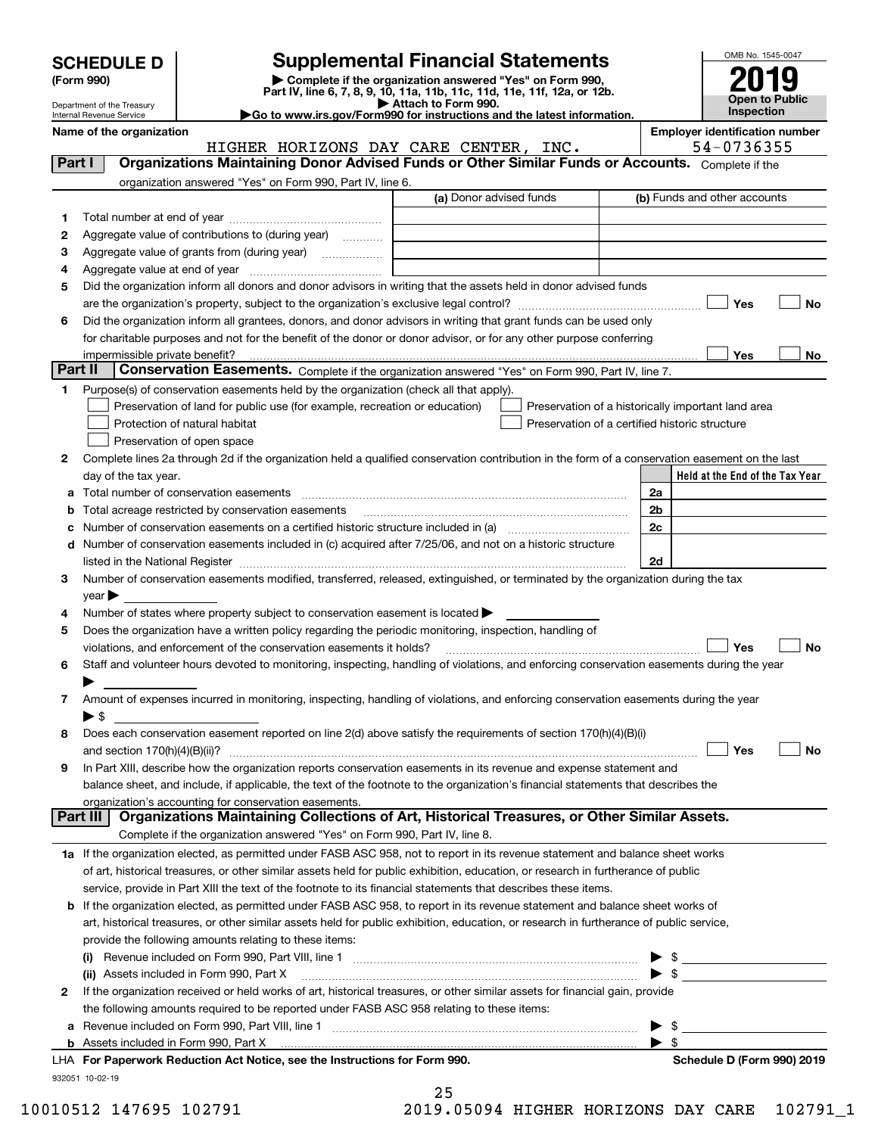| <b>SCHEDULE D</b> |  |
|-------------------|--|
|-------------------|--|

| (Form 990) |  |
|------------|--|
|------------|--|

## **Supplemental Financial Statements**

(Form 990)<br>
Pepartment of the Treasury<br>
Department of the Treasury<br>
Department of the Treasury<br>
Department of the Treasury<br> **Co to www.irs.gov/Form990 for instructions and the latest information.**<br> **Co to www.irs.gov/Form9** 



Department of the Treasury Internal Revenue Service

**Name of the organization Employer identification number** HIGHER HORIZONS DAY CARE CENTER, INC. | 54-0736355

| Part I  | Organizations Maintaining Donor Advised Funds or Other Similar Funds or Accounts. Complete if the                                                                                                                             |                         |                                                    |
|---------|-------------------------------------------------------------------------------------------------------------------------------------------------------------------------------------------------------------------------------|-------------------------|----------------------------------------------------|
|         | organization answered "Yes" on Form 990, Part IV, line 6.                                                                                                                                                                     |                         |                                                    |
|         |                                                                                                                                                                                                                               | (a) Donor advised funds | (b) Funds and other accounts                       |
| 1.      |                                                                                                                                                                                                                               |                         |                                                    |
| 2       | Aggregate value of contributions to (during year)                                                                                                                                                                             |                         |                                                    |
| 3       | Aggregate value of grants from (during year)                                                                                                                                                                                  |                         |                                                    |
| 4       |                                                                                                                                                                                                                               |                         |                                                    |
| 5       | Did the organization inform all donors and donor advisors in writing that the assets held in donor advised funds                                                                                                              |                         |                                                    |
|         |                                                                                                                                                                                                                               |                         | ∣ Yes<br>No                                        |
| 6       | Did the organization inform all grantees, donors, and donor advisors in writing that grant funds can be used only                                                                                                             |                         |                                                    |
|         | for charitable purposes and not for the benefit of the donor or donor advisor, or for any other purpose conferring                                                                                                            |                         |                                                    |
|         | impermissible private benefit?                                                                                                                                                                                                |                         | Yes<br>No                                          |
| Part II | Conservation Easements. Complete if the organization answered "Yes" on Form 990, Part IV, line 7.                                                                                                                             |                         |                                                    |
| 1.      | Purpose(s) of conservation easements held by the organization (check all that apply).                                                                                                                                         |                         |                                                    |
|         | Preservation of land for public use (for example, recreation or education)                                                                                                                                                    |                         | Preservation of a historically important land area |
|         | Protection of natural habitat                                                                                                                                                                                                 |                         | Preservation of a certified historic structure     |
|         | Preservation of open space                                                                                                                                                                                                    |                         |                                                    |
| 2       | Complete lines 2a through 2d if the organization held a qualified conservation contribution in the form of a conservation easement on the last                                                                                |                         |                                                    |
|         | day of the tax year.                                                                                                                                                                                                          |                         | Held at the End of the Tax Year                    |
|         |                                                                                                                                                                                                                               |                         | 2a                                                 |
|         | <b>b</b> Total acreage restricted by conservation easements                                                                                                                                                                   |                         | 2 <sub>b</sub>                                     |
|         | c Number of conservation easements on a certified historic structure included in (a) manufacture included in (a)                                                                                                              |                         | 2c                                                 |
|         | d Number of conservation easements included in (c) acquired after 7/25/06, and not on a historic structure                                                                                                                    |                         |                                                    |
|         | listed in the National Register [111] Marshall Register [11] Marshall Register [11] Marshall Register [11] Marshall Register [11] Marshall Register [11] Marshall Register [11] Marshall Register [11] Marshall Register [11] |                         | 2d                                                 |
| 3       | Number of conservation easements modified, transferred, released, extinguished, or terminated by the organization during the tax                                                                                              |                         |                                                    |
|         | $year \blacktriangleright$                                                                                                                                                                                                    |                         |                                                    |
| 4       | Number of states where property subject to conservation easement is located >                                                                                                                                                 |                         |                                                    |
| 5       | Does the organization have a written policy regarding the periodic monitoring, inspection, handling of<br>violations, and enforcement of the conservation easements it holds?                                                 |                         | Yes<br>No                                          |
| 6       | Staff and volunteer hours devoted to monitoring, inspecting, handling of violations, and enforcing conservation easements during the year                                                                                     |                         |                                                    |
|         |                                                                                                                                                                                                                               |                         |                                                    |
| 7       | Amount of expenses incurred in monitoring, inspecting, handling of violations, and enforcing conservation easements during the year                                                                                           |                         |                                                    |
|         | $\blacktriangleright$ \$                                                                                                                                                                                                      |                         |                                                    |
| 8       | Does each conservation easement reported on line 2(d) above satisfy the requirements of section 170(h)(4)(B)(i)                                                                                                               |                         |                                                    |
|         |                                                                                                                                                                                                                               |                         | Yes<br>No                                          |
| 9       | In Part XIII, describe how the organization reports conservation easements in its revenue and expense statement and                                                                                                           |                         |                                                    |
|         | balance sheet, and include, if applicable, the text of the footnote to the organization's financial statements that describes the                                                                                             |                         |                                                    |
|         | organization's accounting for conservation easements.                                                                                                                                                                         |                         |                                                    |
|         | Organizations Maintaining Collections of Art, Historical Treasures, or Other Similar Assets.<br>Part III                                                                                                                      |                         |                                                    |
|         | Complete if the organization answered "Yes" on Form 990, Part IV, line 8.                                                                                                                                                     |                         |                                                    |
|         | 1a If the organization elected, as permitted under FASB ASC 958, not to report in its revenue statement and balance sheet works                                                                                               |                         |                                                    |
|         | of art, historical treasures, or other similar assets held for public exhibition, education, or research in furtherance of public                                                                                             |                         |                                                    |
|         | service, provide in Part XIII the text of the footnote to its financial statements that describes these items.                                                                                                                |                         |                                                    |
|         | <b>b</b> If the organization elected, as permitted under FASB ASC 958, to report in its revenue statement and balance sheet works of                                                                                          |                         |                                                    |
|         | art, historical treasures, or other similar assets held for public exhibition, education, or research in furtherance of public service,                                                                                       |                         |                                                    |
|         | provide the following amounts relating to these items:                                                                                                                                                                        |                         |                                                    |
|         |                                                                                                                                                                                                                               |                         |                                                    |
|         | (ii) Assets included in Form 990, Part X                                                                                                                                                                                      |                         | $\blacktriangleright$ s                            |
| 2       | If the organization received or held works of art, historical treasures, or other similar assets for financial gain, provide                                                                                                  |                         |                                                    |
|         | the following amounts required to be reported under FASB ASC 958 relating to these items:                                                                                                                                     |                         |                                                    |
|         | a Revenue included on Form 990, Part VIII, line 1 [2000] [2000] [2000] [2000] [2000] [2000] [2000] [2000] [2000                                                                                                               |                         | \$                                                 |
|         |                                                                                                                                                                                                                               |                         | $\blacktriangleright$ s                            |
|         | LHA For Paperwork Reduction Act Notice, see the Instructions for Form 990.                                                                                                                                                    |                         | Schedule D (Form 990) 2019                         |
|         | 932051 10-02-19                                                                                                                                                                                                               |                         |                                                    |

| 25  |        |  |            |
|-----|--------|--|------------|
| ח ו | 0.5001 |  | <b>TT-</b> |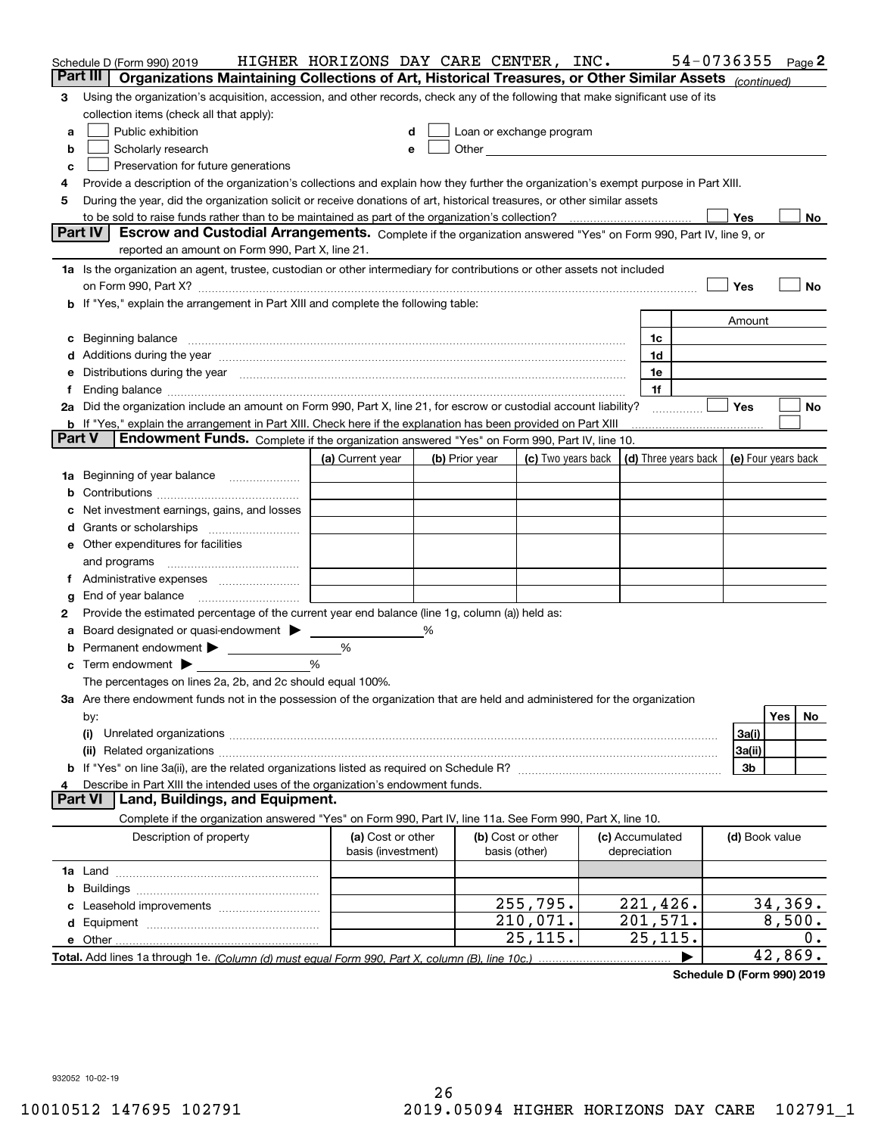| Part III<br>Organizations Maintaining Collections of Art, Historical Treasures, or Other Similar Assets (continued)<br>Using the organization's acquisition, accession, and other records, check any of the following that make significant use of its<br>3<br>collection items (check all that apply):<br>Public exhibition<br>Loan or exchange program<br>a<br>Other experiences and the state of the state of the state of the state of the state of the state of the state of the state of the state of the state of the state of the state of the state of the state of the state of the s<br>Scholarly research<br>b<br>е<br>Preservation for future generations<br>с<br>Provide a description of the organization's collections and explain how they further the organization's exempt purpose in Part XIII.<br>4<br>During the year, did the organization solicit or receive donations of art, historical treasures, or other similar assets<br>5<br>Yes<br>to be sold to raise funds rather than to be maintained as part of the organization's collection?<br>No<br><b>Part IV</b><br>Escrow and Custodial Arrangements. Complete if the organization answered "Yes" on Form 990, Part IV, line 9, or<br>reported an amount on Form 990, Part X, line 21.<br>1a Is the organization an agent, trustee, custodian or other intermediary for contributions or other assets not included<br>Yes<br>No<br>on Form 990, Part X? [11] matter contracts and contracts and contracts are contracted as a form 990, Part X?<br>b If "Yes," explain the arrangement in Part XIII and complete the following table:<br>Amount<br>Beginning balance measurements and contain a series of the series of the series of the series of the series of<br>1c<br>c<br>Additions during the year manufactured and an account of the year and year and year and year and year and year<br>1d<br>Distributions during the year manufactured and an account of the state of the state of the state of the state o<br>1e<br>1f<br>Ť.,<br>2a Did the organization include an amount on Form 990, Part X, line 21, for escrow or custodial account liability?<br>Yes<br>No<br>.<br><b>b</b> If "Yes," explain the arrangement in Part XIII. Check here if the explanation has been provided on Part XIII<br>Part V<br>Endowment Funds. Complete if the organization answered "Yes" on Form 990, Part IV, line 10.<br>(d) Three years back<br>(a) Current year<br>(c) Two years back<br>(e) Four years back<br>(b) Prior year<br>Beginning of year balance<br>1a<br>Net investment earnings, gains, and losses<br>d<br>e Other expenditures for facilities<br>and programs<br>End of year balance<br>g<br>Provide the estimated percentage of the current year end balance (line 1g, column (a)) held as:<br>2<br>Board designated or quasi-endowment<br>℅<br>а<br>Permanent endowment > <u>example</u><br>%<br>%<br>Term endowment $\blacktriangleright$<br>The percentages on lines 2a, 2b, and 2c should equal 100%.<br>3a Are there endowment funds not in the possession of the organization that are held and administered for the organization<br>Yes<br>No.<br>by:<br>3a(i)<br>(i)<br>3a(ii)<br>3b<br>Describe in Part XIII the intended uses of the organization's endowment funds.<br>Land, Buildings, and Equipment.<br>Part VI<br>Complete if the organization answered "Yes" on Form 990, Part IV, line 11a. See Form 990, Part X, line 10.<br>Description of property<br>(a) Cost or other<br>(b) Cost or other<br>(c) Accumulated<br>(d) Book value<br>basis (investment)<br>basis (other)<br>depreciation<br>b<br>221,426.<br>34,369.<br>255,795.<br>210,071.<br>8,500.<br>201,571.<br>25,115.<br>25,115.<br>О.<br>42,869.<br>Total. Add lines 1a through 1e. (Column (d) must equal Form 990. Part X. column (B). line 10c.) | Schedule D (Form 990) 2019 | HIGHER HORIZONS DAY CARE CENTER, INC. |  |  |  |  |  | 54-0736355 |  |  | Page 2 |
|------------------------------------------------------------------------------------------------------------------------------------------------------------------------------------------------------------------------------------------------------------------------------------------------------------------------------------------------------------------------------------------------------------------------------------------------------------------------------------------------------------------------------------------------------------------------------------------------------------------------------------------------------------------------------------------------------------------------------------------------------------------------------------------------------------------------------------------------------------------------------------------------------------------------------------------------------------------------------------------------------------------------------------------------------------------------------------------------------------------------------------------------------------------------------------------------------------------------------------------------------------------------------------------------------------------------------------------------------------------------------------------------------------------------------------------------------------------------------------------------------------------------------------------------------------------------------------------------------------------------------------------------------------------------------------------------------------------------------------------------------------------------------------------------------------------------------------------------------------------------------------------------------------------------------------------------------------------------------------------------------------------------------------------------------------------------------------------------------------------------------------------------------------------------------------------------------------------------------------------------------------------------------------------------------------------------------------------------------------------------------------------------------------------------------------------------------------------------------------------------------------------------------------------------------------------------------------------------------------------------------------------------------------------------------------------------------------------------------------------------------------------------------------------------------------------------------------------------------------------------------------------------------------------------------------------------------------------------------------------------------------------------------------------------------------------------------------------------------------------------------------------------------------------------------------------------------------------------------------------------------------------------------------------------------------------------------------------------------------------------------------------------------------------------------------------------------------------------------------------------------------------------------------------------------------------------------------------------------------------------------------------------------------------------------------------------------------------------------------------------------------------------------------------------------------------------------|----------------------------|---------------------------------------|--|--|--|--|--|------------|--|--|--------|
|                                                                                                                                                                                                                                                                                                                                                                                                                                                                                                                                                                                                                                                                                                                                                                                                                                                                                                                                                                                                                                                                                                                                                                                                                                                                                                                                                                                                                                                                                                                                                                                                                                                                                                                                                                                                                                                                                                                                                                                                                                                                                                                                                                                                                                                                                                                                                                                                                                                                                                                                                                                                                                                                                                                                                                                                                                                                                                                                                                                                                                                                                                                                                                                                                                                                                                                                                                                                                                                                                                                                                                                                                                                                                                                                                                                                                              |                            |                                       |  |  |  |  |  |            |  |  |        |
|                                                                                                                                                                                                                                                                                                                                                                                                                                                                                                                                                                                                                                                                                                                                                                                                                                                                                                                                                                                                                                                                                                                                                                                                                                                                                                                                                                                                                                                                                                                                                                                                                                                                                                                                                                                                                                                                                                                                                                                                                                                                                                                                                                                                                                                                                                                                                                                                                                                                                                                                                                                                                                                                                                                                                                                                                                                                                                                                                                                                                                                                                                                                                                                                                                                                                                                                                                                                                                                                                                                                                                                                                                                                                                                                                                                                                              |                            |                                       |  |  |  |  |  |            |  |  |        |
|                                                                                                                                                                                                                                                                                                                                                                                                                                                                                                                                                                                                                                                                                                                                                                                                                                                                                                                                                                                                                                                                                                                                                                                                                                                                                                                                                                                                                                                                                                                                                                                                                                                                                                                                                                                                                                                                                                                                                                                                                                                                                                                                                                                                                                                                                                                                                                                                                                                                                                                                                                                                                                                                                                                                                                                                                                                                                                                                                                                                                                                                                                                                                                                                                                                                                                                                                                                                                                                                                                                                                                                                                                                                                                                                                                                                                              |                            |                                       |  |  |  |  |  |            |  |  |        |
|                                                                                                                                                                                                                                                                                                                                                                                                                                                                                                                                                                                                                                                                                                                                                                                                                                                                                                                                                                                                                                                                                                                                                                                                                                                                                                                                                                                                                                                                                                                                                                                                                                                                                                                                                                                                                                                                                                                                                                                                                                                                                                                                                                                                                                                                                                                                                                                                                                                                                                                                                                                                                                                                                                                                                                                                                                                                                                                                                                                                                                                                                                                                                                                                                                                                                                                                                                                                                                                                                                                                                                                                                                                                                                                                                                                                                              |                            |                                       |  |  |  |  |  |            |  |  |        |
|                                                                                                                                                                                                                                                                                                                                                                                                                                                                                                                                                                                                                                                                                                                                                                                                                                                                                                                                                                                                                                                                                                                                                                                                                                                                                                                                                                                                                                                                                                                                                                                                                                                                                                                                                                                                                                                                                                                                                                                                                                                                                                                                                                                                                                                                                                                                                                                                                                                                                                                                                                                                                                                                                                                                                                                                                                                                                                                                                                                                                                                                                                                                                                                                                                                                                                                                                                                                                                                                                                                                                                                                                                                                                                                                                                                                                              |                            |                                       |  |  |  |  |  |            |  |  |        |
|                                                                                                                                                                                                                                                                                                                                                                                                                                                                                                                                                                                                                                                                                                                                                                                                                                                                                                                                                                                                                                                                                                                                                                                                                                                                                                                                                                                                                                                                                                                                                                                                                                                                                                                                                                                                                                                                                                                                                                                                                                                                                                                                                                                                                                                                                                                                                                                                                                                                                                                                                                                                                                                                                                                                                                                                                                                                                                                                                                                                                                                                                                                                                                                                                                                                                                                                                                                                                                                                                                                                                                                                                                                                                                                                                                                                                              |                            |                                       |  |  |  |  |  |            |  |  |        |
|                                                                                                                                                                                                                                                                                                                                                                                                                                                                                                                                                                                                                                                                                                                                                                                                                                                                                                                                                                                                                                                                                                                                                                                                                                                                                                                                                                                                                                                                                                                                                                                                                                                                                                                                                                                                                                                                                                                                                                                                                                                                                                                                                                                                                                                                                                                                                                                                                                                                                                                                                                                                                                                                                                                                                                                                                                                                                                                                                                                                                                                                                                                                                                                                                                                                                                                                                                                                                                                                                                                                                                                                                                                                                                                                                                                                                              |                            |                                       |  |  |  |  |  |            |  |  |        |
|                                                                                                                                                                                                                                                                                                                                                                                                                                                                                                                                                                                                                                                                                                                                                                                                                                                                                                                                                                                                                                                                                                                                                                                                                                                                                                                                                                                                                                                                                                                                                                                                                                                                                                                                                                                                                                                                                                                                                                                                                                                                                                                                                                                                                                                                                                                                                                                                                                                                                                                                                                                                                                                                                                                                                                                                                                                                                                                                                                                                                                                                                                                                                                                                                                                                                                                                                                                                                                                                                                                                                                                                                                                                                                                                                                                                                              |                            |                                       |  |  |  |  |  |            |  |  |        |
|                                                                                                                                                                                                                                                                                                                                                                                                                                                                                                                                                                                                                                                                                                                                                                                                                                                                                                                                                                                                                                                                                                                                                                                                                                                                                                                                                                                                                                                                                                                                                                                                                                                                                                                                                                                                                                                                                                                                                                                                                                                                                                                                                                                                                                                                                                                                                                                                                                                                                                                                                                                                                                                                                                                                                                                                                                                                                                                                                                                                                                                                                                                                                                                                                                                                                                                                                                                                                                                                                                                                                                                                                                                                                                                                                                                                                              |                            |                                       |  |  |  |  |  |            |  |  |        |
|                                                                                                                                                                                                                                                                                                                                                                                                                                                                                                                                                                                                                                                                                                                                                                                                                                                                                                                                                                                                                                                                                                                                                                                                                                                                                                                                                                                                                                                                                                                                                                                                                                                                                                                                                                                                                                                                                                                                                                                                                                                                                                                                                                                                                                                                                                                                                                                                                                                                                                                                                                                                                                                                                                                                                                                                                                                                                                                                                                                                                                                                                                                                                                                                                                                                                                                                                                                                                                                                                                                                                                                                                                                                                                                                                                                                                              |                            |                                       |  |  |  |  |  |            |  |  |        |
|                                                                                                                                                                                                                                                                                                                                                                                                                                                                                                                                                                                                                                                                                                                                                                                                                                                                                                                                                                                                                                                                                                                                                                                                                                                                                                                                                                                                                                                                                                                                                                                                                                                                                                                                                                                                                                                                                                                                                                                                                                                                                                                                                                                                                                                                                                                                                                                                                                                                                                                                                                                                                                                                                                                                                                                                                                                                                                                                                                                                                                                                                                                                                                                                                                                                                                                                                                                                                                                                                                                                                                                                                                                                                                                                                                                                                              |                            |                                       |  |  |  |  |  |            |  |  |        |
|                                                                                                                                                                                                                                                                                                                                                                                                                                                                                                                                                                                                                                                                                                                                                                                                                                                                                                                                                                                                                                                                                                                                                                                                                                                                                                                                                                                                                                                                                                                                                                                                                                                                                                                                                                                                                                                                                                                                                                                                                                                                                                                                                                                                                                                                                                                                                                                                                                                                                                                                                                                                                                                                                                                                                                                                                                                                                                                                                                                                                                                                                                                                                                                                                                                                                                                                                                                                                                                                                                                                                                                                                                                                                                                                                                                                                              |                            |                                       |  |  |  |  |  |            |  |  |        |
|                                                                                                                                                                                                                                                                                                                                                                                                                                                                                                                                                                                                                                                                                                                                                                                                                                                                                                                                                                                                                                                                                                                                                                                                                                                                                                                                                                                                                                                                                                                                                                                                                                                                                                                                                                                                                                                                                                                                                                                                                                                                                                                                                                                                                                                                                                                                                                                                                                                                                                                                                                                                                                                                                                                                                                                                                                                                                                                                                                                                                                                                                                                                                                                                                                                                                                                                                                                                                                                                                                                                                                                                                                                                                                                                                                                                                              |                            |                                       |  |  |  |  |  |            |  |  |        |
|                                                                                                                                                                                                                                                                                                                                                                                                                                                                                                                                                                                                                                                                                                                                                                                                                                                                                                                                                                                                                                                                                                                                                                                                                                                                                                                                                                                                                                                                                                                                                                                                                                                                                                                                                                                                                                                                                                                                                                                                                                                                                                                                                                                                                                                                                                                                                                                                                                                                                                                                                                                                                                                                                                                                                                                                                                                                                                                                                                                                                                                                                                                                                                                                                                                                                                                                                                                                                                                                                                                                                                                                                                                                                                                                                                                                                              |                            |                                       |  |  |  |  |  |            |  |  |        |
|                                                                                                                                                                                                                                                                                                                                                                                                                                                                                                                                                                                                                                                                                                                                                                                                                                                                                                                                                                                                                                                                                                                                                                                                                                                                                                                                                                                                                                                                                                                                                                                                                                                                                                                                                                                                                                                                                                                                                                                                                                                                                                                                                                                                                                                                                                                                                                                                                                                                                                                                                                                                                                                                                                                                                                                                                                                                                                                                                                                                                                                                                                                                                                                                                                                                                                                                                                                                                                                                                                                                                                                                                                                                                                                                                                                                                              |                            |                                       |  |  |  |  |  |            |  |  |        |
|                                                                                                                                                                                                                                                                                                                                                                                                                                                                                                                                                                                                                                                                                                                                                                                                                                                                                                                                                                                                                                                                                                                                                                                                                                                                                                                                                                                                                                                                                                                                                                                                                                                                                                                                                                                                                                                                                                                                                                                                                                                                                                                                                                                                                                                                                                                                                                                                                                                                                                                                                                                                                                                                                                                                                                                                                                                                                                                                                                                                                                                                                                                                                                                                                                                                                                                                                                                                                                                                                                                                                                                                                                                                                                                                                                                                                              |                            |                                       |  |  |  |  |  |            |  |  |        |
|                                                                                                                                                                                                                                                                                                                                                                                                                                                                                                                                                                                                                                                                                                                                                                                                                                                                                                                                                                                                                                                                                                                                                                                                                                                                                                                                                                                                                                                                                                                                                                                                                                                                                                                                                                                                                                                                                                                                                                                                                                                                                                                                                                                                                                                                                                                                                                                                                                                                                                                                                                                                                                                                                                                                                                                                                                                                                                                                                                                                                                                                                                                                                                                                                                                                                                                                                                                                                                                                                                                                                                                                                                                                                                                                                                                                                              |                            |                                       |  |  |  |  |  |            |  |  |        |
|                                                                                                                                                                                                                                                                                                                                                                                                                                                                                                                                                                                                                                                                                                                                                                                                                                                                                                                                                                                                                                                                                                                                                                                                                                                                                                                                                                                                                                                                                                                                                                                                                                                                                                                                                                                                                                                                                                                                                                                                                                                                                                                                                                                                                                                                                                                                                                                                                                                                                                                                                                                                                                                                                                                                                                                                                                                                                                                                                                                                                                                                                                                                                                                                                                                                                                                                                                                                                                                                                                                                                                                                                                                                                                                                                                                                                              |                            |                                       |  |  |  |  |  |            |  |  |        |
|                                                                                                                                                                                                                                                                                                                                                                                                                                                                                                                                                                                                                                                                                                                                                                                                                                                                                                                                                                                                                                                                                                                                                                                                                                                                                                                                                                                                                                                                                                                                                                                                                                                                                                                                                                                                                                                                                                                                                                                                                                                                                                                                                                                                                                                                                                                                                                                                                                                                                                                                                                                                                                                                                                                                                                                                                                                                                                                                                                                                                                                                                                                                                                                                                                                                                                                                                                                                                                                                                                                                                                                                                                                                                                                                                                                                                              |                            |                                       |  |  |  |  |  |            |  |  |        |
|                                                                                                                                                                                                                                                                                                                                                                                                                                                                                                                                                                                                                                                                                                                                                                                                                                                                                                                                                                                                                                                                                                                                                                                                                                                                                                                                                                                                                                                                                                                                                                                                                                                                                                                                                                                                                                                                                                                                                                                                                                                                                                                                                                                                                                                                                                                                                                                                                                                                                                                                                                                                                                                                                                                                                                                                                                                                                                                                                                                                                                                                                                                                                                                                                                                                                                                                                                                                                                                                                                                                                                                                                                                                                                                                                                                                                              |                            |                                       |  |  |  |  |  |            |  |  |        |
|                                                                                                                                                                                                                                                                                                                                                                                                                                                                                                                                                                                                                                                                                                                                                                                                                                                                                                                                                                                                                                                                                                                                                                                                                                                                                                                                                                                                                                                                                                                                                                                                                                                                                                                                                                                                                                                                                                                                                                                                                                                                                                                                                                                                                                                                                                                                                                                                                                                                                                                                                                                                                                                                                                                                                                                                                                                                                                                                                                                                                                                                                                                                                                                                                                                                                                                                                                                                                                                                                                                                                                                                                                                                                                                                                                                                                              |                            |                                       |  |  |  |  |  |            |  |  |        |
|                                                                                                                                                                                                                                                                                                                                                                                                                                                                                                                                                                                                                                                                                                                                                                                                                                                                                                                                                                                                                                                                                                                                                                                                                                                                                                                                                                                                                                                                                                                                                                                                                                                                                                                                                                                                                                                                                                                                                                                                                                                                                                                                                                                                                                                                                                                                                                                                                                                                                                                                                                                                                                                                                                                                                                                                                                                                                                                                                                                                                                                                                                                                                                                                                                                                                                                                                                                                                                                                                                                                                                                                                                                                                                                                                                                                                              |                            |                                       |  |  |  |  |  |            |  |  |        |
|                                                                                                                                                                                                                                                                                                                                                                                                                                                                                                                                                                                                                                                                                                                                                                                                                                                                                                                                                                                                                                                                                                                                                                                                                                                                                                                                                                                                                                                                                                                                                                                                                                                                                                                                                                                                                                                                                                                                                                                                                                                                                                                                                                                                                                                                                                                                                                                                                                                                                                                                                                                                                                                                                                                                                                                                                                                                                                                                                                                                                                                                                                                                                                                                                                                                                                                                                                                                                                                                                                                                                                                                                                                                                                                                                                                                                              |                            |                                       |  |  |  |  |  |            |  |  |        |
|                                                                                                                                                                                                                                                                                                                                                                                                                                                                                                                                                                                                                                                                                                                                                                                                                                                                                                                                                                                                                                                                                                                                                                                                                                                                                                                                                                                                                                                                                                                                                                                                                                                                                                                                                                                                                                                                                                                                                                                                                                                                                                                                                                                                                                                                                                                                                                                                                                                                                                                                                                                                                                                                                                                                                                                                                                                                                                                                                                                                                                                                                                                                                                                                                                                                                                                                                                                                                                                                                                                                                                                                                                                                                                                                                                                                                              |                            |                                       |  |  |  |  |  |            |  |  |        |
|                                                                                                                                                                                                                                                                                                                                                                                                                                                                                                                                                                                                                                                                                                                                                                                                                                                                                                                                                                                                                                                                                                                                                                                                                                                                                                                                                                                                                                                                                                                                                                                                                                                                                                                                                                                                                                                                                                                                                                                                                                                                                                                                                                                                                                                                                                                                                                                                                                                                                                                                                                                                                                                                                                                                                                                                                                                                                                                                                                                                                                                                                                                                                                                                                                                                                                                                                                                                                                                                                                                                                                                                                                                                                                                                                                                                                              |                            |                                       |  |  |  |  |  |            |  |  |        |
|                                                                                                                                                                                                                                                                                                                                                                                                                                                                                                                                                                                                                                                                                                                                                                                                                                                                                                                                                                                                                                                                                                                                                                                                                                                                                                                                                                                                                                                                                                                                                                                                                                                                                                                                                                                                                                                                                                                                                                                                                                                                                                                                                                                                                                                                                                                                                                                                                                                                                                                                                                                                                                                                                                                                                                                                                                                                                                                                                                                                                                                                                                                                                                                                                                                                                                                                                                                                                                                                                                                                                                                                                                                                                                                                                                                                                              |                            |                                       |  |  |  |  |  |            |  |  |        |
|                                                                                                                                                                                                                                                                                                                                                                                                                                                                                                                                                                                                                                                                                                                                                                                                                                                                                                                                                                                                                                                                                                                                                                                                                                                                                                                                                                                                                                                                                                                                                                                                                                                                                                                                                                                                                                                                                                                                                                                                                                                                                                                                                                                                                                                                                                                                                                                                                                                                                                                                                                                                                                                                                                                                                                                                                                                                                                                                                                                                                                                                                                                                                                                                                                                                                                                                                                                                                                                                                                                                                                                                                                                                                                                                                                                                                              |                            |                                       |  |  |  |  |  |            |  |  |        |
|                                                                                                                                                                                                                                                                                                                                                                                                                                                                                                                                                                                                                                                                                                                                                                                                                                                                                                                                                                                                                                                                                                                                                                                                                                                                                                                                                                                                                                                                                                                                                                                                                                                                                                                                                                                                                                                                                                                                                                                                                                                                                                                                                                                                                                                                                                                                                                                                                                                                                                                                                                                                                                                                                                                                                                                                                                                                                                                                                                                                                                                                                                                                                                                                                                                                                                                                                                                                                                                                                                                                                                                                                                                                                                                                                                                                                              |                            |                                       |  |  |  |  |  |            |  |  |        |
|                                                                                                                                                                                                                                                                                                                                                                                                                                                                                                                                                                                                                                                                                                                                                                                                                                                                                                                                                                                                                                                                                                                                                                                                                                                                                                                                                                                                                                                                                                                                                                                                                                                                                                                                                                                                                                                                                                                                                                                                                                                                                                                                                                                                                                                                                                                                                                                                                                                                                                                                                                                                                                                                                                                                                                                                                                                                                                                                                                                                                                                                                                                                                                                                                                                                                                                                                                                                                                                                                                                                                                                                                                                                                                                                                                                                                              |                            |                                       |  |  |  |  |  |            |  |  |        |
|                                                                                                                                                                                                                                                                                                                                                                                                                                                                                                                                                                                                                                                                                                                                                                                                                                                                                                                                                                                                                                                                                                                                                                                                                                                                                                                                                                                                                                                                                                                                                                                                                                                                                                                                                                                                                                                                                                                                                                                                                                                                                                                                                                                                                                                                                                                                                                                                                                                                                                                                                                                                                                                                                                                                                                                                                                                                                                                                                                                                                                                                                                                                                                                                                                                                                                                                                                                                                                                                                                                                                                                                                                                                                                                                                                                                                              |                            |                                       |  |  |  |  |  |            |  |  |        |
|                                                                                                                                                                                                                                                                                                                                                                                                                                                                                                                                                                                                                                                                                                                                                                                                                                                                                                                                                                                                                                                                                                                                                                                                                                                                                                                                                                                                                                                                                                                                                                                                                                                                                                                                                                                                                                                                                                                                                                                                                                                                                                                                                                                                                                                                                                                                                                                                                                                                                                                                                                                                                                                                                                                                                                                                                                                                                                                                                                                                                                                                                                                                                                                                                                                                                                                                                                                                                                                                                                                                                                                                                                                                                                                                                                                                                              |                            |                                       |  |  |  |  |  |            |  |  |        |
|                                                                                                                                                                                                                                                                                                                                                                                                                                                                                                                                                                                                                                                                                                                                                                                                                                                                                                                                                                                                                                                                                                                                                                                                                                                                                                                                                                                                                                                                                                                                                                                                                                                                                                                                                                                                                                                                                                                                                                                                                                                                                                                                                                                                                                                                                                                                                                                                                                                                                                                                                                                                                                                                                                                                                                                                                                                                                                                                                                                                                                                                                                                                                                                                                                                                                                                                                                                                                                                                                                                                                                                                                                                                                                                                                                                                                              |                            |                                       |  |  |  |  |  |            |  |  |        |
|                                                                                                                                                                                                                                                                                                                                                                                                                                                                                                                                                                                                                                                                                                                                                                                                                                                                                                                                                                                                                                                                                                                                                                                                                                                                                                                                                                                                                                                                                                                                                                                                                                                                                                                                                                                                                                                                                                                                                                                                                                                                                                                                                                                                                                                                                                                                                                                                                                                                                                                                                                                                                                                                                                                                                                                                                                                                                                                                                                                                                                                                                                                                                                                                                                                                                                                                                                                                                                                                                                                                                                                                                                                                                                                                                                                                                              |                            |                                       |  |  |  |  |  |            |  |  |        |
|                                                                                                                                                                                                                                                                                                                                                                                                                                                                                                                                                                                                                                                                                                                                                                                                                                                                                                                                                                                                                                                                                                                                                                                                                                                                                                                                                                                                                                                                                                                                                                                                                                                                                                                                                                                                                                                                                                                                                                                                                                                                                                                                                                                                                                                                                                                                                                                                                                                                                                                                                                                                                                                                                                                                                                                                                                                                                                                                                                                                                                                                                                                                                                                                                                                                                                                                                                                                                                                                                                                                                                                                                                                                                                                                                                                                                              |                            |                                       |  |  |  |  |  |            |  |  |        |
|                                                                                                                                                                                                                                                                                                                                                                                                                                                                                                                                                                                                                                                                                                                                                                                                                                                                                                                                                                                                                                                                                                                                                                                                                                                                                                                                                                                                                                                                                                                                                                                                                                                                                                                                                                                                                                                                                                                                                                                                                                                                                                                                                                                                                                                                                                                                                                                                                                                                                                                                                                                                                                                                                                                                                                                                                                                                                                                                                                                                                                                                                                                                                                                                                                                                                                                                                                                                                                                                                                                                                                                                                                                                                                                                                                                                                              |                            |                                       |  |  |  |  |  |            |  |  |        |
|                                                                                                                                                                                                                                                                                                                                                                                                                                                                                                                                                                                                                                                                                                                                                                                                                                                                                                                                                                                                                                                                                                                                                                                                                                                                                                                                                                                                                                                                                                                                                                                                                                                                                                                                                                                                                                                                                                                                                                                                                                                                                                                                                                                                                                                                                                                                                                                                                                                                                                                                                                                                                                                                                                                                                                                                                                                                                                                                                                                                                                                                                                                                                                                                                                                                                                                                                                                                                                                                                                                                                                                                                                                                                                                                                                                                                              |                            |                                       |  |  |  |  |  |            |  |  |        |
|                                                                                                                                                                                                                                                                                                                                                                                                                                                                                                                                                                                                                                                                                                                                                                                                                                                                                                                                                                                                                                                                                                                                                                                                                                                                                                                                                                                                                                                                                                                                                                                                                                                                                                                                                                                                                                                                                                                                                                                                                                                                                                                                                                                                                                                                                                                                                                                                                                                                                                                                                                                                                                                                                                                                                                                                                                                                                                                                                                                                                                                                                                                                                                                                                                                                                                                                                                                                                                                                                                                                                                                                                                                                                                                                                                                                                              |                            |                                       |  |  |  |  |  |            |  |  |        |
|                                                                                                                                                                                                                                                                                                                                                                                                                                                                                                                                                                                                                                                                                                                                                                                                                                                                                                                                                                                                                                                                                                                                                                                                                                                                                                                                                                                                                                                                                                                                                                                                                                                                                                                                                                                                                                                                                                                                                                                                                                                                                                                                                                                                                                                                                                                                                                                                                                                                                                                                                                                                                                                                                                                                                                                                                                                                                                                                                                                                                                                                                                                                                                                                                                                                                                                                                                                                                                                                                                                                                                                                                                                                                                                                                                                                                              |                            |                                       |  |  |  |  |  |            |  |  |        |
|                                                                                                                                                                                                                                                                                                                                                                                                                                                                                                                                                                                                                                                                                                                                                                                                                                                                                                                                                                                                                                                                                                                                                                                                                                                                                                                                                                                                                                                                                                                                                                                                                                                                                                                                                                                                                                                                                                                                                                                                                                                                                                                                                                                                                                                                                                                                                                                                                                                                                                                                                                                                                                                                                                                                                                                                                                                                                                                                                                                                                                                                                                                                                                                                                                                                                                                                                                                                                                                                                                                                                                                                                                                                                                                                                                                                                              |                            |                                       |  |  |  |  |  |            |  |  |        |
|                                                                                                                                                                                                                                                                                                                                                                                                                                                                                                                                                                                                                                                                                                                                                                                                                                                                                                                                                                                                                                                                                                                                                                                                                                                                                                                                                                                                                                                                                                                                                                                                                                                                                                                                                                                                                                                                                                                                                                                                                                                                                                                                                                                                                                                                                                                                                                                                                                                                                                                                                                                                                                                                                                                                                                                                                                                                                                                                                                                                                                                                                                                                                                                                                                                                                                                                                                                                                                                                                                                                                                                                                                                                                                                                                                                                                              |                            |                                       |  |  |  |  |  |            |  |  |        |
|                                                                                                                                                                                                                                                                                                                                                                                                                                                                                                                                                                                                                                                                                                                                                                                                                                                                                                                                                                                                                                                                                                                                                                                                                                                                                                                                                                                                                                                                                                                                                                                                                                                                                                                                                                                                                                                                                                                                                                                                                                                                                                                                                                                                                                                                                                                                                                                                                                                                                                                                                                                                                                                                                                                                                                                                                                                                                                                                                                                                                                                                                                                                                                                                                                                                                                                                                                                                                                                                                                                                                                                                                                                                                                                                                                                                                              |                            |                                       |  |  |  |  |  |            |  |  |        |
|                                                                                                                                                                                                                                                                                                                                                                                                                                                                                                                                                                                                                                                                                                                                                                                                                                                                                                                                                                                                                                                                                                                                                                                                                                                                                                                                                                                                                                                                                                                                                                                                                                                                                                                                                                                                                                                                                                                                                                                                                                                                                                                                                                                                                                                                                                                                                                                                                                                                                                                                                                                                                                                                                                                                                                                                                                                                                                                                                                                                                                                                                                                                                                                                                                                                                                                                                                                                                                                                                                                                                                                                                                                                                                                                                                                                                              |                            |                                       |  |  |  |  |  |            |  |  |        |
|                                                                                                                                                                                                                                                                                                                                                                                                                                                                                                                                                                                                                                                                                                                                                                                                                                                                                                                                                                                                                                                                                                                                                                                                                                                                                                                                                                                                                                                                                                                                                                                                                                                                                                                                                                                                                                                                                                                                                                                                                                                                                                                                                                                                                                                                                                                                                                                                                                                                                                                                                                                                                                                                                                                                                                                                                                                                                                                                                                                                                                                                                                                                                                                                                                                                                                                                                                                                                                                                                                                                                                                                                                                                                                                                                                                                                              |                            |                                       |  |  |  |  |  |            |  |  |        |
|                                                                                                                                                                                                                                                                                                                                                                                                                                                                                                                                                                                                                                                                                                                                                                                                                                                                                                                                                                                                                                                                                                                                                                                                                                                                                                                                                                                                                                                                                                                                                                                                                                                                                                                                                                                                                                                                                                                                                                                                                                                                                                                                                                                                                                                                                                                                                                                                                                                                                                                                                                                                                                                                                                                                                                                                                                                                                                                                                                                                                                                                                                                                                                                                                                                                                                                                                                                                                                                                                                                                                                                                                                                                                                                                                                                                                              |                            |                                       |  |  |  |  |  |            |  |  |        |
|                                                                                                                                                                                                                                                                                                                                                                                                                                                                                                                                                                                                                                                                                                                                                                                                                                                                                                                                                                                                                                                                                                                                                                                                                                                                                                                                                                                                                                                                                                                                                                                                                                                                                                                                                                                                                                                                                                                                                                                                                                                                                                                                                                                                                                                                                                                                                                                                                                                                                                                                                                                                                                                                                                                                                                                                                                                                                                                                                                                                                                                                                                                                                                                                                                                                                                                                                                                                                                                                                                                                                                                                                                                                                                                                                                                                                              |                            |                                       |  |  |  |  |  |            |  |  |        |
|                                                                                                                                                                                                                                                                                                                                                                                                                                                                                                                                                                                                                                                                                                                                                                                                                                                                                                                                                                                                                                                                                                                                                                                                                                                                                                                                                                                                                                                                                                                                                                                                                                                                                                                                                                                                                                                                                                                                                                                                                                                                                                                                                                                                                                                                                                                                                                                                                                                                                                                                                                                                                                                                                                                                                                                                                                                                                                                                                                                                                                                                                                                                                                                                                                                                                                                                                                                                                                                                                                                                                                                                                                                                                                                                                                                                                              |                            |                                       |  |  |  |  |  |            |  |  |        |
|                                                                                                                                                                                                                                                                                                                                                                                                                                                                                                                                                                                                                                                                                                                                                                                                                                                                                                                                                                                                                                                                                                                                                                                                                                                                                                                                                                                                                                                                                                                                                                                                                                                                                                                                                                                                                                                                                                                                                                                                                                                                                                                                                                                                                                                                                                                                                                                                                                                                                                                                                                                                                                                                                                                                                                                                                                                                                                                                                                                                                                                                                                                                                                                                                                                                                                                                                                                                                                                                                                                                                                                                                                                                                                                                                                                                                              |                            |                                       |  |  |  |  |  |            |  |  |        |
|                                                                                                                                                                                                                                                                                                                                                                                                                                                                                                                                                                                                                                                                                                                                                                                                                                                                                                                                                                                                                                                                                                                                                                                                                                                                                                                                                                                                                                                                                                                                                                                                                                                                                                                                                                                                                                                                                                                                                                                                                                                                                                                                                                                                                                                                                                                                                                                                                                                                                                                                                                                                                                                                                                                                                                                                                                                                                                                                                                                                                                                                                                                                                                                                                                                                                                                                                                                                                                                                                                                                                                                                                                                                                                                                                                                                                              |                            |                                       |  |  |  |  |  |            |  |  |        |
|                                                                                                                                                                                                                                                                                                                                                                                                                                                                                                                                                                                                                                                                                                                                                                                                                                                                                                                                                                                                                                                                                                                                                                                                                                                                                                                                                                                                                                                                                                                                                                                                                                                                                                                                                                                                                                                                                                                                                                                                                                                                                                                                                                                                                                                                                                                                                                                                                                                                                                                                                                                                                                                                                                                                                                                                                                                                                                                                                                                                                                                                                                                                                                                                                                                                                                                                                                                                                                                                                                                                                                                                                                                                                                                                                                                                                              |                            |                                       |  |  |  |  |  |            |  |  |        |
|                                                                                                                                                                                                                                                                                                                                                                                                                                                                                                                                                                                                                                                                                                                                                                                                                                                                                                                                                                                                                                                                                                                                                                                                                                                                                                                                                                                                                                                                                                                                                                                                                                                                                                                                                                                                                                                                                                                                                                                                                                                                                                                                                                                                                                                                                                                                                                                                                                                                                                                                                                                                                                                                                                                                                                                                                                                                                                                                                                                                                                                                                                                                                                                                                                                                                                                                                                                                                                                                                                                                                                                                                                                                                                                                                                                                                              |                            |                                       |  |  |  |  |  |            |  |  |        |
|                                                                                                                                                                                                                                                                                                                                                                                                                                                                                                                                                                                                                                                                                                                                                                                                                                                                                                                                                                                                                                                                                                                                                                                                                                                                                                                                                                                                                                                                                                                                                                                                                                                                                                                                                                                                                                                                                                                                                                                                                                                                                                                                                                                                                                                                                                                                                                                                                                                                                                                                                                                                                                                                                                                                                                                                                                                                                                                                                                                                                                                                                                                                                                                                                                                                                                                                                                                                                                                                                                                                                                                                                                                                                                                                                                                                                              |                            |                                       |  |  |  |  |  |            |  |  |        |

**Schedule D (Form 990) 2019**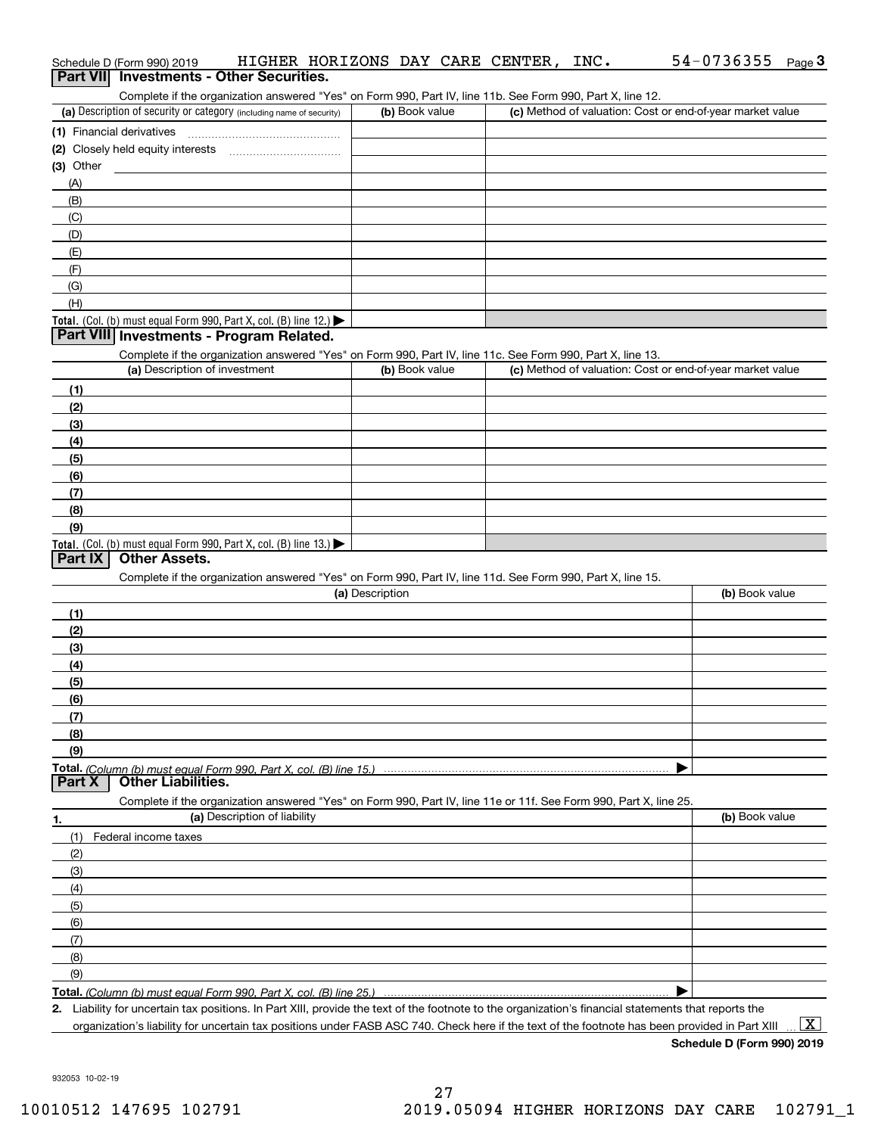| Schedule D (Form 990) 2019<br>Part VII Investments - Other Securities.                                                                                                                                                                                                                                 | HIGHER HORIZONS DAY CARE CENTER, | INC. | 54-0736355<br>Page $3$                                    |
|--------------------------------------------------------------------------------------------------------------------------------------------------------------------------------------------------------------------------------------------------------------------------------------------------------|----------------------------------|------|-----------------------------------------------------------|
| Complete if the organization answered "Yes" on Form 990, Part IV, line 11b. See Form 990, Part X, line 12.<br>(a) Description of security or category (including name of security)                                                                                                                     | (b) Book value                   |      | (c) Method of valuation: Cost or end-of-year market value |
| (1) Financial derivatives                                                                                                                                                                                                                                                                              |                                  |      |                                                           |
|                                                                                                                                                                                                                                                                                                        |                                  |      |                                                           |
| $(3)$ Other                                                                                                                                                                                                                                                                                            |                                  |      |                                                           |
| (A)                                                                                                                                                                                                                                                                                                    |                                  |      |                                                           |
| (B)                                                                                                                                                                                                                                                                                                    |                                  |      |                                                           |
| (C)                                                                                                                                                                                                                                                                                                    |                                  |      |                                                           |
| (D)                                                                                                                                                                                                                                                                                                    |                                  |      |                                                           |
| (E)                                                                                                                                                                                                                                                                                                    |                                  |      |                                                           |
| (F)                                                                                                                                                                                                                                                                                                    |                                  |      |                                                           |
| (G)                                                                                                                                                                                                                                                                                                    |                                  |      |                                                           |
| (H)                                                                                                                                                                                                                                                                                                    |                                  |      |                                                           |
| Total. (Col. (b) must equal Form 990, Part X, col. (B) line 12.) $\blacktriangleright$                                                                                                                                                                                                                 |                                  |      |                                                           |
| Part VIII Investments - Program Related.                                                                                                                                                                                                                                                               |                                  |      |                                                           |
| Complete if the organization answered "Yes" on Form 990, Part IV, line 11c. See Form 990, Part X, line 13.<br>(a) Description of investment                                                                                                                                                            | (b) Book value                   |      |                                                           |
|                                                                                                                                                                                                                                                                                                        |                                  |      | (c) Method of valuation: Cost or end-of-year market value |
| (1)                                                                                                                                                                                                                                                                                                    |                                  |      |                                                           |
| (2)                                                                                                                                                                                                                                                                                                    |                                  |      |                                                           |
| (3)<br>(4)                                                                                                                                                                                                                                                                                             |                                  |      |                                                           |
| (5)                                                                                                                                                                                                                                                                                                    |                                  |      |                                                           |
| (6)                                                                                                                                                                                                                                                                                                    |                                  |      |                                                           |
| (7)                                                                                                                                                                                                                                                                                                    |                                  |      |                                                           |
| (8)                                                                                                                                                                                                                                                                                                    |                                  |      |                                                           |
| (9)                                                                                                                                                                                                                                                                                                    |                                  |      |                                                           |
| Total. (Col. (b) must equal Form 990, Part X, col. (B) line 13.)                                                                                                                                                                                                                                       |                                  |      |                                                           |
| <b>Other Assets.</b><br>Part IX                                                                                                                                                                                                                                                                        |                                  |      |                                                           |
| Complete if the organization answered "Yes" on Form 990, Part IV, line 11d. See Form 990, Part X, line 15.                                                                                                                                                                                             |                                  |      |                                                           |
|                                                                                                                                                                                                                                                                                                        | (a) Description                  |      | (b) Book value                                            |
| (1)                                                                                                                                                                                                                                                                                                    |                                  |      |                                                           |
| (2)                                                                                                                                                                                                                                                                                                    |                                  |      |                                                           |
| (3)                                                                                                                                                                                                                                                                                                    |                                  |      |                                                           |
| (4)                                                                                                                                                                                                                                                                                                    |                                  |      |                                                           |
| (5)                                                                                                                                                                                                                                                                                                    |                                  |      |                                                           |
| (6)<br>(7)                                                                                                                                                                                                                                                                                             |                                  |      |                                                           |
| (8)                                                                                                                                                                                                                                                                                                    |                                  |      |                                                           |
| (9)                                                                                                                                                                                                                                                                                                    |                                  |      |                                                           |
| Total. (Column (b) must equal Form 990. Part X, col. (B) line 15.)                                                                                                                                                                                                                                     |                                  |      |                                                           |
| <b>Other Liabilities.</b><br>Part X                                                                                                                                                                                                                                                                    |                                  |      |                                                           |
| Complete if the organization answered "Yes" on Form 990, Part IV, line 11e or 11f. See Form 990, Part X, line 25.                                                                                                                                                                                      |                                  |      |                                                           |
| (a) Description of liability<br>1.                                                                                                                                                                                                                                                                     |                                  |      | (b) Book value                                            |
| (1)<br>Federal income taxes                                                                                                                                                                                                                                                                            |                                  |      |                                                           |
| (2)                                                                                                                                                                                                                                                                                                    |                                  |      |                                                           |
| (3)                                                                                                                                                                                                                                                                                                    |                                  |      |                                                           |
| (4)                                                                                                                                                                                                                                                                                                    |                                  |      |                                                           |
| (5)                                                                                                                                                                                                                                                                                                    |                                  |      |                                                           |
| (6)                                                                                                                                                                                                                                                                                                    |                                  |      |                                                           |
| (7)                                                                                                                                                                                                                                                                                                    |                                  |      |                                                           |
| (8)                                                                                                                                                                                                                                                                                                    |                                  |      |                                                           |
| (9)                                                                                                                                                                                                                                                                                                    |                                  |      |                                                           |
| Total. (Column (b) must equal Form 990. Part X, col. (B) line 25.)                                                                                                                                                                                                                                     |                                  |      |                                                           |
| 2. Liability for uncertain tax positions. In Part XIII, provide the text of the footnote to the organization's financial statements that reports the<br>organization's liability for uncertain tax positions under FASB ASC 740. Check here if the text of the footnote has been provided in Part XIII |                                  |      | $\mathbf{X}$                                              |

**Schedule D (Form 990) 2019**

932053 10-02-19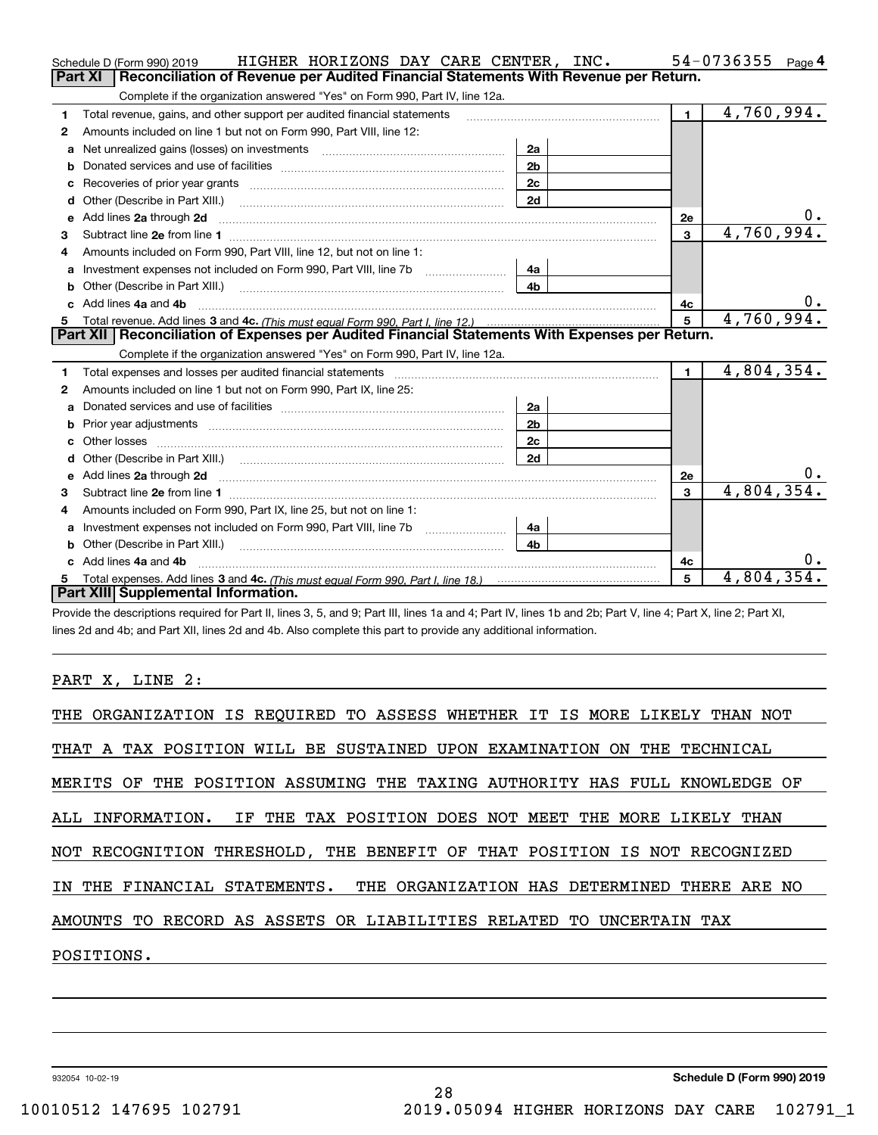|    | HIGHER HORIZONS DAY CARE CENTER, INC.<br>Schedule D (Form 990) 2019                                                                                                                                                                 |                |                | 54-0736355<br>Page 4 |
|----|-------------------------------------------------------------------------------------------------------------------------------------------------------------------------------------------------------------------------------------|----------------|----------------|----------------------|
|    | Reconciliation of Revenue per Audited Financial Statements With Revenue per Return.<br>Part XI                                                                                                                                      |                |                |                      |
|    | Complete if the organization answered "Yes" on Form 990, Part IV, line 12a.                                                                                                                                                         |                |                |                      |
| 1  | Total revenue, gains, and other support per audited financial statements                                                                                                                                                            |                | $\blacksquare$ | 4,760,994.           |
| 2  | Amounts included on line 1 but not on Form 990, Part VIII, line 12:                                                                                                                                                                 |                |                |                      |
| a  | Net unrealized gains (losses) on investments [11] matter contracts and the unrealized gains (losses) on investments                                                                                                                 | 2a             |                |                      |
|    |                                                                                                                                                                                                                                     | 2 <sub>b</sub> |                |                      |
|    |                                                                                                                                                                                                                                     | 2c             |                |                      |
| d  | Other (Describe in Part XIII.) <b>Construction Contract Construction</b> Chern Construction Construction Construction                                                                                                               | 2d             |                |                      |
| е  | Add lines 2a through 2d                                                                                                                                                                                                             |                | 2e             | υ.                   |
| з  |                                                                                                                                                                                                                                     |                | 3              | 4,760,994.           |
| 4  | Amounts included on Form 990. Part VIII. line 12, but not on line 1:                                                                                                                                                                |                |                |                      |
| a  |                                                                                                                                                                                                                                     | 4a             |                |                      |
| b  |                                                                                                                                                                                                                                     | 4 <sub>b</sub> |                |                      |
| C. | Add lines 4a and 4b                                                                                                                                                                                                                 |                | 4c             | 0.                   |
|    |                                                                                                                                                                                                                                     |                | 5              | 4,760,994.           |
|    |                                                                                                                                                                                                                                     |                |                |                      |
|    | Part XII   Reconciliation of Expenses per Audited Financial Statements With Expenses per Return.                                                                                                                                    |                |                |                      |
|    | Complete if the organization answered "Yes" on Form 990, Part IV, line 12a.                                                                                                                                                         |                |                |                      |
| 1  | Total expenses and losses per audited financial statements [11,11] [11] Total expenses and losses per audited financial statements [11] [11] Total expenses and losses per audited financial statements                             |                | $\blacksquare$ | 4,804,354.           |
| 2  | Amounts included on line 1 but not on Form 990, Part IX, line 25:                                                                                                                                                                   |                |                |                      |
| a  |                                                                                                                                                                                                                                     | 2a             |                |                      |
| b  |                                                                                                                                                                                                                                     | 2 <sub>b</sub> |                |                      |
| c. |                                                                                                                                                                                                                                     | 2c             |                |                      |
| d  |                                                                                                                                                                                                                                     | 2d             |                |                      |
| e  | Add lines 2a through 2d <b>contained a contained a contained a contained a</b> contained a contact the state of the state of the state of the state of the state of the state of the state of the state of the state of the state o |                | 2e             |                      |
| 3  |                                                                                                                                                                                                                                     |                | 3              | 4,804,354.           |
| 4  | Amounts included on Form 990, Part IX, line 25, but not on line 1:                                                                                                                                                                  |                |                |                      |
| a  |                                                                                                                                                                                                                                     | 4a             |                |                      |
| b  |                                                                                                                                                                                                                                     | 4 <sub>b</sub> |                |                      |
|    | c Add lines 4a and 4b                                                                                                                                                                                                               |                | 4с             |                      |
|    | Part XIII Supplemental Information.                                                                                                                                                                                                 |                | 5              | 4,804,354.           |

Provide the descriptions required for Part II, lines 3, 5, and 9; Part III, lines 1a and 4; Part IV, lines 1b and 2b; Part V, line 4; Part X, line 2; Part XI, lines 2d and 4b; and Part XII, lines 2d and 4b. Also complete this part to provide any additional information.

### PART X, LINE 2:

| THE ORGANIZATION IS REQUIRED TO ASSESS WHETHER IT IS MORE LIKELY THAN NOT  |
|----------------------------------------------------------------------------|
| THAT A TAX POSITION WILL BE SUSTAINED UPON EXAMINATION ON THE TECHNICAL    |
| MERITS OF THE POSITION ASSUMING THE TAXING AUTHORITY HAS FULL KNOWLEDGE OF |
| ALL INFORMATION. IF THE TAX POSITION DOES NOT MEET THE MORE LIKELY THAN    |
| NOT RECOGNITION THRESHOLD, THE BENEFIT OF THAT POSITION IS NOT RECOGNIZED  |
| IN THE FINANCIAL STATEMENTS. THE ORGANIZATION HAS DETERMINED THERE ARE NO  |
| AMOUNTS TO RECORD AS ASSETS OR LIABILITIES RELATED TO UNCERTAIN TAX        |
| POSITIONS.                                                                 |

932054 10-02-19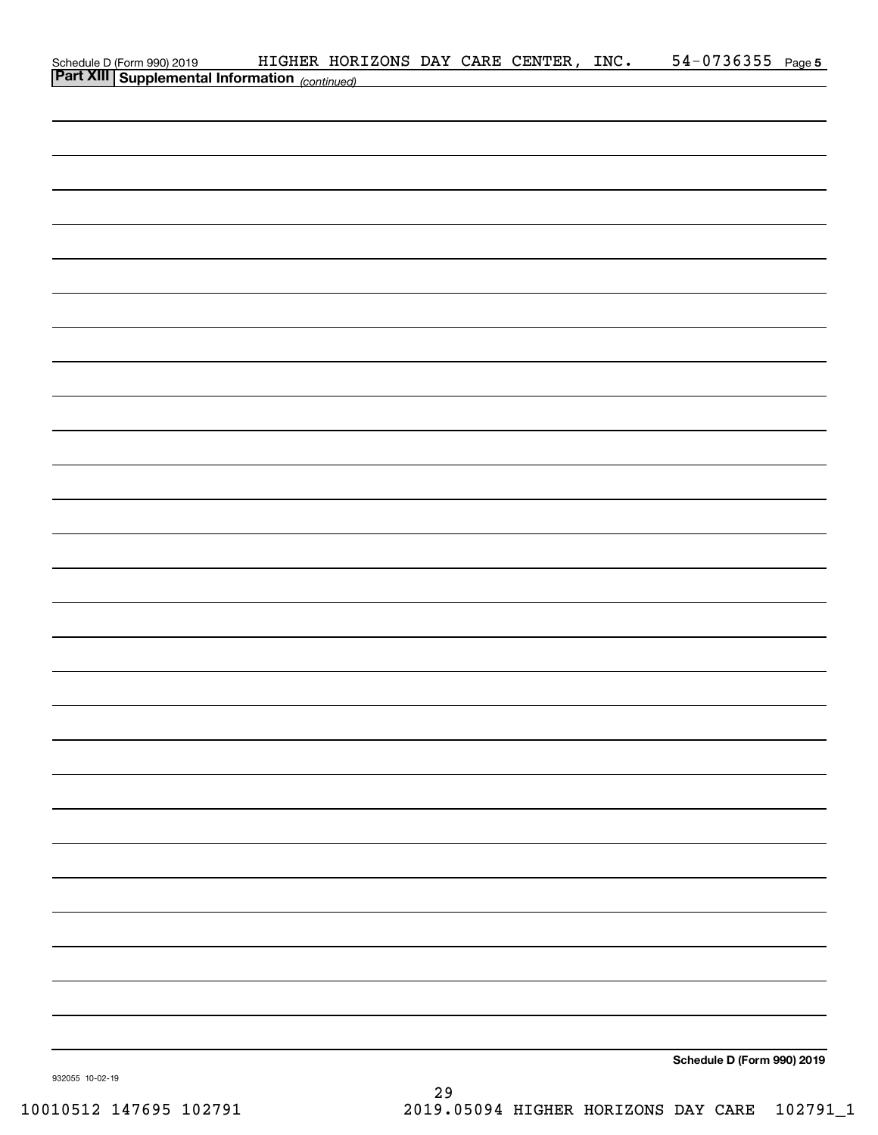| Schedule D (Form 990) 2019 HIGHER HORIZONS DAY CARE CENTER,<br><b>Part XIII Supplemental Information</b> (continued) | HIGHER HORIZONS DAY CARE CENTER, INC. |  |  | 54-0736355 Page 5          |  |
|----------------------------------------------------------------------------------------------------------------------|---------------------------------------|--|--|----------------------------|--|
|                                                                                                                      |                                       |  |  |                            |  |
|                                                                                                                      |                                       |  |  |                            |  |
|                                                                                                                      |                                       |  |  |                            |  |
|                                                                                                                      |                                       |  |  |                            |  |
|                                                                                                                      |                                       |  |  |                            |  |
|                                                                                                                      |                                       |  |  |                            |  |
|                                                                                                                      |                                       |  |  |                            |  |
|                                                                                                                      |                                       |  |  |                            |  |
|                                                                                                                      |                                       |  |  |                            |  |
|                                                                                                                      |                                       |  |  |                            |  |
|                                                                                                                      |                                       |  |  |                            |  |
|                                                                                                                      |                                       |  |  |                            |  |
|                                                                                                                      |                                       |  |  |                            |  |
|                                                                                                                      |                                       |  |  |                            |  |
|                                                                                                                      |                                       |  |  |                            |  |
|                                                                                                                      |                                       |  |  |                            |  |
|                                                                                                                      |                                       |  |  |                            |  |
|                                                                                                                      |                                       |  |  |                            |  |
|                                                                                                                      |                                       |  |  |                            |  |
|                                                                                                                      |                                       |  |  |                            |  |
|                                                                                                                      |                                       |  |  |                            |  |
|                                                                                                                      |                                       |  |  |                            |  |
|                                                                                                                      |                                       |  |  |                            |  |
|                                                                                                                      |                                       |  |  |                            |  |
|                                                                                                                      |                                       |  |  |                            |  |
|                                                                                                                      |                                       |  |  |                            |  |
|                                                                                                                      |                                       |  |  |                            |  |
|                                                                                                                      |                                       |  |  |                            |  |
|                                                                                                                      |                                       |  |  |                            |  |
|                                                                                                                      |                                       |  |  |                            |  |
|                                                                                                                      |                                       |  |  |                            |  |
|                                                                                                                      |                                       |  |  |                            |  |
|                                                                                                                      |                                       |  |  |                            |  |
|                                                                                                                      |                                       |  |  |                            |  |
|                                                                                                                      |                                       |  |  |                            |  |
|                                                                                                                      |                                       |  |  |                            |  |
|                                                                                                                      |                                       |  |  | Schedule D (Form 990) 2019 |  |
|                                                                                                                      |                                       |  |  |                            |  |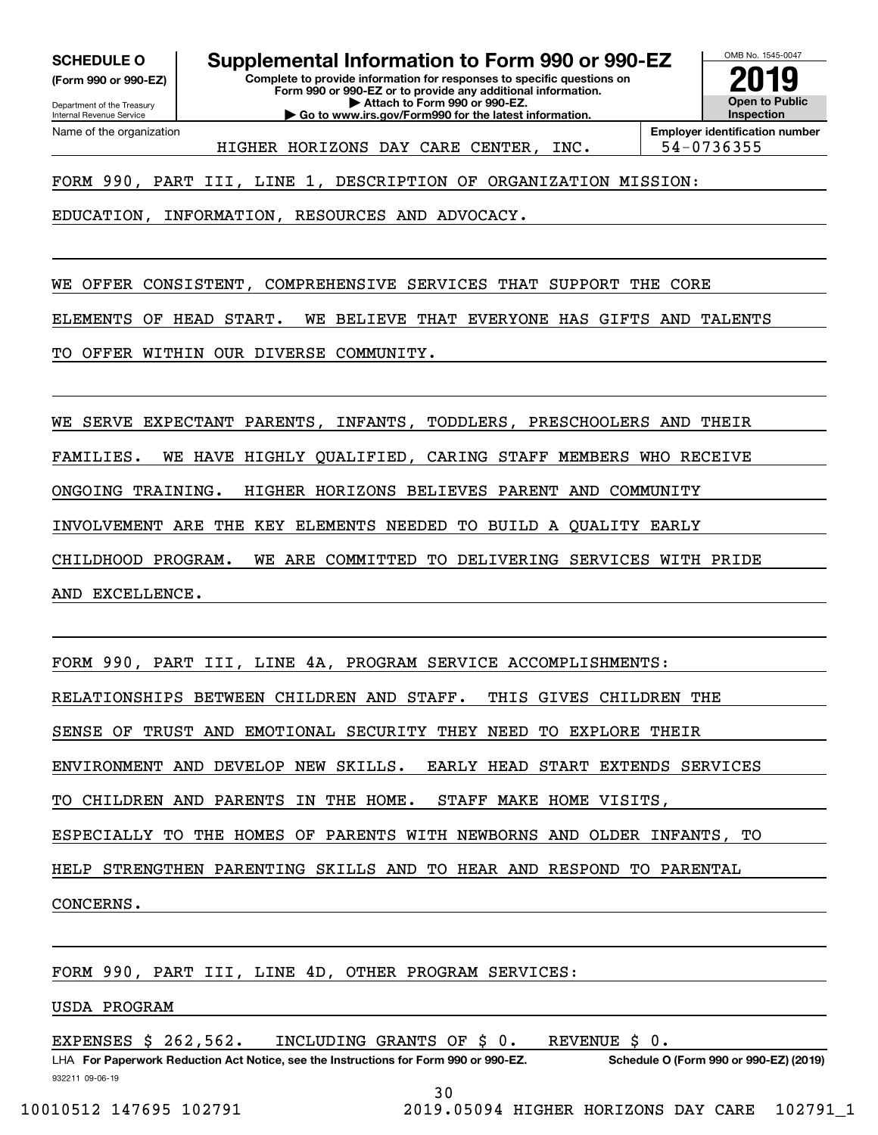**(Form 990 or 990-EZ)**

Department of the Treasury Internal Revenue Service Name of the organization

**SCHEDULE O Supplemental Information to Form 990 or 990-EZ**

**Complete to provide information for responses to specific questions on Form 990 or 990-EZ or to provide any additional information. | Attach to Form 990 or 990-EZ. | Go to www.irs.gov/Form990 for the latest information.**



HIGHER HORIZONS DAY CARE CENTER, INC. | 54-0736355

FORM 990, PART III, LINE 1, DESCRIPTION OF ORGANIZATION MISSION:

EDUCATION, INFORMATION, RESOURCES AND ADVOCACY.

WE OFFER CONSISTENT, COMPREHENSIVE SERVICES THAT SUPPORT THE CORE

ELEMENTS OF HEAD START. WE BELIEVE THAT EVERYONE HAS GIFTS AND TALENTS

TO OFFER WITHIN OUR DIVERSE COMMUNITY.

WE SERVE EXPECTANT PARENTS, INFANTS, TODDLERS, PRESCHOOLERS AND THEIR

FAMILIES. WE HAVE HIGHLY QUALIFIED, CARING STAFF MEMBERS WHO RECEIVE

ONGOING TRAINING. HIGHER HORIZONS BELIEVES PARENT AND COMMUNITY

INVOLVEMENT ARE THE KEY ELEMENTS NEEDED TO BUILD A QUALITY EARLY

CHILDHOOD PROGRAM. WE ARE COMMITTED TO DELIVERING SERVICES WITH PRIDE

AND EXCELLENCE.

FORM 990, PART III, LINE 4D, OTHER PROGRAM SERVICES:

USDA PROGRAM

EXPENSES \$ 262,562. INCLUDING GRANTS OF \$ 0. REVENUE \$ 0.

932211 09-06-19 LHA For Paperwork Reduction Act Notice, see the Instructions for Form 990 or 990-EZ. Schedule O (Form 990 or 990-EZ) (2019)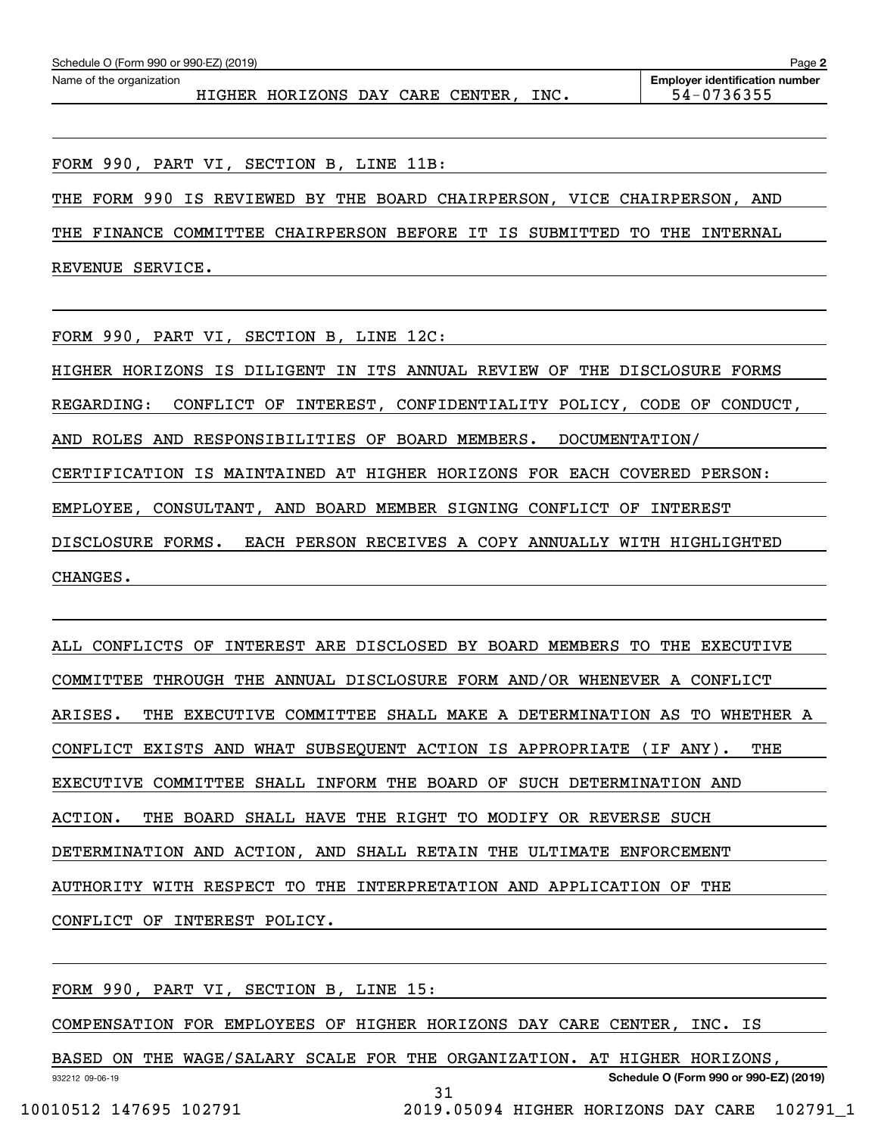| Schedule O (Form 990 or 990-EZ) (2019)<br>Page 2 |  |                                  |  |  |  |      |                                       |  |  |  |
|--------------------------------------------------|--|----------------------------------|--|--|--|------|---------------------------------------|--|--|--|
| Name of the organization                         |  |                                  |  |  |  |      | <b>Employer identification number</b> |  |  |  |
|                                                  |  | HIGHER HORIZONS DAY CARE CENTER. |  |  |  | INC. | 54-0736355                            |  |  |  |
|                                                  |  |                                  |  |  |  |      |                                       |  |  |  |

FORM 990, PART VI, SECTION B, LINE 11B:

THE FORM 990 IS REVIEWED BY THE BOARD CHAIRPERSON, VICE CHAIRPERSON, AND

THE FINANCE COMMITTEE CHAIRPERSON BEFORE IT IS SUBMITTED TO THE INTERNAL

REVENUE SERVICE.

FORM 990, PART VI, SECTION B, LINE 12C:

HIGHER HORIZONS IS DILIGENT IN ITS ANNUAL REVIEW OF THE DISCLOSURE FORMS REGARDING: CONFLICT OF INTEREST, CONFIDENTIALITY POLICY, CODE OF CONDUCT, AND ROLES AND RESPONSIBILITIES OF BOARD MEMBERS. DOCUMENTATION/ CERTIFICATION IS MAINTAINED AT HIGHER HORIZONS FOR EACH COVERED PERSON: EMPLOYEE, CONSULTANT, AND BOARD MEMBER SIGNING CONFLICT OF INTEREST DISCLOSURE FORMS. EACH PERSON RECEIVES A COPY ANNUALLY WITH HIGHLIGHTED CHANGES.

ALL CONFLICTS OF INTEREST ARE DISCLOSED BY BOARD MEMBERS TO THE EXECUTIVE COMMITTEE THROUGH THE ANNUAL DISCLOSURE FORM AND/OR WHENEVER A CONFLICT ARISES. THE EXECUTIVE COMMITTEE SHALL MAKE A DETERMINATION AS TO WHETHER A CONFLICT EXISTS AND WHAT SUBSEQUENT ACTION IS APPROPRIATE (IF ANY). THE EXECUTIVE COMMITTEE SHALL INFORM THE BOARD OF SUCH DETERMINATION AND ACTION. THE BOARD SHALL HAVE THE RIGHT TO MODIFY OR REVERSE SUCH DETERMINATION AND ACTION, AND SHALL RETAIN THE ULTIMATE ENFORCEMENT AUTHORITY WITH RESPECT TO THE INTERPRETATION AND APPLICATION OF THE CONFLICT OF INTEREST POLICY.

FORM 990, PART VI, SECTION B, LINE 15:

COMPENSATION FOR EMPLOYEES OF HIGHER HORIZONS DAY CARE CENTER, INC. IS

932212 09-06-19 **Schedule O (Form 990 or 990-EZ) (2019)** BASED ON THE WAGE/SALARY SCALE FOR THE ORGANIZATION. AT HIGHER HORIZONS, 31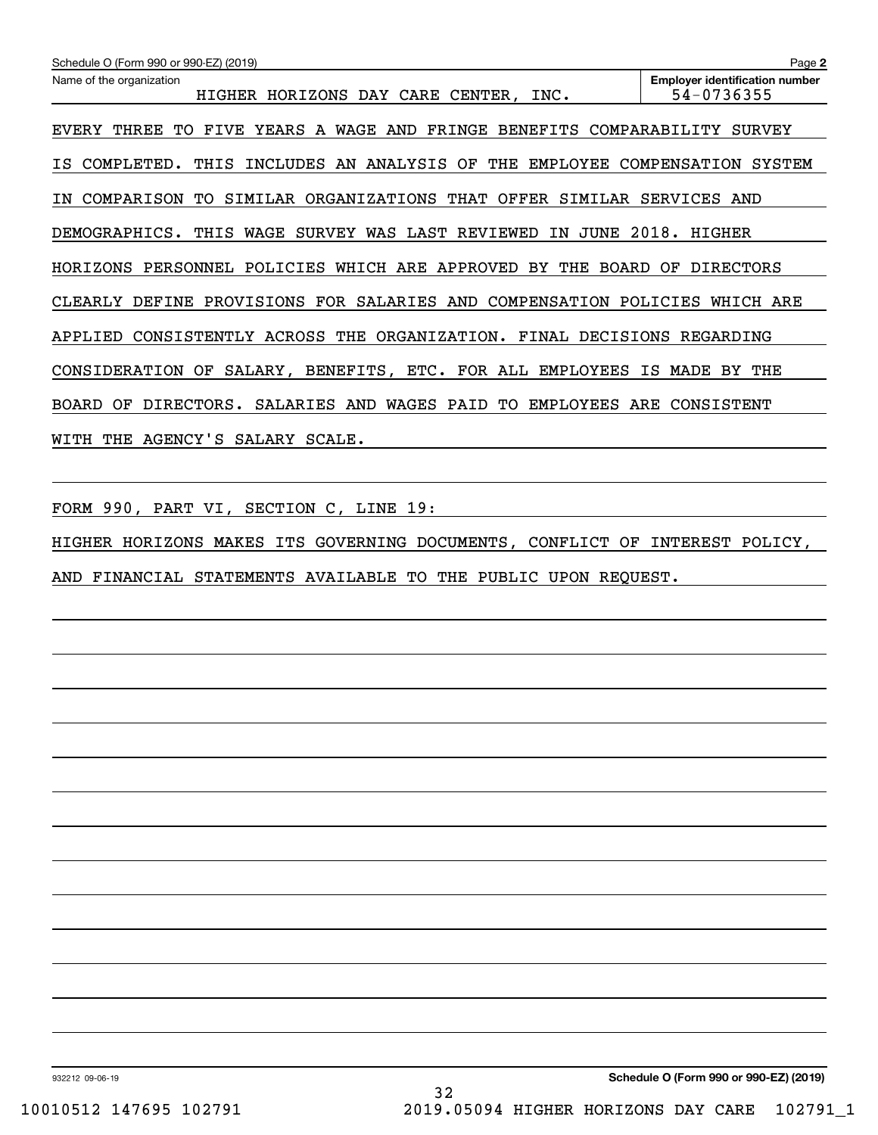| Schedule O (Form 990 or 990-EZ) (2019)                                                                | Page 2                                              |
|-------------------------------------------------------------------------------------------------------|-----------------------------------------------------|
| Name of the organization<br>HORIZONS DAY CARE CENTER,<br>HIGHER<br>INC.                               | <b>Employer identification number</b><br>54-0736355 |
| YEARS A<br>FRINGE<br>EVERY<br>THREE<br>WAGE<br>AND<br>BENEFITS<br>TО<br>FIVE                          | COMPARABILITY<br><b>SURVEY</b>                      |
| AN ANALYSIS<br>THE<br>INCLUDES<br>OF<br>EMPLOYEE<br>COMPLETED.<br>THIS<br>IS.                         | COMPENSATION<br><b>SYSTEM</b>                       |
| ORGANIZATIONS THAT OFFER<br>SIMILAR<br>COMPARISON<br>TО<br>SIMILAR<br>ΙN                              | SERVICES<br>AND                                     |
| WAGE<br>WAS<br>LAST REVIEWED<br>JUNE<br>DEMOGRAPHICS.<br>THIS<br>SURVEY<br>ΙN                         | 2018.<br>HIGHER                                     |
| POLICIES WHICH ARE<br>APPROVED<br><b>BOARD</b><br>HORIZONS<br>PERSONNEL<br>BY.<br>THE                 | <b>DIRECTORS</b><br>ОF                              |
| PROVISIONS<br>FOR SALARIES<br>AND<br>COMPENSATION<br>CLEARLY<br>DEFINE                                | POLICIES<br>WHICH ARE                               |
| ACROSS THE<br>ORGANIZATION.<br>FINAL<br><b>DECISIONS</b><br>APPLIED<br>CONSISTENTLY                   | REGARDING                                           |
| BENEFITS, ETC. FOR ALL<br><b>EMPLOYEES</b><br>CONSIDERATION<br>OF<br>SALARY,                          | ΙS<br>MADE<br>THE<br>BY.                            |
| DIRECTORS.<br>WAGES<br><b>BOARD</b><br><b>SALARIES</b><br>AND<br>PAID<br>TО<br><b>EMPLOYEES</b><br>OF | ARE<br>CONSISTENT                                   |
| SALARY<br>WITH<br>THE<br>AGENCY'S<br>SCALE.                                                           |                                                     |

FORM 990, PART VI, SECTION C, LINE 19:

HIGHER HORIZONS MAKES ITS GOVERNING DOCUMENTS, CONFLICT OF INTEREST POLICY, AND FINANCIAL STATEMENTS AVAILABLE TO THE PUBLIC UPON REQUEST.

932212 09-06-19